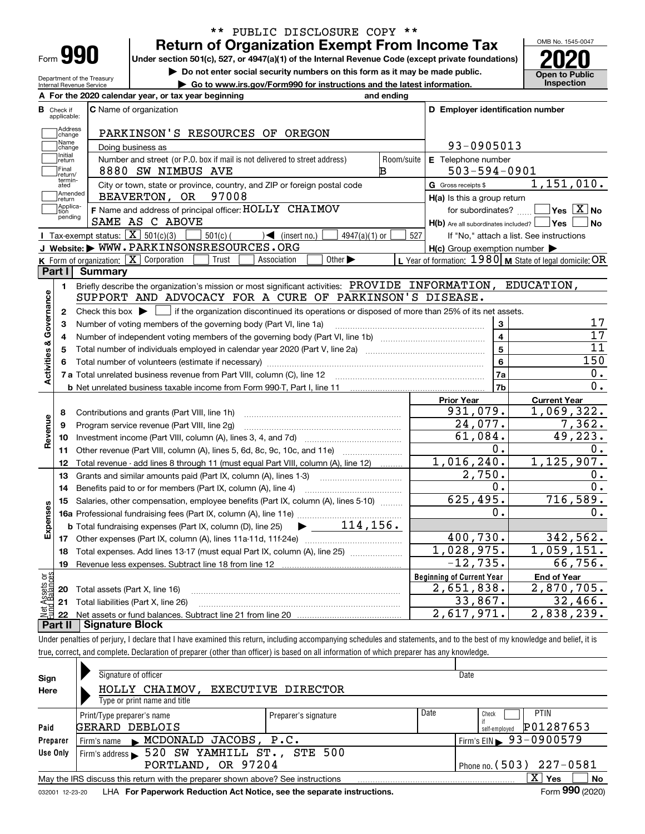| Form |  |
|------|--|

# **Return of Organization Exempt From Income Tax** \*\* PUBLIC DISCLOSURE COPY \*\*

**Under section 501(c), 527, or 4947(a)(1) of the Internal Revenue Code (except private foundations) 2020**

**| Do not enter social security numbers on this form as it may be made public.**

Department of the Treasury Internal Revenue Service **| Go to www.irs.gov/Form990 for instructions and the latest information. Inspection**

OMB No. 1545-0047 **Open to Public** 

|                         |                         | A For the 2020 calendar year, or tax year beginning                                                                                                                                                                                                                                                                                                                                                                                                                                                                                                        | and ending              |                                                                               |                                                           |
|-------------------------|-------------------------|------------------------------------------------------------------------------------------------------------------------------------------------------------------------------------------------------------------------------------------------------------------------------------------------------------------------------------------------------------------------------------------------------------------------------------------------------------------------------------------------------------------------------------------------------------|-------------------------|-------------------------------------------------------------------------------|-----------------------------------------------------------|
| В                       | Check if<br>applicable: | <b>C</b> Name of organization                                                                                                                                                                                                                                                                                                                                                                                                                                                                                                                              |                         | D Employer identification number                                              |                                                           |
|                         | Address<br>change       | PARKINSON'S RESOURCES OF OREGON                                                                                                                                                                                                                                                                                                                                                                                                                                                                                                                            |                         |                                                                               |                                                           |
|                         | Name<br>change          | Doing business as                                                                                                                                                                                                                                                                                                                                                                                                                                                                                                                                          |                         | 93-0905013                                                                    |                                                           |
|                         | Initial<br>return       | Number and street (or P.O. box if mail is not delivered to street address)                                                                                                                                                                                                                                                                                                                                                                                                                                                                                 | Room/suite              | E Telephone number                                                            |                                                           |
|                         | Final<br>return/        | 8880 SW NIMBUS AVE                                                                                                                                                                                                                                                                                                                                                                                                                                                                                                                                         | в                       | $503 - 594 - 0901$                                                            |                                                           |
|                         | termin-<br>ated         | City or town, state or province, country, and ZIP or foreign postal code                                                                                                                                                                                                                                                                                                                                                                                                                                                                                   |                         | G Gross receipts \$                                                           | 1,151,010.                                                |
|                         | Amended<br>return       | 97008<br>BEAVERTON, OR                                                                                                                                                                                                                                                                                                                                                                                                                                                                                                                                     |                         | H(a) Is this a group return                                                   |                                                           |
|                         | Applica-<br>tion        | F Name and address of principal officer: HOLLY CHAIMOV                                                                                                                                                                                                                                                                                                                                                                                                                                                                                                     |                         | for subordinates?                                                             | $\overline{\ }$ Yes $\overline{\phantom{X}}$ No           |
|                         | pending                 | SAME AS C ABOVE                                                                                                                                                                                                                                                                                                                                                                                                                                                                                                                                            |                         | $H(b)$ Are all subordinates included? $\boxed{\phantom{a}}$ Yes $\phantom{a}$ | ∣No                                                       |
|                         |                         | Tax-exempt status: $\boxed{\mathbf{X}}$ 501(c)(3)<br>$501(c)$ (<br>$\sqrt{\frac{1}{1}}$ (insert no.)<br>$4947(a)(1)$ or                                                                                                                                                                                                                                                                                                                                                                                                                                    | 527                     |                                                                               | If "No," attach a list. See instructions                  |
|                         |                         | J Website: WWW.PARKINSONSRESOURCES.ORG                                                                                                                                                                                                                                                                                                                                                                                                                                                                                                                     |                         | $H(c)$ Group exemption number $\blacktriangleright$                           |                                                           |
|                         |                         | K Form of organization: $\boxed{\mathbf{X}}$ Corporation<br>Trust<br>Other $\blacktriangleright$<br>Association                                                                                                                                                                                                                                                                                                                                                                                                                                            |                         |                                                                               | L Year of formation: $1980$ M State of legal domicile: OR |
|                         | Part I                  | <b>Summary</b>                                                                                                                                                                                                                                                                                                                                                                                                                                                                                                                                             |                         |                                                                               |                                                           |
|                         | 1.                      | Briefly describe the organization's mission or most significant activities: PROVIDE INFORMATION, EDUCATION,                                                                                                                                                                                                                                                                                                                                                                                                                                                |                         |                                                                               |                                                           |
| Activities & Governance |                         | SUPPORT AND ADVOCACY FOR A CURE OF PARKINSON'S DISEASE.                                                                                                                                                                                                                                                                                                                                                                                                                                                                                                    |                         |                                                                               |                                                           |
|                         | $\mathbf{2}$            | Check this box $\blacktriangleright$ $\blacksquare$ if the organization discontinued its operations or disposed of more than 25% of its net assets.                                                                                                                                                                                                                                                                                                                                                                                                        |                         |                                                                               |                                                           |
|                         | 3                       | Number of voting members of the governing body (Part VI, line 1a)                                                                                                                                                                                                                                                                                                                                                                                                                                                                                          |                         | 3                                                                             | 17                                                        |
|                         | 4                       |                                                                                                                                                                                                                                                                                                                                                                                                                                                                                                                                                            | $\overline{\mathbf{4}}$ | $\overline{17}$                                                               |                                                           |
|                         | 5                       |                                                                                                                                                                                                                                                                                                                                                                                                                                                                                                                                                            | $\overline{5}$          | 11                                                                            |                                                           |
|                         | 6                       |                                                                                                                                                                                                                                                                                                                                                                                                                                                                                                                                                            |                         | $6\phantom{a}$                                                                | 150                                                       |
|                         |                         |                                                                                                                                                                                                                                                                                                                                                                                                                                                                                                                                                            |                         | 7a                                                                            | 0.                                                        |
|                         |                         |                                                                                                                                                                                                                                                                                                                                                                                                                                                                                                                                                            |                         | 7b                                                                            | 0.                                                        |
|                         |                         |                                                                                                                                                                                                                                                                                                                                                                                                                                                                                                                                                            |                         | <b>Prior Year</b>                                                             | <b>Current Year</b>                                       |
|                         | 8                       | Contributions and grants (Part VIII, line 1h)                                                                                                                                                                                                                                                                                                                                                                                                                                                                                                              |                         | 931,079.                                                                      | 1,069,322.                                                |
|                         | 9                       | Program service revenue (Part VIII, line 2g)                                                                                                                                                                                                                                                                                                                                                                                                                                                                                                               |                         | 24,077.                                                                       | 7,362.                                                    |
| Revenue                 | 10                      |                                                                                                                                                                                                                                                                                                                                                                                                                                                                                                                                                            |                         | 61,084.                                                                       | 49,223.                                                   |
|                         | 11                      | Other revenue (Part VIII, column (A), lines 5, 6d, 8c, 9c, 10c, and 11e)                                                                                                                                                                                                                                                                                                                                                                                                                                                                                   |                         | 0.                                                                            | 0.                                                        |
|                         | 12                      | Total revenue - add lines 8 through 11 (must equal Part VIII, column (A), line 12)                                                                                                                                                                                                                                                                                                                                                                                                                                                                         |                         | 1,016,240.                                                                    | 1, 125, 907.                                              |
|                         | 13                      | Grants and similar amounts paid (Part IX, column (A), lines 1-3)                                                                                                                                                                                                                                                                                                                                                                                                                                                                                           |                         | 2,750.                                                                        | О.                                                        |
|                         | 14                      | Benefits paid to or for members (Part IX, column (A), line 4)                                                                                                                                                                                                                                                                                                                                                                                                                                                                                              |                         | Ο.                                                                            | 0.                                                        |
|                         | 15                      | Salaries, other compensation, employee benefits (Part IX, column (A), lines 5-10)                                                                                                                                                                                                                                                                                                                                                                                                                                                                          |                         | 625,495.                                                                      | 716,589.                                                  |
|                         |                         |                                                                                                                                                                                                                                                                                                                                                                                                                                                                                                                                                            |                         | 0.                                                                            | 0.                                                        |
|                         |                         |                                                                                                                                                                                                                                                                                                                                                                                                                                                                                                                                                            |                         |                                                                               |                                                           |
|                         |                         | $\blacktriangleright$ $\underline{\hspace{1cm}}$ $\underline{\hspace{1cm}}$ $\underline{\hspace{1cm}}$ $\underline{\hspace{1cm}}$ $\underline{\hspace{1cm}}$ $\underline{\hspace{1cm}}$ $\underline{\hspace{1cm}}$ $\underline{\hspace{1cm}}$ $\underline{\hspace{1cm}}$ $\underline{\hspace{1cm}}$ $\underline{\hspace{1cm}}$ $\underline{\hspace{1cm}}$ $\underline{\hspace{1cm}}$ $\underline{\hspace{1cm}}$ $\underline{\hspace{1cm}}$ $\underline{\hspace{1cm}}$ $\underline{\$<br><b>b</b> Total fundraising expenses (Part IX, column (D), line 25) |                         |                                                                               |                                                           |
|                         |                         |                                                                                                                                                                                                                                                                                                                                                                                                                                                                                                                                                            |                         | 400,730.                                                                      |                                                           |
|                         | 18                      | Total expenses. Add lines 13-17 (must equal Part IX, column (A), line 25)                                                                                                                                                                                                                                                                                                                                                                                                                                                                                  |                         | 1,028,975.                                                                    |                                                           |
|                         | 19                      |                                                                                                                                                                                                                                                                                                                                                                                                                                                                                                                                                            |                         | $-12,735.$                                                                    | 66,756.                                                   |
|                         |                         |                                                                                                                                                                                                                                                                                                                                                                                                                                                                                                                                                            |                         | <b>Beginning of Current Year</b>                                              | End of Year                                               |
| Expenses<br>äğ          |                         | <b>20</b> Total assets (Part X, line 16)                                                                                                                                                                                                                                                                                                                                                                                                                                                                                                                   |                         | 2,651,838.                                                                    | 1,059,151.                                                |
| ssets<br>Ralam          |                         | 21 Total liabilities (Part X, line 26)                                                                                                                                                                                                                                                                                                                                                                                                                                                                                                                     |                         | 33,867.<br>2,617,971.                                                         | 342,562.<br>2,870,705.<br>32,466.<br>2,838,239.           |

Under penalties of perjury, I declare that I have examined this return, including accompanying schedules and statements, and to the best of my knowledge and belief, it is true, correct, and complete. Declaration of preparer (other than officer) is based on all information of which preparer has any knowledge.

| Sign            | Signature of officer                                                            |                      |      | Date                                   |
|-----------------|---------------------------------------------------------------------------------|----------------------|------|----------------------------------------|
| Here            | HOLLY CHAIMOV, EXECUTIVE DIRECTOR                                               |                      |      |                                        |
|                 | Type or print name and title                                                    |                      |      |                                        |
|                 | Print/Type preparer's name                                                      | Preparer's signature | Date | <b>PTIN</b><br>Check                   |
| Paid            | GERARD DEBLOIS                                                                  |                      |      | P01287653<br>self-emploved             |
| Preparer        | Firm's name MCDONALD JACOBS, P.C.                                               |                      |      | Firm's EIN $\triangleright$ 93-0900579 |
| Use Only        | Firm's address > 520 SW YAMHILL ST., STE 500                                    |                      |      |                                        |
|                 | Phone no. $(503)$ $227-0581$                                                    |                      |      |                                        |
|                 | May the IRS discuss this return with the preparer shown above? See instructions |                      |      | $\mathbf{x}$<br><b>No</b><br>Yes       |
| 032001 12-23-20 | LHA For Paperwork Reduction Act Notice, see the separate instructions.          |                      |      | Form 990 (2020)                        |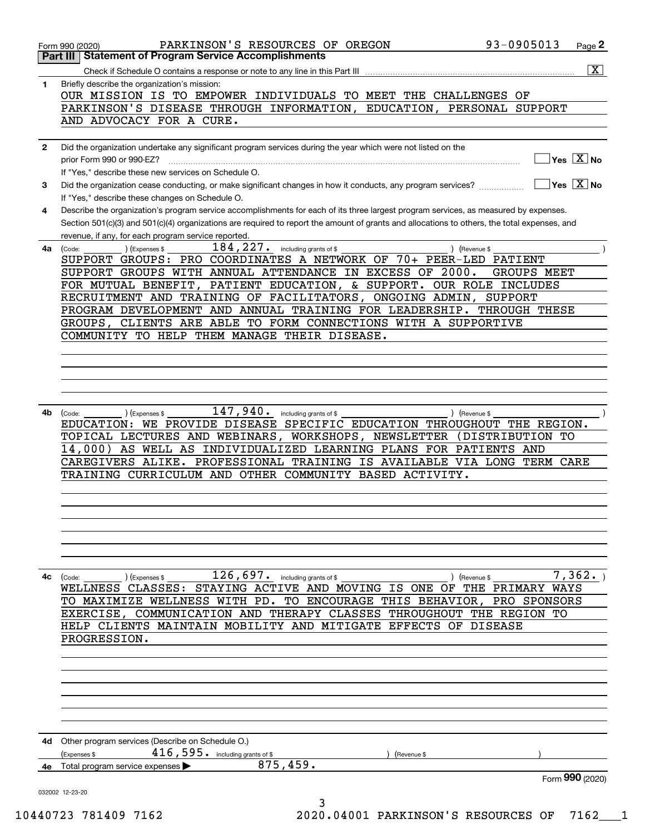|              | 93-0905013<br>PARKINSON'S RESOURCES OF OREGON<br>Form 990 (2020)                                                                             | Page 2                                                          |
|--------------|----------------------------------------------------------------------------------------------------------------------------------------------|-----------------------------------------------------------------|
|              | Part III   Statement of Program Service Accomplishments                                                                                      |                                                                 |
|              |                                                                                                                                              | $\overline{\mathbf{x}}$                                         |
| 1            | Briefly describe the organization's mission:                                                                                                 |                                                                 |
|              | OUR MISSION IS TO EMPOWER INDIVIDUALS TO MEET THE CHALLENGES OF                                                                              |                                                                 |
|              | PARKINSON'S DISEASE THROUGH INFORMATION, EDUCATION,<br>PERSONAL SUPPORT                                                                      |                                                                 |
|              | AND ADVOCACY FOR A CURE.                                                                                                                     |                                                                 |
|              |                                                                                                                                              |                                                                 |
| $\mathbf{2}$ | Did the organization undertake any significant program services during the year which were not listed on the                                 | $\overline{\mathsf{Yes} \mathrel{\hspace{0.5pt}\mathsf{X}}}$ No |
|              | prior Form 990 or 990-EZ?<br>If "Yes," describe these new services on Schedule O.                                                            |                                                                 |
|              | Did the organization cease conducting, or make significant changes in how it conducts, any program services?                                 | $\overline{\mathsf{Yes} \mathrel{\overline{X}}$ No              |
| 3            | If "Yes," describe these changes on Schedule O.                                                                                              |                                                                 |
| 4            | Describe the organization's program service accomplishments for each of its three largest program services, as measured by expenses.         |                                                                 |
|              | Section 501(c)(3) and 501(c)(4) organizations are required to report the amount of grants and allocations to others, the total expenses, and |                                                                 |
|              | revenue, if any, for each program service reported.                                                                                          |                                                                 |
| 4a           | $184, 227$ . including grants of \$<br>) (Revenue \$<br>(Expenses \$<br>(Code:                                                               |                                                                 |
|              | SUPPORT GROUPS: PRO COORDINATES A NETWORK OF 70+ PEER-LED PATIENT                                                                            |                                                                 |
|              | SUPPORT GROUPS WITH ANNUAL ATTENDANCE IN EXCESS OF 2000.<br><b>GROUPS MEET</b>                                                               |                                                                 |
|              | FOR MUTUAL BENEFIT, PATIENT EDUCATION, & SUPPORT. OUR ROLE INCLUDES                                                                          |                                                                 |
|              | RECRUITMENT AND TRAINING OF FACILITATORS, ONGOING ADMIN,<br><b>SUPPORT</b>                                                                   |                                                                 |
|              | PROGRAM DEVELOPMENT AND ANNUAL TRAINING FOR LEADERSHIP.<br>THROUGH THESE                                                                     |                                                                 |
|              | GROUPS, CLIENTS ARE ABLE TO FORM CONNECTIONS WITH A SUPPORTIVE                                                                               |                                                                 |
|              | COMMUNITY TO HELP THEM MANAGE THEIR DISEASE.                                                                                                 |                                                                 |
|              |                                                                                                                                              |                                                                 |
|              |                                                                                                                                              |                                                                 |
|              |                                                                                                                                              |                                                                 |
|              |                                                                                                                                              |                                                                 |
|              |                                                                                                                                              |                                                                 |
| 4b           | 147,940.<br>(Expenses \$<br>including grants of \$<br>) (Revenue \$<br>(Code:                                                                |                                                                 |
|              | EDUCATION: WE PROVIDE DISEASE SPECIFIC EDUCATION THROUGHOUT THE REGION.                                                                      |                                                                 |
|              | TOPICAL LECTURES AND WEBINARS, WORKSHOPS, NEWSLETTER (DISTRIBUTION TO                                                                        |                                                                 |
|              | 14,000)<br>AS WELL AS INDIVIDUALIZED LEARNING PLANS FOR PATIENTS AND                                                                         |                                                                 |
|              | CAREGIVERS ALIKE. PROFESSIONAL TRAINING IS AVAILABLE VIA LONG TERM CARE                                                                      |                                                                 |
|              | TRAINING CURRICULUM AND OTHER COMMUNITY BASED ACTIVITY.                                                                                      |                                                                 |
|              |                                                                                                                                              |                                                                 |
|              |                                                                                                                                              |                                                                 |
|              |                                                                                                                                              |                                                                 |
|              |                                                                                                                                              |                                                                 |
|              |                                                                                                                                              |                                                                 |
|              |                                                                                                                                              |                                                                 |
| 4с           | $126,697$ and including grants of \$                                                                                                         | 7,362.                                                          |
|              | (Code:<br>(Expenses \$<br>) (Revenue \$<br>WELLNESS CLASSES: STAYING ACTIVE AND MOVING IS ONE OF THE PRIMARY WAYS                            |                                                                 |
|              | TO MAXIMIZE WELLNESS WITH PD. TO ENCOURAGE THIS BEHAVIOR, PRO SPONSORS                                                                       |                                                                 |
|              | EXERCISE, COMMUNICATION AND THERAPY CLASSES THROUGHOUT THE REGION TO                                                                         |                                                                 |
|              | HELP CLIENTS MAINTAIN MOBILITY AND MITIGATE EFFECTS OF DISEASE                                                                               |                                                                 |
|              | PROGRESSION.                                                                                                                                 |                                                                 |
|              |                                                                                                                                              |                                                                 |
|              |                                                                                                                                              |                                                                 |
|              |                                                                                                                                              |                                                                 |
|              |                                                                                                                                              |                                                                 |
|              |                                                                                                                                              |                                                                 |
|              |                                                                                                                                              |                                                                 |
|              |                                                                                                                                              |                                                                 |
| 4d           | Other program services (Describe on Schedule O.)                                                                                             |                                                                 |
|              | $416$ , 595. including grants of \$<br>(Expenses \$<br>(Revenue \$                                                                           |                                                                 |
|              | 875,459.<br>Total program service expenses                                                                                                   |                                                                 |
|              |                                                                                                                                              | Form 990 (2020)                                                 |
|              | 032002 12-23-20<br>3                                                                                                                         |                                                                 |

10440723 781409 7162 2020.04001 PARKINSON'S RESOURCES OF 7162\_\_\_1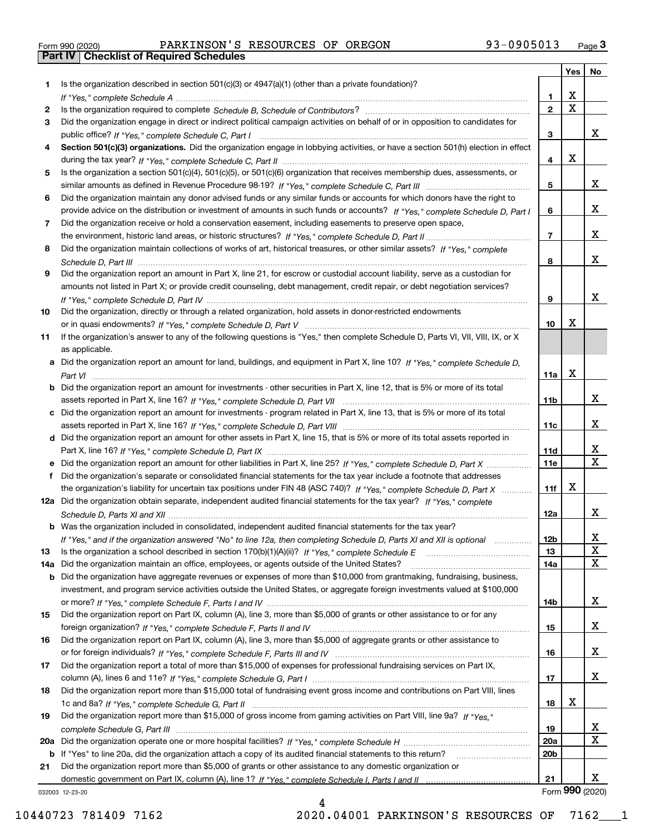|  | Form 990 (2020) |
|--|-----------------|

# Form 990 (2020) PARKINSON'S RESOURCES OF OREGON 93-0905013 <sub>Page</sub> 3<br>**Part IV | Checklist of Required Schedules**

|     |                                                                                                                                       |                 | Yes                     | No                      |
|-----|---------------------------------------------------------------------------------------------------------------------------------------|-----------------|-------------------------|-------------------------|
| 1.  | Is the organization described in section $501(c)(3)$ or $4947(a)(1)$ (other than a private foundation)?                               |                 |                         |                         |
|     |                                                                                                                                       | 1.              | X                       |                         |
| 2   |                                                                                                                                       | $\overline{2}$  | $\overline{\mathbf{x}}$ |                         |
| 3   | Did the organization engage in direct or indirect political campaign activities on behalf of or in opposition to candidates for       |                 |                         |                         |
|     |                                                                                                                                       | 3               |                         | x                       |
| 4   | Section 501(c)(3) organizations. Did the organization engage in lobbying activities, or have a section 501(h) election in effect      |                 |                         |                         |
|     |                                                                                                                                       | 4               | X                       |                         |
| 5   | Is the organization a section 501(c)(4), 501(c)(5), or 501(c)(6) organization that receives membership dues, assessments, or          |                 |                         |                         |
|     |                                                                                                                                       | 5               |                         | x                       |
| 6   | Did the organization maintain any donor advised funds or any similar funds or accounts for which donors have the right to             |                 |                         | x                       |
|     | provide advice on the distribution or investment of amounts in such funds or accounts? If "Yes," complete Schedule D, Part I          | 6               |                         |                         |
| 7   | Did the organization receive or hold a conservation easement, including easements to preserve open space,                             | $\overline{7}$  |                         | x                       |
|     |                                                                                                                                       |                 |                         |                         |
| 8   | Did the organization maintain collections of works of art, historical treasures, or other similar assets? If "Yes," complete          |                 |                         | x                       |
|     | Did the organization report an amount in Part X, line 21, for escrow or custodial account liability, serve as a custodian for         | 8               |                         |                         |
| 9   | amounts not listed in Part X; or provide credit counseling, debt management, credit repair, or debt negotiation services?             |                 |                         |                         |
|     |                                                                                                                                       | 9               |                         | x                       |
| 10  | Did the organization, directly or through a related organization, hold assets in donor-restricted endowments                          |                 |                         |                         |
|     |                                                                                                                                       | 10              | X                       |                         |
| 11  | If the organization's answer to any of the following questions is "Yes," then complete Schedule D, Parts VI, VIII, VIII, IX, or X     |                 |                         |                         |
|     | as applicable.                                                                                                                        |                 |                         |                         |
|     | a Did the organization report an amount for land, buildings, and equipment in Part X, line 10? If "Yes." complete Schedule D.         |                 |                         |                         |
|     |                                                                                                                                       | 11a             | X                       |                         |
|     | <b>b</b> Did the organization report an amount for investments - other securities in Part X, line 12, that is 5% or more of its total |                 |                         |                         |
|     |                                                                                                                                       | 11 <sub>b</sub> |                         | x                       |
|     | c Did the organization report an amount for investments - program related in Part X, line 13, that is 5% or more of its total         |                 |                         |                         |
|     |                                                                                                                                       | 11c             |                         | x                       |
|     | d Did the organization report an amount for other assets in Part X, line 15, that is 5% or more of its total assets reported in       |                 |                         |                         |
|     |                                                                                                                                       | 11d             |                         | х                       |
|     | e Did the organization report an amount for other liabilities in Part X, line 25? If "Yes," complete Schedule D, Part X               | 11e             |                         | $\overline{\mathbf{x}}$ |
| f   | Did the organization's separate or consolidated financial statements for the tax year include a footnote that addresses               |                 |                         |                         |
|     | the organization's liability for uncertain tax positions under FIN 48 (ASC 740)? If "Yes," complete Schedule D, Part X                | 11f             | X                       |                         |
|     | 12a Did the organization obtain separate, independent audited financial statements for the tax year? If "Yes," complete               |                 |                         |                         |
|     |                                                                                                                                       | 12a             |                         | x                       |
|     | <b>b</b> Was the organization included in consolidated, independent audited financial statements for the tax year?                    |                 |                         |                         |
|     | If "Yes," and if the organization answered "No" to line 12a, then completing Schedule D, Parts XI and XII is optional                 | 12D             |                         | ᅀ                       |
| 13  | Is the organization a school described in section $170(b)(1)(A)(ii)?$ If "Yes," complete Schedule E                                   | 13              |                         | X                       |
| 14a | Did the organization maintain an office, employees, or agents outside of the United States?                                           | 14a             |                         | X                       |
|     | <b>b</b> Did the organization have aggregate revenues or expenses of more than \$10,000 from grantmaking, fundraising, business,      |                 |                         |                         |
|     | investment, and program service activities outside the United States, or aggregate foreign investments valued at \$100,000            |                 |                         |                         |
|     |                                                                                                                                       | 14b             |                         | x                       |
| 15  | Did the organization report on Part IX, column (A), line 3, more than \$5,000 of grants or other assistance to or for any             |                 |                         |                         |
|     |                                                                                                                                       | 15              |                         | x                       |
| 16  | Did the organization report on Part IX, column (A), line 3, more than \$5,000 of aggregate grants or other assistance to              |                 |                         |                         |
|     |                                                                                                                                       | 16              |                         | x                       |
| 17  | Did the organization report a total of more than \$15,000 of expenses for professional fundraising services on Part IX,               |                 |                         | X                       |
|     |                                                                                                                                       | 17              |                         |                         |
| 18  | Did the organization report more than \$15,000 total of fundraising event gross income and contributions on Part VIII, lines          |                 | х                       |                         |
|     | Did the organization report more than \$15,000 of gross income from gaming activities on Part VIII, line 9a? If "Yes."                | 18              |                         |                         |
| 19  |                                                                                                                                       | 19              |                         | X                       |
|     |                                                                                                                                       | 20a             |                         | $\mathbf X$             |
|     | b If "Yes" to line 20a, did the organization attach a copy of its audited financial statements to this return?                        | 20 <sub>b</sub> |                         |                         |
| 21  | Did the organization report more than \$5,000 of grants or other assistance to any domestic organization or                           |                 |                         |                         |
|     |                                                                                                                                       | 21              |                         | x                       |
|     | 032003 12-23-20                                                                                                                       |                 |                         | Form 990 (2020)         |

032003 12-23-20

4 10440723 781409 7162 2020.04001 PARKINSON'S RESOURCES OF 7162\_\_\_1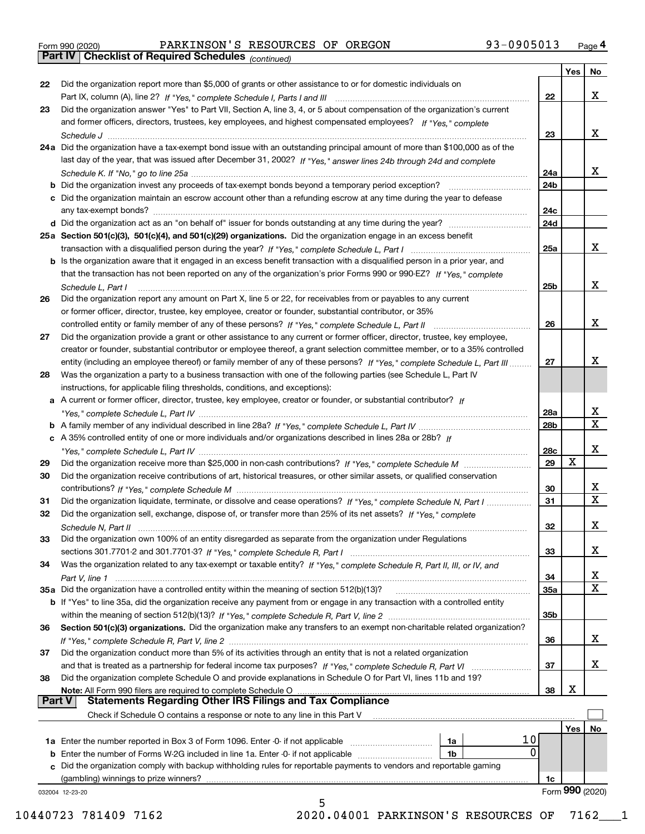|  | Form 990 (2020) |
|--|-----------------|
|  |                 |

|               | Part IV   Checklist of Required Schedules (continued)                                                                                                                                                                                         |     |             |                         |
|---------------|-----------------------------------------------------------------------------------------------------------------------------------------------------------------------------------------------------------------------------------------------|-----|-------------|-------------------------|
|               |                                                                                                                                                                                                                                               |     | Yes         | No                      |
| 22            | Did the organization report more than \$5,000 of grants or other assistance to or for domestic individuals on                                                                                                                                 |     |             |                         |
|               |                                                                                                                                                                                                                                               | 22  |             | x                       |
| 23            | Did the organization answer "Yes" to Part VII, Section A, line 3, 4, or 5 about compensation of the organization's current                                                                                                                    |     |             |                         |
|               | and former officers, directors, trustees, key employees, and highest compensated employees? If "Yes," complete                                                                                                                                |     |             |                         |
|               |                                                                                                                                                                                                                                               | 23  |             | x                       |
|               | 24a Did the organization have a tax-exempt bond issue with an outstanding principal amount of more than \$100,000 as of the                                                                                                                   |     |             |                         |
|               | last day of the year, that was issued after December 31, 2002? If "Yes," answer lines 24b through 24d and complete                                                                                                                            |     |             |                         |
|               |                                                                                                                                                                                                                                               | 24a |             | x                       |
|               | <b>b</b> Did the organization invest any proceeds of tax-exempt bonds beyond a temporary period exception?                                                                                                                                    | 24b |             |                         |
|               | c Did the organization maintain an escrow account other than a refunding escrow at any time during the year to defease                                                                                                                        |     |             |                         |
|               | any tax-exempt bonds?                                                                                                                                                                                                                         | 24c |             |                         |
|               |                                                                                                                                                                                                                                               | 24d |             |                         |
|               | 25a Section 501(c)(3), 501(c)(4), and 501(c)(29) organizations. Did the organization engage in an excess benefit                                                                                                                              |     |             |                         |
|               |                                                                                                                                                                                                                                               | 25a |             | x                       |
|               | b Is the organization aware that it engaged in an excess benefit transaction with a disqualified person in a prior year, and                                                                                                                  |     |             |                         |
|               | that the transaction has not been reported on any of the organization's prior Forms 990 or 990-EZ? If "Yes," complete                                                                                                                         |     |             |                         |
|               |                                                                                                                                                                                                                                               | 25b |             | x                       |
|               | Schedule L, Part I                                                                                                                                                                                                                            |     |             |                         |
| 26            | Did the organization report any amount on Part X, line 5 or 22, for receivables from or payables to any current<br>or former officer, director, trustee, key employee, creator or founder, substantial contributor, or 35%                    |     |             |                         |
|               |                                                                                                                                                                                                                                               | 26  |             | x                       |
|               | controlled entity or family member of any of these persons? If "Yes," complete Schedule L, Part II                                                                                                                                            |     |             |                         |
| 27            | Did the organization provide a grant or other assistance to any current or former officer, director, trustee, key employee,                                                                                                                   |     |             |                         |
|               | creator or founder, substantial contributor or employee thereof, a grant selection committee member, or to a 35% controlled                                                                                                                   | 27  |             | x                       |
|               | entity (including an employee thereof) or family member of any of these persons? If "Yes," complete Schedule L, Part III<br>Was the organization a party to a business transaction with one of the following parties (see Schedule L, Part IV |     |             |                         |
| 28            |                                                                                                                                                                                                                                               |     |             |                         |
|               | instructions, for applicable filing thresholds, conditions, and exceptions):                                                                                                                                                                  |     |             |                         |
|               | a A current or former officer, director, trustee, key employee, creator or founder, or substantial contributor? If                                                                                                                            | 28a |             | x                       |
|               |                                                                                                                                                                                                                                               | 28b |             | $\overline{\mathbf{x}}$ |
|               | c A 35% controlled entity of one or more individuals and/or organizations described in lines 28a or 28b? If                                                                                                                                   |     |             |                         |
|               |                                                                                                                                                                                                                                               | 28c |             | X                       |
| 29            |                                                                                                                                                                                                                                               | 29  | $\mathbf X$ |                         |
| 30            | Did the organization receive contributions of art, historical treasures, or other similar assets, or qualified conservation                                                                                                                   |     |             |                         |
|               |                                                                                                                                                                                                                                               | 30  |             | х                       |
| 31            | Did the organization liquidate, terminate, or dissolve and cease operations? If "Yes," complete Schedule N, Part I                                                                                                                            | 31  |             | $\overline{\mathbf{X}}$ |
| 32            | Did the organization sell, exchange, dispose of, or transfer more than 25% of its net assets? If "Yes." complete                                                                                                                              |     |             |                         |
|               |                                                                                                                                                                                                                                               | 32  |             | ᅀ                       |
| 33            | Did the organization own 100% of an entity disregarded as separate from the organization under Regulations                                                                                                                                    |     |             |                         |
|               |                                                                                                                                                                                                                                               | 33  |             | x                       |
| 34            | Was the organization related to any tax-exempt or taxable entity? If "Yes," complete Schedule R, Part II, III, or IV, and                                                                                                                     |     |             |                         |
|               |                                                                                                                                                                                                                                               | 34  |             | X                       |
|               | 35a Did the organization have a controlled entity within the meaning of section 512(b)(13)?                                                                                                                                                   | 35a |             | $\overline{\mathbf{x}}$ |
|               | b If "Yes" to line 35a, did the organization receive any payment from or engage in any transaction with a controlled entity                                                                                                                   |     |             |                         |
|               |                                                                                                                                                                                                                                               | 35b |             |                         |
| 36            | Section 501(c)(3) organizations. Did the organization make any transfers to an exempt non-charitable related organization?                                                                                                                    |     |             |                         |
|               |                                                                                                                                                                                                                                               | 36  |             | x                       |
| 37            | Did the organization conduct more than 5% of its activities through an entity that is not a related organization                                                                                                                              |     |             |                         |
|               |                                                                                                                                                                                                                                               | 37  |             | х                       |
| 38            | Did the organization complete Schedule O and provide explanations in Schedule O for Part VI, lines 11b and 19?                                                                                                                                |     |             |                         |
|               |                                                                                                                                                                                                                                               | 38  | X           |                         |
| <b>Part V</b> | <b>Statements Regarding Other IRS Filings and Tax Compliance</b>                                                                                                                                                                              |     |             |                         |
|               | Check if Schedule O contains a response or note to any line in this Part V                                                                                                                                                                    |     |             |                         |
|               |                                                                                                                                                                                                                                               |     | Yes         | No                      |
|               | 10<br>1a                                                                                                                                                                                                                                      |     |             |                         |
|               | 0<br><b>b</b> Enter the number of Forms W-2G included in line 1a. Enter -0- if not applicable<br>1b                                                                                                                                           |     |             |                         |
|               | c Did the organization comply with backup withholding rules for reportable payments to vendors and reportable gaming                                                                                                                          |     |             |                         |
|               |                                                                                                                                                                                                                                               | 1c  |             |                         |
|               | 032004 12-23-20<br>5                                                                                                                                                                                                                          |     |             | Form 990 (2020)         |
|               |                                                                                                                                                                                                                                               |     |             |                         |

10440723 781409 7162 2020.04001 PARKINSON'S RESOURCES OF 7162\_\_\_1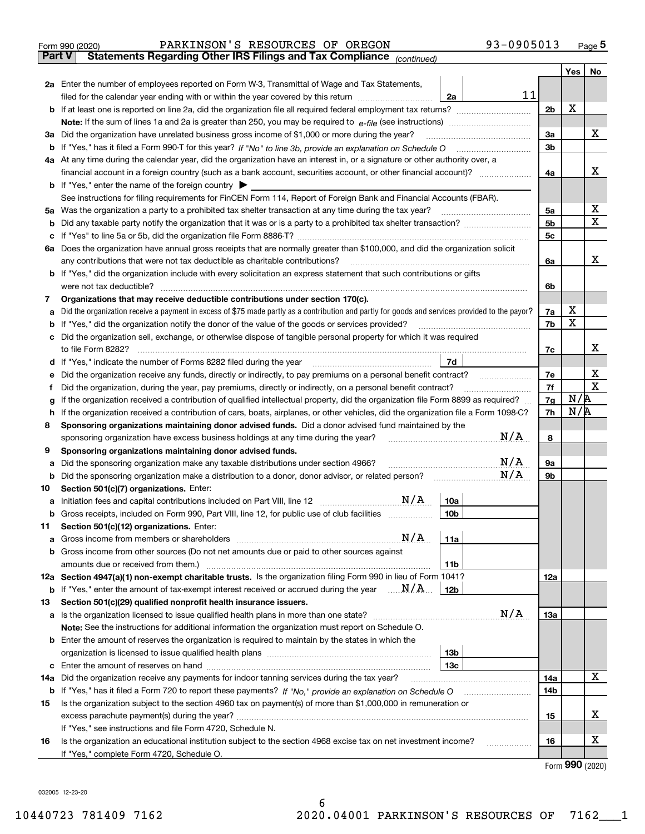| <b>Part V</b> | 93-0905013<br>PARKINSON'S RESOURCES OF OREGON<br>Form 990 (2020)<br>Statements Regarding Other IRS Filings and Tax Compliance (continued)       |                |     | Page $5$  |
|---------------|-------------------------------------------------------------------------------------------------------------------------------------------------|----------------|-----|-----------|
|               |                                                                                                                                                 |                | Yes | <b>No</b> |
|               | 2a Enter the number of employees reported on Form W-3, Transmittal of Wage and Tax Statements,                                                  |                |     |           |
|               | 11<br>filed for the calendar year ending with or within the year covered by this return<br>2a                                                   |                |     |           |
|               |                                                                                                                                                 | 2 <sub>b</sub> | X   |           |
|               |                                                                                                                                                 |                |     |           |
|               | 3a Did the organization have unrelated business gross income of \$1,000 or more during the year?                                                | 3a             |     | x         |
|               |                                                                                                                                                 | 3 <sub>b</sub> |     |           |
|               | 4a At any time during the calendar year, did the organization have an interest in, or a signature or other authority over, a                    |                |     |           |
|               | financial account in a foreign country (such as a bank account, securities account, or other financial account)?                                | 4a             |     | x         |
|               | <b>b</b> If "Yes," enter the name of the foreign country $\blacktriangleright$                                                                  |                |     |           |
|               | See instructions for filing requirements for FinCEN Form 114, Report of Foreign Bank and Financial Accounts (FBAR).                             |                |     |           |
| 5a            | Was the organization a party to a prohibited tax shelter transaction at any time during the tax year?                                           | 5a             |     | х         |
| b             | Did any taxable party notify the organization that it was or is a party to a prohibited tax shelter transaction?                                | 5 <sub>b</sub> |     | х         |
| c             |                                                                                                                                                 | 5c             |     |           |
| 6а            | Does the organization have annual gross receipts that are normally greater than \$100,000, and did the organization solicit                     |                |     |           |
|               | any contributions that were not tax deductible as charitable contributions?                                                                     | 6a             |     | X.        |
|               | <b>b</b> If "Yes," did the organization include with every solicitation an express statement that such contributions or gifts                   |                |     |           |
|               | were not tax deductible?                                                                                                                        | 6b             |     |           |
| 7             | Organizations that may receive deductible contributions under section 170(c).                                                                   |                |     |           |
| a             | Did the organization receive a payment in excess of \$75 made partly as a contribution and partly for goods and services provided to the payor? | 7a             | X   |           |
| b             | If "Yes," did the organization notify the donor of the value of the goods or services provided?                                                 | 7b             | х   |           |
|               | c Did the organization sell, exchange, or otherwise dispose of tangible personal property for which it was required                             |                |     |           |
|               | to file Form 8282?                                                                                                                              | 7c             |     | X         |
| d             | If "Yes," indicate the number of Forms 8282 filed during the year<br>7d                                                                         |                |     |           |
|               | e Did the organization receive any funds, directly or indirectly, to pay premiums on a personal benefit contract?                               | 7e             |     | х         |
|               | Did the organization, during the year, pay premiums, directly or indirectly, on a personal benefit contract?                                    | 7f             |     | X         |

|                                                                                                           | Did the organization, during the year, pay premiums, directly or indirectly, on a personal benefit contract?                       |                 |     | 7f              | N/R | х |  |  |  |  |
|-----------------------------------------------------------------------------------------------------------|------------------------------------------------------------------------------------------------------------------------------------|-----------------|-----|-----------------|-----|---|--|--|--|--|
| g                                                                                                         | If the organization received a contribution of qualified intellectual property, did the organization file Form 8899 as required?   |                 |     |                 |     |   |  |  |  |  |
| h                                                                                                         | If the organization received a contribution of cars, boats, airplanes, or other vehicles, did the organization file a Form 1098-C? |                 |     | 7h              | N/R |   |  |  |  |  |
| Sponsoring organizations maintaining donor advised funds. Did a donor advised fund maintained by the<br>8 |                                                                                                                                    |                 |     |                 |     |   |  |  |  |  |
|                                                                                                           | sponsoring organization have excess business holdings at any time during the year?                                                 |                 | N/A | 8               |     |   |  |  |  |  |
| 9                                                                                                         | Sponsoring organizations maintaining donor advised funds.                                                                          |                 |     |                 |     |   |  |  |  |  |
| а                                                                                                         | Did the sponsoring organization make any taxable distributions under section 4966?                                                 |                 | N/A | 9а              |     |   |  |  |  |  |
| b                                                                                                         | Did the sponsoring organization make a distribution to a donor, donor advisor, or related person?                                  |                 | N/A | 9b              |     |   |  |  |  |  |
| 10                                                                                                        | Section 501(c)(7) organizations. Enter:                                                                                            |                 |     |                 |     |   |  |  |  |  |
| a                                                                                                         |                                                                                                                                    | 10a             |     |                 |     |   |  |  |  |  |
| b                                                                                                         | Gross receipts, included on Form 990, Part VIII, line 12, for public use of club facilities                                        | 10 <sub>b</sub> |     |                 |     |   |  |  |  |  |
| 11                                                                                                        | Section 501(c)(12) organizations. Enter:                                                                                           |                 |     |                 |     |   |  |  |  |  |
| a                                                                                                         | N/A<br>Gross income from members or shareholders                                                                                   | 11a             |     |                 |     |   |  |  |  |  |
| b                                                                                                         | Gross income from other sources (Do not net amounts due or paid to other sources against                                           |                 |     |                 |     |   |  |  |  |  |
|                                                                                                           | amounts due or received from them.)                                                                                                | 11 <sub>b</sub> |     |                 |     |   |  |  |  |  |
| 12a                                                                                                       | Section 4947(a)(1) non-exempt charitable trusts. Is the organization filing Form 990 in lieu of Form 1041?                         |                 |     | 12a             |     |   |  |  |  |  |
| b                                                                                                         | If "Yes," enter the amount of tax-exempt interest received or accrued during the year $\ldots \mathbf{N}/\mathbf{A}$               | 12b             |     |                 |     |   |  |  |  |  |
| 13                                                                                                        | Section 501(c)(29) qualified nonprofit health insurance issuers.                                                                   |                 |     |                 |     |   |  |  |  |  |
| a                                                                                                         |                                                                                                                                    |                 | N/A | 13а             |     |   |  |  |  |  |
|                                                                                                           | <b>Note:</b> See the instructions for additional information the organization must report on Schedule O.                           |                 |     |                 |     |   |  |  |  |  |
| b                                                                                                         | Enter the amount of reserves the organization is required to maintain by the states in which the                                   |                 |     |                 |     |   |  |  |  |  |
|                                                                                                           |                                                                                                                                    | 13 <sub>b</sub> |     |                 |     |   |  |  |  |  |
| c                                                                                                         |                                                                                                                                    | 13 <sub>c</sub> |     |                 |     |   |  |  |  |  |
|                                                                                                           | <b>14a</b> Did the organization receive any payments for indoor tanning services during the tax year?                              |                 |     | 14a             |     | x |  |  |  |  |
|                                                                                                           |                                                                                                                                    |                 |     | 14 <sub>b</sub> |     |   |  |  |  |  |
| 15                                                                                                        | Is the organization subject to the section 4960 tax on payment(s) of more than \$1,000,000 in remuneration or                      |                 |     |                 |     |   |  |  |  |  |
|                                                                                                           | excess parachute payment(s) during the year?                                                                                       |                 |     |                 |     |   |  |  |  |  |
|                                                                                                           | If "Yes," see instructions and file Form 4720, Schedule N.                                                                         |                 |     |                 |     |   |  |  |  |  |
| 16                                                                                                        | Is the organization an educational institution subject to the section 4968 excise tax on net investment income?                    |                 |     | 16              |     | x |  |  |  |  |
|                                                                                                           | If "Yes," complete Form 4720, Schedule O.                                                                                          |                 |     |                 |     |   |  |  |  |  |

Form (2020) **990**

032005 12-23-20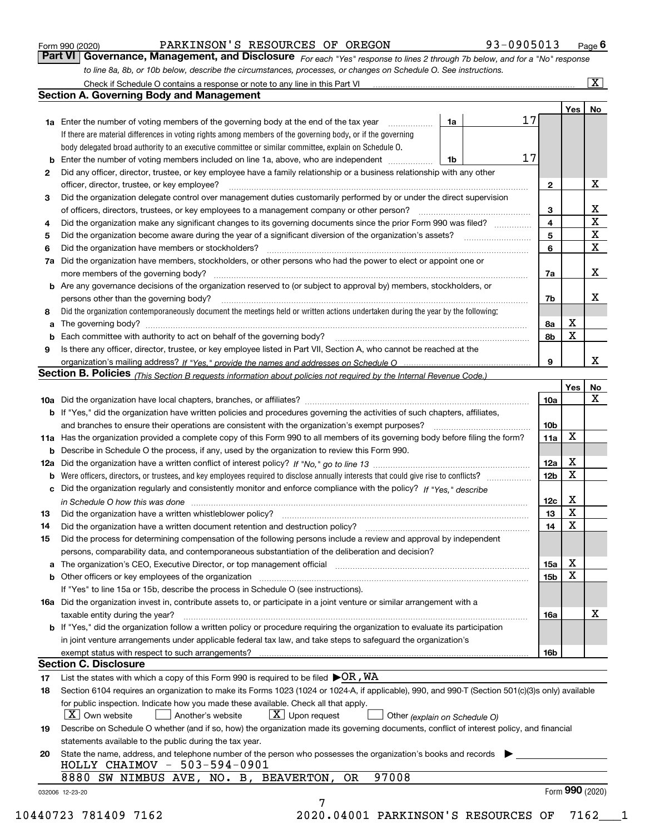|    |                                                                                                                                                                                                                                |                 |                 | $Yes \mid No$            |
|----|--------------------------------------------------------------------------------------------------------------------------------------------------------------------------------------------------------------------------------|-----------------|-----------------|--------------------------|
|    | 1a<br><b>1a</b> Enter the number of voting members of the governing body at the end of the tax year                                                                                                                            | 17              |                 |                          |
|    | If there are material differences in voting rights among members of the governing body, or if the governing                                                                                                                    |                 |                 |                          |
|    | body delegated broad authority to an executive committee or similar committee, explain on Schedule O.                                                                                                                          |                 |                 |                          |
|    | 1b                                                                                                                                                                                                                             | 17              |                 |                          |
| 2  | Did any officer, director, trustee, or key employee have a family relationship or a business relationship with any other<br>officer, director, trustee, or key employee?                                                       | $\mathbf{2}$    |                 | х                        |
| З  | Did the organization delegate control over management duties customarily performed by or under the direct supervision                                                                                                          |                 |                 |                          |
|    |                                                                                                                                                                                                                                | 3               |                 | $\underline{\mathbf{X}}$ |
| 4  | Did the organization make any significant changes to its governing documents since the prior Form 990 was filed?                                                                                                               | 4               |                 | $\overline{\mathtt{x}}$  |
| 5  |                                                                                                                                                                                                                                | 5               |                 | $\overline{\texttt{x}}$  |
| 6  | Did the organization have members or stockholders?                                                                                                                                                                             | 6               |                 | $\overline{\mathbf{x}}$  |
| 7a | Did the organization have members, stockholders, or other persons who had the power to elect or appoint one or                                                                                                                 |                 |                 |                          |
|    | more members of the governing body?                                                                                                                                                                                            | 7a              |                 | X                        |
|    | b Are any governance decisions of the organization reserved to (or subject to approval by) members, stockholders, or                                                                                                           |                 |                 |                          |
|    | persons other than the governing body?                                                                                                                                                                                         | 7b              |                 | х                        |
| 8  | Did the organization contemporaneously document the meetings held or written actions undertaken during the year by the following:                                                                                              |                 |                 |                          |
| a  |                                                                                                                                                                                                                                | 8а              | X               |                          |
|    |                                                                                                                                                                                                                                | 8b              | X               |                          |
| 9  | Is there any officer, director, trustee, or key employee listed in Part VII, Section A, who cannot be reached at the                                                                                                           |                 |                 |                          |
|    |                                                                                                                                                                                                                                | 9               |                 | x                        |
|    | Section B. Policies (This Section B requests information about policies not required by the Internal Revenue Code.)                                                                                                            |                 |                 |                          |
|    |                                                                                                                                                                                                                                |                 | Yes             | No                       |
|    |                                                                                                                                                                                                                                | 10a             |                 | X                        |
|    | <b>b</b> If "Yes," did the organization have written policies and procedures governing the activities of such chapters, affiliates,                                                                                            |                 |                 |                          |
|    |                                                                                                                                                                                                                                | 10 <sub>b</sub> |                 |                          |
|    | 11a Has the organization provided a complete copy of this Form 990 to all members of its governing body before filing the form?                                                                                                | 11a             | x               |                          |
|    | <b>b</b> Describe in Schedule O the process, if any, used by the organization to review this Form 990.                                                                                                                         |                 |                 |                          |
|    |                                                                                                                                                                                                                                | 12a             | X               |                          |
|    | <b>b</b> Were officers, directors, or trustees, and key employees required to disclose annually interests that could give rise to conflicts?                                                                                   | 12 <sub>b</sub> | X               |                          |
|    | c Did the organization regularly and consistently monitor and enforce compliance with the policy? If "Yes." describe                                                                                                           |                 |                 |                          |
|    |                                                                                                                                                                                                                                | 12c             | X               |                          |
| 13 | in Schedule O how this was done manufactured and contain an according to the state of the schedule O how this was done                                                                                                         | 13              | X               |                          |
| 14 | Did the organization have a written document retention and destruction policy? manufactured and the organization have a written document retention and destruction policy?                                                     | 14              | X               |                          |
| 15 | Did the process for determining compensation of the following persons include a review and approval by independent                                                                                                             |                 |                 |                          |
|    | persons, comparability data, and contemporaneous substantiation of the deliberation and decision?                                                                                                                              |                 |                 |                          |
|    |                                                                                                                                                                                                                                |                 | X               |                          |
|    | a The organization's CEO, Executive Director, or top management official manufactured content content of the organization's CEO, Executive Director, or top management official manufactured content of the state of the state | 15a             | X               |                          |
|    | <b>b</b> Other officers or key employees of the organization                                                                                                                                                                   | 15 <sub>b</sub> |                 |                          |
|    | If "Yes" to line 15a or 15b, describe the process in Schedule O (see instructions).                                                                                                                                            |                 |                 |                          |
|    | 16a Did the organization invest in, contribute assets to, or participate in a joint venture or similar arrangement with a                                                                                                      |                 |                 | X                        |
|    | taxable entity during the year?                                                                                                                                                                                                | 16a             |                 |                          |
|    | b If "Yes," did the organization follow a written policy or procedure requiring the organization to evaluate its participation                                                                                                 |                 |                 |                          |
|    | in joint venture arrangements under applicable federal tax law, and take steps to safeguard the organization's                                                                                                                 |                 |                 |                          |
|    | <b>Section C. Disclosure</b>                                                                                                                                                                                                   | 16b             |                 |                          |
|    |                                                                                                                                                                                                                                |                 |                 |                          |
| 17 | List the states with which a copy of this Form 990 is required to be filed $\blacktriangleright$ OR, WA                                                                                                                        |                 |                 |                          |
| 18 | Section 6104 requires an organization to make its Forms 1023 (1024 or 1024-A, if applicable), 990, and 990-T (Section 501(c)(3)s only) available                                                                               |                 |                 |                          |
|    | for public inspection. Indicate how you made these available. Check all that apply.                                                                                                                                            |                 |                 |                          |
|    | $X \mid$ Own website<br>$X$ Upon request<br>Another's website<br>Other (explain on Schedule O)                                                                                                                                 |                 |                 |                          |
| 19 | Describe on Schedule O whether (and if so, how) the organization made its governing documents, conflict of interest policy, and financial                                                                                      |                 |                 |                          |
|    | statements available to the public during the tax year.                                                                                                                                                                        |                 |                 |                          |
|    | State the name, address, and telephone number of the person who possesses the organization's books and records                                                                                                                 |                 |                 |                          |
| 20 | HOLLY CHAIMOV - 503-594-0901                                                                                                                                                                                                   |                 |                 |                          |
|    | 8880 SW NIMBUS AVE, NO. B, BEAVERTON, OR<br>97008                                                                                                                                                                              |                 |                 |                          |
|    | 032006 12-23-20                                                                                                                                                                                                                |                 | Form 990 (2020) |                          |
|    | 7                                                                                                                                                                                                                              |                 |                 |                          |

## Form 990 (2020) **Form 990 (2020)** PARKINSON 'S RESOURCES OF OREGON 93-0905013 Page 6<br>**Part VI** | Governance, Management, and Disclosure *For each "Yes" response to lines 2 through 7b below, and for a "No" response* PARKINSON'S RESOURCES OF OREGON 93-0905013

Check if Schedule O contains a response or note to any line in this Part VI

**Section A. Governing Body and Management**

*For each "Yes" response to lines 2 through 7b below, and for a "No" response to line 8a, 8b, or 10b below, describe the circumstances, processes, or changes on Schedule O. See instructions.*

 $\boxed{\text{X}}$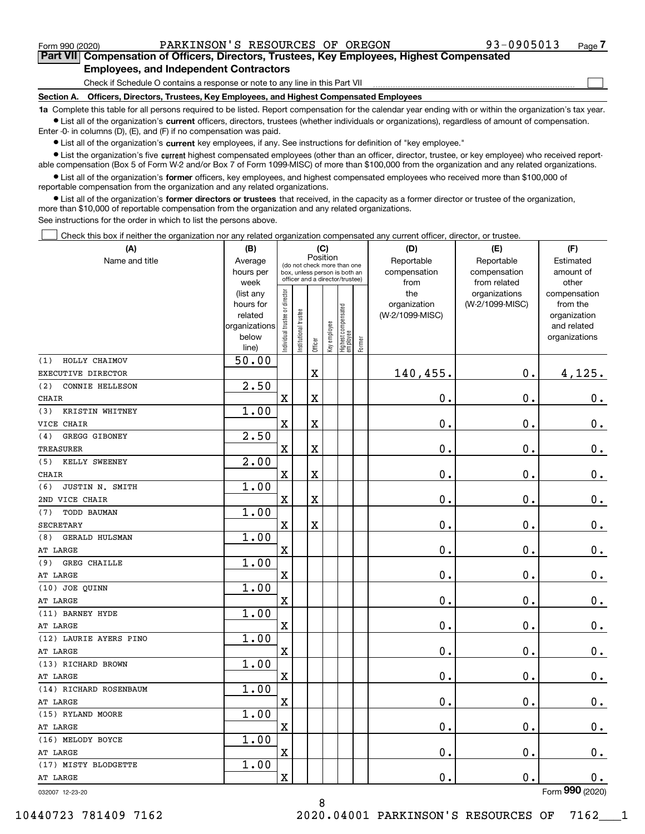$\mathcal{L}^{\text{max}}$ 

**7Part VII Compensation of Officers, Directors, Trustees, Key Employees, Highest Compensated Employees, and Independent Contractors**

Check if Schedule O contains a response or note to any line in this Part VII

**Section A. Officers, Directors, Trustees, Key Employees, and Highest Compensated Employees**

**1a**  Complete this table for all persons required to be listed. Report compensation for the calendar year ending with or within the organization's tax year. **•** List all of the organization's current officers, directors, trustees (whether individuals or organizations), regardless of amount of compensation.

Enter -0- in columns (D), (E), and (F) if no compensation was paid.

 $\bullet$  List all of the organization's  $\,$ current key employees, if any. See instructions for definition of "key employee."

**•** List the organization's five current highest compensated employees (other than an officer, director, trustee, or key employee) who received reportable compensation (Box 5 of Form W-2 and/or Box 7 of Form 1099-MISC) of more than \$100,000 from the organization and any related organizations.

**•** List all of the organization's former officers, key employees, and highest compensated employees who received more than \$100,000 of reportable compensation from the organization and any related organizations.

**former directors or trustees**  ¥ List all of the organization's that received, in the capacity as a former director or trustee of the organization, more than \$10,000 of reportable compensation from the organization and any related organizations.

See instructions for the order in which to list the persons above.

Check this box if neither the organization nor any related organization compensated any current officer, director, or trustee.  $\mathcal{L}^{\text{max}}$ 

| (A)                                | (B)                    |                                |                                 |             | (C)          |                                  |        | (D)             | (E)                | (F)                          |
|------------------------------------|------------------------|--------------------------------|---------------------------------|-------------|--------------|----------------------------------|--------|-----------------|--------------------|------------------------------|
| Name and title                     | Average                |                                | (do not check more than one     | Position    |              |                                  |        | Reportable      | Reportable         | Estimated                    |
|                                    | hours per              |                                | box, unless person is both an   |             |              |                                  |        | compensation    | compensation       | amount of                    |
|                                    | week                   |                                | officer and a director/trustee) |             |              |                                  |        | from            | from related       | other                        |
|                                    | (list any              |                                |                                 |             |              |                                  |        | the             | organizations      | compensation                 |
|                                    | hours for              |                                |                                 |             |              |                                  |        | organization    | (W-2/1099-MISC)    | from the                     |
|                                    | related                |                                |                                 |             |              |                                  |        | (W-2/1099-MISC) |                    | organization                 |
|                                    | organizations<br>below |                                |                                 |             |              |                                  |        |                 |                    | and related<br>organizations |
|                                    | line)                  | Individual trustee or director | Institutional trustee           | Officer     | Key employee | Highest compensated<br> employee | Former |                 |                    |                              |
| HOLLY CHAIMOV<br>(1)               | 50.00                  |                                |                                 |             |              |                                  |        |                 |                    |                              |
| EXECUTIVE DIRECTOR                 |                        |                                |                                 | $\mathbf X$ |              |                                  |        | 140,455.        | $0$ .              | 4,125.                       |
| (2)<br>CONNIE HELLESON             | 2.50                   |                                |                                 |             |              |                                  |        |                 |                    |                              |
| <b>CHAIR</b>                       |                        | $\overline{\mathbf{X}}$        |                                 | $\mathbf X$ |              |                                  |        | 0.              | 0.                 | $0_{.}$                      |
| KRISTIN WHITNEY<br>(3)             | 1.00                   |                                |                                 |             |              |                                  |        |                 |                    |                              |
| VICE CHAIR                         |                        | X                              |                                 | $\mathbf X$ |              |                                  |        | 0.              | 0.                 | $0_{.}$                      |
| GREGG GIBONEY<br>(4)               | 2.50                   |                                |                                 |             |              |                                  |        |                 |                    |                              |
| <b>TREASURER</b>                   |                        | $\overline{\mathbf{X}}$        |                                 | $\mathbf X$ |              |                                  |        | 0.              | 0.                 | $0_{.}$                      |
| KELLY SWEENEY<br>(5)               | 2.00                   |                                |                                 |             |              |                                  |        |                 |                    |                              |
| <b>CHAIR</b>                       |                        | $\overline{\mathbf{X}}$        |                                 | $\mathbf X$ |              |                                  |        | 0.              | 0.                 | $0_{.}$                      |
| JUSTIN N. SMITH<br>(6)             | 1.00                   |                                |                                 |             |              |                                  |        |                 |                    |                              |
| 2ND VICE CHAIR                     |                        | $\overline{\mathbf{X}}$        |                                 | $\mathbf X$ |              |                                  |        | 0.              | 0.                 | $0_{.}$                      |
| (7)<br>TODD BAUMAN                 | 1.00                   |                                |                                 |             |              |                                  |        |                 |                    |                              |
| <b>SECRETARY</b>                   |                        | $\rm X$                        |                                 | $\mathbf X$ |              |                                  |        | 0.              | 0.                 | $\mathbf 0$ .                |
| <b>GERALD HULSMAN</b><br>(8)       | 1.00                   |                                |                                 |             |              |                                  |        |                 |                    |                              |
| AT LARGE                           |                        | X                              |                                 |             |              |                                  |        | 0.              | 0.                 | $\mathbf 0$ .                |
| <b>GREG CHAILLE</b><br>(9)         | 1.00                   |                                |                                 |             |              |                                  |        |                 |                    |                              |
| AT LARGE                           |                        | X                              |                                 |             |              |                                  |        | 0.              | 0.                 | $\mathbf 0$ .                |
| (10) JOE QUINN                     | 1.00                   |                                |                                 |             |              |                                  |        |                 |                    |                              |
| AT LARGE                           |                        | X                              |                                 |             |              |                                  |        | 0.              | 0.                 | $\mathbf 0$ .                |
| (11) BARNEY HYDE                   | 1.00                   |                                |                                 |             |              |                                  |        |                 |                    |                              |
| AT LARGE                           |                        | X                              |                                 |             |              |                                  |        | 0.              | 0.                 | $\mathbf 0$ .                |
| (12) LAURIE AYERS PINO             | 1.00                   |                                |                                 |             |              |                                  |        |                 |                    |                              |
| AT LARGE                           |                        | X                              |                                 |             |              |                                  |        | 0.              | 0.                 | $\mathbf 0$ .                |
| (13) RICHARD BROWN                 | 1.00                   |                                |                                 |             |              |                                  |        |                 |                    |                              |
| AT LARGE<br>(14) RICHARD ROSENBAUM | 1.00                   | X                              |                                 |             |              |                                  |        | 0.              | 0.                 | 0.                           |
| AT LARGE                           |                        | $\mathbf X$                    |                                 |             |              |                                  |        | 0.              | $\mathbf 0$ .      | 0.                           |
| (15) RYLAND MOORE                  | 1.00                   |                                |                                 |             |              |                                  |        |                 |                    |                              |
| AT LARGE                           |                        | $\mathbf X$                    |                                 |             |              |                                  |        | $\mathbf 0$ .   | $\mathbf 0$ .      | 0.                           |
| (16) MELODY BOYCE                  | 1.00                   |                                |                                 |             |              |                                  |        |                 |                    |                              |
| AT LARGE                           |                        | $\mathbf X$                    |                                 |             |              |                                  |        | 0.              | $\boldsymbol{0}$ . | $0_{\cdot}$                  |
| (17) MISTY BLODGETTE               | 1.00                   |                                |                                 |             |              |                                  |        |                 |                    |                              |
| AT LARGE                           |                        | $\mathbf X$                    |                                 |             |              |                                  |        | 0.              | $\mathbf 0$ .      | 0.                           |
| 032007 12-23-20                    |                        |                                |                                 |             |              |                                  |        |                 |                    | Form 990 (2020)              |

8

032007 12-23-20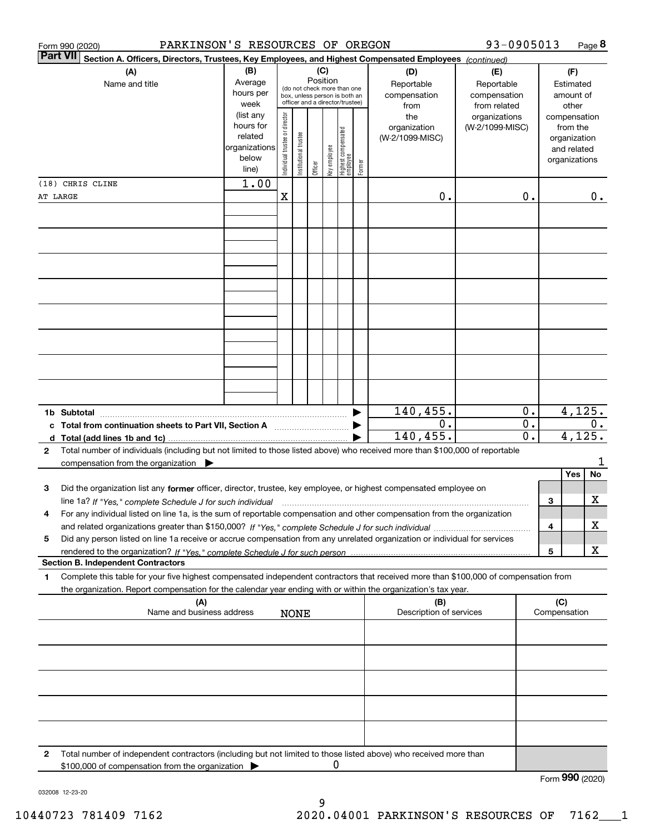| <b>Part VII</b><br>Section A. Officers, Directors, Trustees, Key Employees, and Highest Compensated Employees (continued)<br>(B)<br>(C)<br>(A)<br>(D)<br>(F)<br>(E)<br>Position<br>Average<br>Reportable<br>Name and title<br>Reportable<br>Estimated<br>(do not check more than one<br>hours per<br>compensation<br>compensation<br>amount of<br>box, unless person is both an<br>officer and a director/trustee)<br>week<br>from related<br>other<br>from<br>(list any<br>Individual trustee or director<br>the<br>organizations<br>compensation<br>hours for<br>organization<br>(W-2/1099-MISC)<br>from the<br>Highest compensated<br> employee<br>Institutional trustee<br>related<br>(W-2/1099-MISC)<br>organization<br>key employee<br>organizations<br>and related<br>below<br>organizations<br>Former<br>Officer<br>line)<br>1.00<br>(18) CHRIS CLINE<br>X<br>0.<br>0.<br>0.<br>AT LARGE<br>4,125.<br>140,455.<br>0.<br>$\overline{0}$ .<br>0.<br>0.<br>c Total from continuation sheets to Part VII, Section A<br>4,125.<br>140, 455.<br>0.<br>Total number of individuals (including but not limited to those listed above) who received more than \$100,000 of reportable<br>2<br>1<br>compensation from the organization<br>Yes<br>No<br>3<br>Did the organization list any former officer, director, trustee, key employee, or highest compensated employee on<br>х<br>3<br>line 1a? If "Yes," complete Schedule J for such individual manufactured contained and the line 1a? If "Yes," complete Schedule J for such individual<br>For any individual listed on line 1a, is the sum of reportable compensation and other compensation from the organization<br>х<br>4<br>Did any person listed on line 1a receive or accrue compensation from any unrelated organization or individual for services<br>5<br>х<br>5<br><b>Section B. Independent Contractors</b><br>Complete this table for your five highest compensated independent contractors that received more than \$100,000 of compensation from<br>1.<br>the organization. Report compensation for the calendar year ending with or within the organization's tax year.<br>(C)<br>(A)<br>(B)<br>Name and business address<br>Description of services<br>Compensation<br><b>NONE</b><br>Total number of independent contractors (including but not limited to those listed above) who received more than<br>2<br>0<br>\$100,000 of compensation from the organization<br>Form 990 (2020) | PARKINSON'S RESOURCES OF OREGON<br>Form 990 (2020) |  |  |  |  | 93-0905013 |  | Page 8 |
|---------------------------------------------------------------------------------------------------------------------------------------------------------------------------------------------------------------------------------------------------------------------------------------------------------------------------------------------------------------------------------------------------------------------------------------------------------------------------------------------------------------------------------------------------------------------------------------------------------------------------------------------------------------------------------------------------------------------------------------------------------------------------------------------------------------------------------------------------------------------------------------------------------------------------------------------------------------------------------------------------------------------------------------------------------------------------------------------------------------------------------------------------------------------------------------------------------------------------------------------------------------------------------------------------------------------------------------------------------------------------------------------------------------------------------------------------------------------------------------------------------------------------------------------------------------------------------------------------------------------------------------------------------------------------------------------------------------------------------------------------------------------------------------------------------------------------------------------------------------------------------------------------------------------------------------------------------------------------------------------------------------------------------------------------------------------------------------------------------------------------------------------------------------------------------------------------------------------------------------------------------------------------------------------------------------------------------------------------------------------------------------------------------------------------------------------------------------|----------------------------------------------------|--|--|--|--|------------|--|--------|
|                                                                                                                                                                                                                                                                                                                                                                                                                                                                                                                                                                                                                                                                                                                                                                                                                                                                                                                                                                                                                                                                                                                                                                                                                                                                                                                                                                                                                                                                                                                                                                                                                                                                                                                                                                                                                                                                                                                                                                                                                                                                                                                                                                                                                                                                                                                                                                                                                                                               |                                                    |  |  |  |  |            |  |        |
|                                                                                                                                                                                                                                                                                                                                                                                                                                                                                                                                                                                                                                                                                                                                                                                                                                                                                                                                                                                                                                                                                                                                                                                                                                                                                                                                                                                                                                                                                                                                                                                                                                                                                                                                                                                                                                                                                                                                                                                                                                                                                                                                                                                                                                                                                                                                                                                                                                                               |                                                    |  |  |  |  |            |  |        |
|                                                                                                                                                                                                                                                                                                                                                                                                                                                                                                                                                                                                                                                                                                                                                                                                                                                                                                                                                                                                                                                                                                                                                                                                                                                                                                                                                                                                                                                                                                                                                                                                                                                                                                                                                                                                                                                                                                                                                                                                                                                                                                                                                                                                                                                                                                                                                                                                                                                               |                                                    |  |  |  |  |            |  |        |
|                                                                                                                                                                                                                                                                                                                                                                                                                                                                                                                                                                                                                                                                                                                                                                                                                                                                                                                                                                                                                                                                                                                                                                                                                                                                                                                                                                                                                                                                                                                                                                                                                                                                                                                                                                                                                                                                                                                                                                                                                                                                                                                                                                                                                                                                                                                                                                                                                                                               |                                                    |  |  |  |  |            |  |        |
|                                                                                                                                                                                                                                                                                                                                                                                                                                                                                                                                                                                                                                                                                                                                                                                                                                                                                                                                                                                                                                                                                                                                                                                                                                                                                                                                                                                                                                                                                                                                                                                                                                                                                                                                                                                                                                                                                                                                                                                                                                                                                                                                                                                                                                                                                                                                                                                                                                                               |                                                    |  |  |  |  |            |  |        |
|                                                                                                                                                                                                                                                                                                                                                                                                                                                                                                                                                                                                                                                                                                                                                                                                                                                                                                                                                                                                                                                                                                                                                                                                                                                                                                                                                                                                                                                                                                                                                                                                                                                                                                                                                                                                                                                                                                                                                                                                                                                                                                                                                                                                                                                                                                                                                                                                                                                               |                                                    |  |  |  |  |            |  |        |
|                                                                                                                                                                                                                                                                                                                                                                                                                                                                                                                                                                                                                                                                                                                                                                                                                                                                                                                                                                                                                                                                                                                                                                                                                                                                                                                                                                                                                                                                                                                                                                                                                                                                                                                                                                                                                                                                                                                                                                                                                                                                                                                                                                                                                                                                                                                                                                                                                                                               |                                                    |  |  |  |  |            |  |        |
|                                                                                                                                                                                                                                                                                                                                                                                                                                                                                                                                                                                                                                                                                                                                                                                                                                                                                                                                                                                                                                                                                                                                                                                                                                                                                                                                                                                                                                                                                                                                                                                                                                                                                                                                                                                                                                                                                                                                                                                                                                                                                                                                                                                                                                                                                                                                                                                                                                                               |                                                    |  |  |  |  |            |  |        |
|                                                                                                                                                                                                                                                                                                                                                                                                                                                                                                                                                                                                                                                                                                                                                                                                                                                                                                                                                                                                                                                                                                                                                                                                                                                                                                                                                                                                                                                                                                                                                                                                                                                                                                                                                                                                                                                                                                                                                                                                                                                                                                                                                                                                                                                                                                                                                                                                                                                               |                                                    |  |  |  |  |            |  |        |
|                                                                                                                                                                                                                                                                                                                                                                                                                                                                                                                                                                                                                                                                                                                                                                                                                                                                                                                                                                                                                                                                                                                                                                                                                                                                                                                                                                                                                                                                                                                                                                                                                                                                                                                                                                                                                                                                                                                                                                                                                                                                                                                                                                                                                                                                                                                                                                                                                                                               |                                                    |  |  |  |  |            |  |        |
|                                                                                                                                                                                                                                                                                                                                                                                                                                                                                                                                                                                                                                                                                                                                                                                                                                                                                                                                                                                                                                                                                                                                                                                                                                                                                                                                                                                                                                                                                                                                                                                                                                                                                                                                                                                                                                                                                                                                                                                                                                                                                                                                                                                                                                                                                                                                                                                                                                                               |                                                    |  |  |  |  |            |  |        |
|                                                                                                                                                                                                                                                                                                                                                                                                                                                                                                                                                                                                                                                                                                                                                                                                                                                                                                                                                                                                                                                                                                                                                                                                                                                                                                                                                                                                                                                                                                                                                                                                                                                                                                                                                                                                                                                                                                                                                                                                                                                                                                                                                                                                                                                                                                                                                                                                                                                               |                                                    |  |  |  |  |            |  |        |
|                                                                                                                                                                                                                                                                                                                                                                                                                                                                                                                                                                                                                                                                                                                                                                                                                                                                                                                                                                                                                                                                                                                                                                                                                                                                                                                                                                                                                                                                                                                                                                                                                                                                                                                                                                                                                                                                                                                                                                                                                                                                                                                                                                                                                                                                                                                                                                                                                                                               |                                                    |  |  |  |  |            |  |        |
|                                                                                                                                                                                                                                                                                                                                                                                                                                                                                                                                                                                                                                                                                                                                                                                                                                                                                                                                                                                                                                                                                                                                                                                                                                                                                                                                                                                                                                                                                                                                                                                                                                                                                                                                                                                                                                                                                                                                                                                                                                                                                                                                                                                                                                                                                                                                                                                                                                                               |                                                    |  |  |  |  |            |  |        |
|                                                                                                                                                                                                                                                                                                                                                                                                                                                                                                                                                                                                                                                                                                                                                                                                                                                                                                                                                                                                                                                                                                                                                                                                                                                                                                                                                                                                                                                                                                                                                                                                                                                                                                                                                                                                                                                                                                                                                                                                                                                                                                                                                                                                                                                                                                                                                                                                                                                               |                                                    |  |  |  |  |            |  |        |
|                                                                                                                                                                                                                                                                                                                                                                                                                                                                                                                                                                                                                                                                                                                                                                                                                                                                                                                                                                                                                                                                                                                                                                                                                                                                                                                                                                                                                                                                                                                                                                                                                                                                                                                                                                                                                                                                                                                                                                                                                                                                                                                                                                                                                                                                                                                                                                                                                                                               |                                                    |  |  |  |  |            |  |        |
|                                                                                                                                                                                                                                                                                                                                                                                                                                                                                                                                                                                                                                                                                                                                                                                                                                                                                                                                                                                                                                                                                                                                                                                                                                                                                                                                                                                                                                                                                                                                                                                                                                                                                                                                                                                                                                                                                                                                                                                                                                                                                                                                                                                                                                                                                                                                                                                                                                                               |                                                    |  |  |  |  |            |  |        |
|                                                                                                                                                                                                                                                                                                                                                                                                                                                                                                                                                                                                                                                                                                                                                                                                                                                                                                                                                                                                                                                                                                                                                                                                                                                                                                                                                                                                                                                                                                                                                                                                                                                                                                                                                                                                                                                                                                                                                                                                                                                                                                                                                                                                                                                                                                                                                                                                                                                               |                                                    |  |  |  |  |            |  |        |
|                                                                                                                                                                                                                                                                                                                                                                                                                                                                                                                                                                                                                                                                                                                                                                                                                                                                                                                                                                                                                                                                                                                                                                                                                                                                                                                                                                                                                                                                                                                                                                                                                                                                                                                                                                                                                                                                                                                                                                                                                                                                                                                                                                                                                                                                                                                                                                                                                                                               |                                                    |  |  |  |  |            |  |        |
|                                                                                                                                                                                                                                                                                                                                                                                                                                                                                                                                                                                                                                                                                                                                                                                                                                                                                                                                                                                                                                                                                                                                                                                                                                                                                                                                                                                                                                                                                                                                                                                                                                                                                                                                                                                                                                                                                                                                                                                                                                                                                                                                                                                                                                                                                                                                                                                                                                                               |                                                    |  |  |  |  |            |  |        |
|                                                                                                                                                                                                                                                                                                                                                                                                                                                                                                                                                                                                                                                                                                                                                                                                                                                                                                                                                                                                                                                                                                                                                                                                                                                                                                                                                                                                                                                                                                                                                                                                                                                                                                                                                                                                                                                                                                                                                                                                                                                                                                                                                                                                                                                                                                                                                                                                                                                               |                                                    |  |  |  |  |            |  |        |
|                                                                                                                                                                                                                                                                                                                                                                                                                                                                                                                                                                                                                                                                                                                                                                                                                                                                                                                                                                                                                                                                                                                                                                                                                                                                                                                                                                                                                                                                                                                                                                                                                                                                                                                                                                                                                                                                                                                                                                                                                                                                                                                                                                                                                                                                                                                                                                                                                                                               |                                                    |  |  |  |  |            |  |        |
|                                                                                                                                                                                                                                                                                                                                                                                                                                                                                                                                                                                                                                                                                                                                                                                                                                                                                                                                                                                                                                                                                                                                                                                                                                                                                                                                                                                                                                                                                                                                                                                                                                                                                                                                                                                                                                                                                                                                                                                                                                                                                                                                                                                                                                                                                                                                                                                                                                                               |                                                    |  |  |  |  |            |  |        |
|                                                                                                                                                                                                                                                                                                                                                                                                                                                                                                                                                                                                                                                                                                                                                                                                                                                                                                                                                                                                                                                                                                                                                                                                                                                                                                                                                                                                                                                                                                                                                                                                                                                                                                                                                                                                                                                                                                                                                                                                                                                                                                                                                                                                                                                                                                                                                                                                                                                               |                                                    |  |  |  |  |            |  |        |
|                                                                                                                                                                                                                                                                                                                                                                                                                                                                                                                                                                                                                                                                                                                                                                                                                                                                                                                                                                                                                                                                                                                                                                                                                                                                                                                                                                                                                                                                                                                                                                                                                                                                                                                                                                                                                                                                                                                                                                                                                                                                                                                                                                                                                                                                                                                                                                                                                                                               |                                                    |  |  |  |  |            |  |        |
|                                                                                                                                                                                                                                                                                                                                                                                                                                                                                                                                                                                                                                                                                                                                                                                                                                                                                                                                                                                                                                                                                                                                                                                                                                                                                                                                                                                                                                                                                                                                                                                                                                                                                                                                                                                                                                                                                                                                                                                                                                                                                                                                                                                                                                                                                                                                                                                                                                                               |                                                    |  |  |  |  |            |  |        |
|                                                                                                                                                                                                                                                                                                                                                                                                                                                                                                                                                                                                                                                                                                                                                                                                                                                                                                                                                                                                                                                                                                                                                                                                                                                                                                                                                                                                                                                                                                                                                                                                                                                                                                                                                                                                                                                                                                                                                                                                                                                                                                                                                                                                                                                                                                                                                                                                                                                               |                                                    |  |  |  |  |            |  |        |
|                                                                                                                                                                                                                                                                                                                                                                                                                                                                                                                                                                                                                                                                                                                                                                                                                                                                                                                                                                                                                                                                                                                                                                                                                                                                                                                                                                                                                                                                                                                                                                                                                                                                                                                                                                                                                                                                                                                                                                                                                                                                                                                                                                                                                                                                                                                                                                                                                                                               |                                                    |  |  |  |  |            |  |        |
|                                                                                                                                                                                                                                                                                                                                                                                                                                                                                                                                                                                                                                                                                                                                                                                                                                                                                                                                                                                                                                                                                                                                                                                                                                                                                                                                                                                                                                                                                                                                                                                                                                                                                                                                                                                                                                                                                                                                                                                                                                                                                                                                                                                                                                                                                                                                                                                                                                                               |                                                    |  |  |  |  |            |  |        |
|                                                                                                                                                                                                                                                                                                                                                                                                                                                                                                                                                                                                                                                                                                                                                                                                                                                                                                                                                                                                                                                                                                                                                                                                                                                                                                                                                                                                                                                                                                                                                                                                                                                                                                                                                                                                                                                                                                                                                                                                                                                                                                                                                                                                                                                                                                                                                                                                                                                               |                                                    |  |  |  |  |            |  |        |
|                                                                                                                                                                                                                                                                                                                                                                                                                                                                                                                                                                                                                                                                                                                                                                                                                                                                                                                                                                                                                                                                                                                                                                                                                                                                                                                                                                                                                                                                                                                                                                                                                                                                                                                                                                                                                                                                                                                                                                                                                                                                                                                                                                                                                                                                                                                                                                                                                                                               |                                                    |  |  |  |  |            |  |        |
|                                                                                                                                                                                                                                                                                                                                                                                                                                                                                                                                                                                                                                                                                                                                                                                                                                                                                                                                                                                                                                                                                                                                                                                                                                                                                                                                                                                                                                                                                                                                                                                                                                                                                                                                                                                                                                                                                                                                                                                                                                                                                                                                                                                                                                                                                                                                                                                                                                                               |                                                    |  |  |  |  |            |  |        |
|                                                                                                                                                                                                                                                                                                                                                                                                                                                                                                                                                                                                                                                                                                                                                                                                                                                                                                                                                                                                                                                                                                                                                                                                                                                                                                                                                                                                                                                                                                                                                                                                                                                                                                                                                                                                                                                                                                                                                                                                                                                                                                                                                                                                                                                                                                                                                                                                                                                               |                                                    |  |  |  |  |            |  |        |
|                                                                                                                                                                                                                                                                                                                                                                                                                                                                                                                                                                                                                                                                                                                                                                                                                                                                                                                                                                                                                                                                                                                                                                                                                                                                                                                                                                                                                                                                                                                                                                                                                                                                                                                                                                                                                                                                                                                                                                                                                                                                                                                                                                                                                                                                                                                                                                                                                                                               |                                                    |  |  |  |  |            |  |        |
|                                                                                                                                                                                                                                                                                                                                                                                                                                                                                                                                                                                                                                                                                                                                                                                                                                                                                                                                                                                                                                                                                                                                                                                                                                                                                                                                                                                                                                                                                                                                                                                                                                                                                                                                                                                                                                                                                                                                                                                                                                                                                                                                                                                                                                                                                                                                                                                                                                                               |                                                    |  |  |  |  |            |  |        |
|                                                                                                                                                                                                                                                                                                                                                                                                                                                                                                                                                                                                                                                                                                                                                                                                                                                                                                                                                                                                                                                                                                                                                                                                                                                                                                                                                                                                                                                                                                                                                                                                                                                                                                                                                                                                                                                                                                                                                                                                                                                                                                                                                                                                                                                                                                                                                                                                                                                               |                                                    |  |  |  |  |            |  |        |
|                                                                                                                                                                                                                                                                                                                                                                                                                                                                                                                                                                                                                                                                                                                                                                                                                                                                                                                                                                                                                                                                                                                                                                                                                                                                                                                                                                                                                                                                                                                                                                                                                                                                                                                                                                                                                                                                                                                                                                                                                                                                                                                                                                                                                                                                                                                                                                                                                                                               |                                                    |  |  |  |  |            |  |        |
|                                                                                                                                                                                                                                                                                                                                                                                                                                                                                                                                                                                                                                                                                                                                                                                                                                                                                                                                                                                                                                                                                                                                                                                                                                                                                                                                                                                                                                                                                                                                                                                                                                                                                                                                                                                                                                                                                                                                                                                                                                                                                                                                                                                                                                                                                                                                                                                                                                                               |                                                    |  |  |  |  |            |  |        |
|                                                                                                                                                                                                                                                                                                                                                                                                                                                                                                                                                                                                                                                                                                                                                                                                                                                                                                                                                                                                                                                                                                                                                                                                                                                                                                                                                                                                                                                                                                                                                                                                                                                                                                                                                                                                                                                                                                                                                                                                                                                                                                                                                                                                                                                                                                                                                                                                                                                               |                                                    |  |  |  |  |            |  |        |
|                                                                                                                                                                                                                                                                                                                                                                                                                                                                                                                                                                                                                                                                                                                                                                                                                                                                                                                                                                                                                                                                                                                                                                                                                                                                                                                                                                                                                                                                                                                                                                                                                                                                                                                                                                                                                                                                                                                                                                                                                                                                                                                                                                                                                                                                                                                                                                                                                                                               |                                                    |  |  |  |  |            |  |        |
|                                                                                                                                                                                                                                                                                                                                                                                                                                                                                                                                                                                                                                                                                                                                                                                                                                                                                                                                                                                                                                                                                                                                                                                                                                                                                                                                                                                                                                                                                                                                                                                                                                                                                                                                                                                                                                                                                                                                                                                                                                                                                                                                                                                                                                                                                                                                                                                                                                                               |                                                    |  |  |  |  |            |  |        |
|                                                                                                                                                                                                                                                                                                                                                                                                                                                                                                                                                                                                                                                                                                                                                                                                                                                                                                                                                                                                                                                                                                                                                                                                                                                                                                                                                                                                                                                                                                                                                                                                                                                                                                                                                                                                                                                                                                                                                                                                                                                                                                                                                                                                                                                                                                                                                                                                                                                               |                                                    |  |  |  |  |            |  |        |
|                                                                                                                                                                                                                                                                                                                                                                                                                                                                                                                                                                                                                                                                                                                                                                                                                                                                                                                                                                                                                                                                                                                                                                                                                                                                                                                                                                                                                                                                                                                                                                                                                                                                                                                                                                                                                                                                                                                                                                                                                                                                                                                                                                                                                                                                                                                                                                                                                                                               |                                                    |  |  |  |  |            |  |        |
|                                                                                                                                                                                                                                                                                                                                                                                                                                                                                                                                                                                                                                                                                                                                                                                                                                                                                                                                                                                                                                                                                                                                                                                                                                                                                                                                                                                                                                                                                                                                                                                                                                                                                                                                                                                                                                                                                                                                                                                                                                                                                                                                                                                                                                                                                                                                                                                                                                                               |                                                    |  |  |  |  |            |  |        |
|                                                                                                                                                                                                                                                                                                                                                                                                                                                                                                                                                                                                                                                                                                                                                                                                                                                                                                                                                                                                                                                                                                                                                                                                                                                                                                                                                                                                                                                                                                                                                                                                                                                                                                                                                                                                                                                                                                                                                                                                                                                                                                                                                                                                                                                                                                                                                                                                                                                               |                                                    |  |  |  |  |            |  |        |
|                                                                                                                                                                                                                                                                                                                                                                                                                                                                                                                                                                                                                                                                                                                                                                                                                                                                                                                                                                                                                                                                                                                                                                                                                                                                                                                                                                                                                                                                                                                                                                                                                                                                                                                                                                                                                                                                                                                                                                                                                                                                                                                                                                                                                                                                                                                                                                                                                                                               |                                                    |  |  |  |  |            |  |        |
|                                                                                                                                                                                                                                                                                                                                                                                                                                                                                                                                                                                                                                                                                                                                                                                                                                                                                                                                                                                                                                                                                                                                                                                                                                                                                                                                                                                                                                                                                                                                                                                                                                                                                                                                                                                                                                                                                                                                                                                                                                                                                                                                                                                                                                                                                                                                                                                                                                                               |                                                    |  |  |  |  |            |  |        |
|                                                                                                                                                                                                                                                                                                                                                                                                                                                                                                                                                                                                                                                                                                                                                                                                                                                                                                                                                                                                                                                                                                                                                                                                                                                                                                                                                                                                                                                                                                                                                                                                                                                                                                                                                                                                                                                                                                                                                                                                                                                                                                                                                                                                                                                                                                                                                                                                                                                               |                                                    |  |  |  |  |            |  |        |
|                                                                                                                                                                                                                                                                                                                                                                                                                                                                                                                                                                                                                                                                                                                                                                                                                                                                                                                                                                                                                                                                                                                                                                                                                                                                                                                                                                                                                                                                                                                                                                                                                                                                                                                                                                                                                                                                                                                                                                                                                                                                                                                                                                                                                                                                                                                                                                                                                                                               |                                                    |  |  |  |  |            |  |        |
|                                                                                                                                                                                                                                                                                                                                                                                                                                                                                                                                                                                                                                                                                                                                                                                                                                                                                                                                                                                                                                                                                                                                                                                                                                                                                                                                                                                                                                                                                                                                                                                                                                                                                                                                                                                                                                                                                                                                                                                                                                                                                                                                                                                                                                                                                                                                                                                                                                                               |                                                    |  |  |  |  |            |  |        |
|                                                                                                                                                                                                                                                                                                                                                                                                                                                                                                                                                                                                                                                                                                                                                                                                                                                                                                                                                                                                                                                                                                                                                                                                                                                                                                                                                                                                                                                                                                                                                                                                                                                                                                                                                                                                                                                                                                                                                                                                                                                                                                                                                                                                                                                                                                                                                                                                                                                               |                                                    |  |  |  |  |            |  |        |
|                                                                                                                                                                                                                                                                                                                                                                                                                                                                                                                                                                                                                                                                                                                                                                                                                                                                                                                                                                                                                                                                                                                                                                                                                                                                                                                                                                                                                                                                                                                                                                                                                                                                                                                                                                                                                                                                                                                                                                                                                                                                                                                                                                                                                                                                                                                                                                                                                                                               |                                                    |  |  |  |  |            |  |        |
|                                                                                                                                                                                                                                                                                                                                                                                                                                                                                                                                                                                                                                                                                                                                                                                                                                                                                                                                                                                                                                                                                                                                                                                                                                                                                                                                                                                                                                                                                                                                                                                                                                                                                                                                                                                                                                                                                                                                                                                                                                                                                                                                                                                                                                                                                                                                                                                                                                                               |                                                    |  |  |  |  |            |  |        |
|                                                                                                                                                                                                                                                                                                                                                                                                                                                                                                                                                                                                                                                                                                                                                                                                                                                                                                                                                                                                                                                                                                                                                                                                                                                                                                                                                                                                                                                                                                                                                                                                                                                                                                                                                                                                                                                                                                                                                                                                                                                                                                                                                                                                                                                                                                                                                                                                                                                               |                                                    |  |  |  |  |            |  |        |
|                                                                                                                                                                                                                                                                                                                                                                                                                                                                                                                                                                                                                                                                                                                                                                                                                                                                                                                                                                                                                                                                                                                                                                                                                                                                                                                                                                                                                                                                                                                                                                                                                                                                                                                                                                                                                                                                                                                                                                                                                                                                                                                                                                                                                                                                                                                                                                                                                                                               |                                                    |  |  |  |  |            |  |        |
|                                                                                                                                                                                                                                                                                                                                                                                                                                                                                                                                                                                                                                                                                                                                                                                                                                                                                                                                                                                                                                                                                                                                                                                                                                                                                                                                                                                                                                                                                                                                                                                                                                                                                                                                                                                                                                                                                                                                                                                                                                                                                                                                                                                                                                                                                                                                                                                                                                                               |                                                    |  |  |  |  |            |  |        |
|                                                                                                                                                                                                                                                                                                                                                                                                                                                                                                                                                                                                                                                                                                                                                                                                                                                                                                                                                                                                                                                                                                                                                                                                                                                                                                                                                                                                                                                                                                                                                                                                                                                                                                                                                                                                                                                                                                                                                                                                                                                                                                                                                                                                                                                                                                                                                                                                                                                               |                                                    |  |  |  |  |            |  |        |
|                                                                                                                                                                                                                                                                                                                                                                                                                                                                                                                                                                                                                                                                                                                                                                                                                                                                                                                                                                                                                                                                                                                                                                                                                                                                                                                                                                                                                                                                                                                                                                                                                                                                                                                                                                                                                                                                                                                                                                                                                                                                                                                                                                                                                                                                                                                                                                                                                                                               |                                                    |  |  |  |  |            |  |        |
|                                                                                                                                                                                                                                                                                                                                                                                                                                                                                                                                                                                                                                                                                                                                                                                                                                                                                                                                                                                                                                                                                                                                                                                                                                                                                                                                                                                                                                                                                                                                                                                                                                                                                                                                                                                                                                                                                                                                                                                                                                                                                                                                                                                                                                                                                                                                                                                                                                                               |                                                    |  |  |  |  |            |  |        |
|                                                                                                                                                                                                                                                                                                                                                                                                                                                                                                                                                                                                                                                                                                                                                                                                                                                                                                                                                                                                                                                                                                                                                                                                                                                                                                                                                                                                                                                                                                                                                                                                                                                                                                                                                                                                                                                                                                                                                                                                                                                                                                                                                                                                                                                                                                                                                                                                                                                               |                                                    |  |  |  |  |            |  |        |
|                                                                                                                                                                                                                                                                                                                                                                                                                                                                                                                                                                                                                                                                                                                                                                                                                                                                                                                                                                                                                                                                                                                                                                                                                                                                                                                                                                                                                                                                                                                                                                                                                                                                                                                                                                                                                                                                                                                                                                                                                                                                                                                                                                                                                                                                                                                                                                                                                                                               |                                                    |  |  |  |  |            |  |        |
|                                                                                                                                                                                                                                                                                                                                                                                                                                                                                                                                                                                                                                                                                                                                                                                                                                                                                                                                                                                                                                                                                                                                                                                                                                                                                                                                                                                                                                                                                                                                                                                                                                                                                                                                                                                                                                                                                                                                                                                                                                                                                                                                                                                                                                                                                                                                                                                                                                                               |                                                    |  |  |  |  |            |  |        |
|                                                                                                                                                                                                                                                                                                                                                                                                                                                                                                                                                                                                                                                                                                                                                                                                                                                                                                                                                                                                                                                                                                                                                                                                                                                                                                                                                                                                                                                                                                                                                                                                                                                                                                                                                                                                                                                                                                                                                                                                                                                                                                                                                                                                                                                                                                                                                                                                                                                               |                                                    |  |  |  |  |            |  |        |
|                                                                                                                                                                                                                                                                                                                                                                                                                                                                                                                                                                                                                                                                                                                                                                                                                                                                                                                                                                                                                                                                                                                                                                                                                                                                                                                                                                                                                                                                                                                                                                                                                                                                                                                                                                                                                                                                                                                                                                                                                                                                                                                                                                                                                                                                                                                                                                                                                                                               |                                                    |  |  |  |  |            |  |        |
|                                                                                                                                                                                                                                                                                                                                                                                                                                                                                                                                                                                                                                                                                                                                                                                                                                                                                                                                                                                                                                                                                                                                                                                                                                                                                                                                                                                                                                                                                                                                                                                                                                                                                                                                                                                                                                                                                                                                                                                                                                                                                                                                                                                                                                                                                                                                                                                                                                                               |                                                    |  |  |  |  |            |  |        |

032008 12-23-20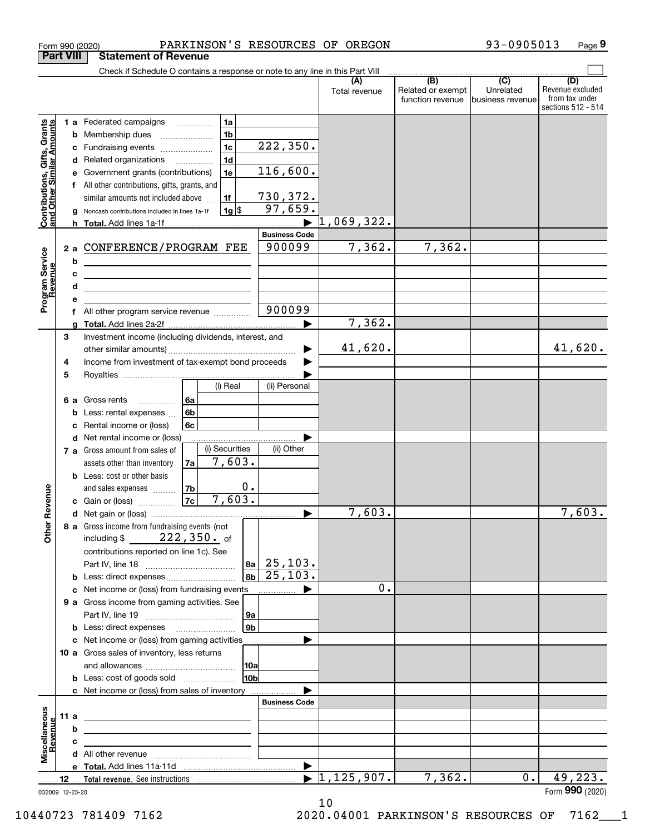|                                                                  |                  | PARKINSON'S RESOURCES OF OREGON<br>Form 990 (2020)                                                                         |                                  |                                              | 93-0905013                                        | Page 9                                                          |
|------------------------------------------------------------------|------------------|----------------------------------------------------------------------------------------------------------------------------|----------------------------------|----------------------------------------------|---------------------------------------------------|-----------------------------------------------------------------|
|                                                                  | <b>Part VIII</b> | <b>Statement of Revenue</b>                                                                                                |                                  |                                              |                                                   |                                                                 |
|                                                                  |                  | Check if Schedule O contains a response or note to any line in this Part VIII                                              |                                  |                                              |                                                   |                                                                 |
|                                                                  |                  |                                                                                                                            | (A)<br>Total revenue             | (B)<br>Related or exempt<br>function revenue | $\overline{(C)}$<br>Unrelated<br>business revenue | (D)<br>Revenue excluded<br>from tax under<br>sections 512 - 514 |
|                                                                  |                  | 1a<br><b>1 a</b> Federated campaigns                                                                                       |                                  |                                              |                                                   |                                                                 |
|                                                                  |                  | 1 <sub>b</sub><br>Membership dues<br>b                                                                                     |                                  |                                              |                                                   |                                                                 |
| <b>Contributions, Gifts, Grants</b><br>and Other Similar Amounts |                  | 222, 350.<br>1 <sub>c</sub><br>Fundraising events<br>с                                                                     |                                  |                                              |                                                   |                                                                 |
|                                                                  |                  | 1 <sub>d</sub><br>Related organizations <i>manuming</i><br>d                                                               |                                  |                                              |                                                   |                                                                 |
|                                                                  |                  | 116,600.<br>1e<br>Government grants (contributions)<br>е                                                                   |                                  |                                              |                                                   |                                                                 |
|                                                                  |                  | All other contributions, gifts, grants, and                                                                                |                                  |                                              |                                                   |                                                                 |
|                                                                  |                  | 730,372.<br>similar amounts not included above<br>1f<br>97,659.                                                            |                                  |                                              |                                                   |                                                                 |
|                                                                  |                  | $1g$ \$<br>Noncash contributions included in lines 1a-1f                                                                   | 1,069,322.                       |                                              |                                                   |                                                                 |
|                                                                  |                  | <b>Business Code</b>                                                                                                       |                                  |                                              |                                                   |                                                                 |
|                                                                  | 2 a              | 900099<br>CONFERENCE/PROGRAM FEE                                                                                           | 7,362.                           | 7,362.                                       |                                                   |                                                                 |
| Program Service<br>Revenue                                       |                  | b                                                                                                                          |                                  |                                              |                                                   |                                                                 |
|                                                                  |                  | c<br><u> 1989 - Johann Barn, mars and de Branch Barn, mars and de Branch Barn, mars and de Branch Barn, mars and de Br</u> |                                  |                                              |                                                   |                                                                 |
|                                                                  |                  | d<br>the contract of the contract of the contract of the contract of the contract of                                       |                                  |                                              |                                                   |                                                                 |
|                                                                  |                  | е                                                                                                                          |                                  |                                              |                                                   |                                                                 |
|                                                                  | f                | 900099<br>All other program service revenue                                                                                |                                  |                                              |                                                   |                                                                 |
|                                                                  |                  | q                                                                                                                          | 7,362.                           |                                              |                                                   |                                                                 |
|                                                                  | 3                | Investment income (including dividends, interest, and                                                                      |                                  |                                              |                                                   |                                                                 |
|                                                                  |                  |                                                                                                                            | 41,620.                          |                                              |                                                   | 41,620.                                                         |
|                                                                  | 4                | Income from investment of tax-exempt bond proceeds                                                                         | ▶                                |                                              |                                                   |                                                                 |
|                                                                  | 5                | (ii) Personal<br>(i) Real                                                                                                  |                                  |                                              |                                                   |                                                                 |
|                                                                  | 6а               | 6a<br>Gross rents                                                                                                          |                                  |                                              |                                                   |                                                                 |
|                                                                  |                  | .<br>6b<br>Less: rental expenses<br>b                                                                                      |                                  |                                              |                                                   |                                                                 |
|                                                                  |                  | 6c<br>Rental income or (loss)<br>c                                                                                         |                                  |                                              |                                                   |                                                                 |
|                                                                  |                  | <b>d</b> Net rental income or (loss)                                                                                       |                                  |                                              |                                                   |                                                                 |
|                                                                  |                  | (i) Securities<br>(ii) Other<br>7 a Gross amount from sales of                                                             |                                  |                                              |                                                   |                                                                 |
|                                                                  |                  | 7,603.<br>7a<br>assets other than inventory                                                                                |                                  |                                              |                                                   |                                                                 |
|                                                                  |                  | <b>b</b> Less: cost or other basis                                                                                         |                                  |                                              |                                                   |                                                                 |
|                                                                  |                  | $0$ .<br>7 <sub>b</sub><br>and sales expenses                                                                              |                                  |                                              |                                                   |                                                                 |
| evenue                                                           |                  | 7,603.<br>7c<br>c Gain or (loss)                                                                                           |                                  |                                              |                                                   |                                                                 |
| Œ                                                                |                  |                                                                                                                            | 7,603.                           |                                              |                                                   | 7,603.                                                          |
| Other                                                            |                  | 8 a Gross income from fundraising events (not                                                                              |                                  |                                              |                                                   |                                                                 |
|                                                                  |                  | including \$ $222, 350$ of                                                                                                 |                                  |                                              |                                                   |                                                                 |
|                                                                  |                  | contributions reported on line 1c). See<br>$ 8a $ 25, 103.                                                                 |                                  |                                              |                                                   |                                                                 |
|                                                                  |                  | 25,103.<br>8 <sub>b</sub>                                                                                                  |                                  |                                              |                                                   |                                                                 |
|                                                                  |                  | <b>b</b> Less: direct expenses <i>manually contained</i><br>c Net income or (loss) from fundraising events                 | 0.<br>▶                          |                                              |                                                   |                                                                 |
|                                                                  |                  | 9 a Gross income from gaming activities. See                                                                               |                                  |                                              |                                                   |                                                                 |
|                                                                  |                  | 9а                                                                                                                         |                                  |                                              |                                                   |                                                                 |
|                                                                  |                  | 9 <sub>b</sub><br><b>b</b> Less: direct expenses <b>manually</b>                                                           |                                  |                                              |                                                   |                                                                 |
|                                                                  |                  | c Net income or (loss) from gaming activities<br>.                                                                         |                                  |                                              |                                                   |                                                                 |
|                                                                  |                  | 10 a Gross sales of inventory, less returns                                                                                |                                  |                                              |                                                   |                                                                 |
|                                                                  |                  | 10a                                                                                                                        |                                  |                                              |                                                   |                                                                 |
|                                                                  |                  | 10 <sub>b</sub><br><b>b</b> Less: cost of goods sold                                                                       |                                  |                                              |                                                   |                                                                 |
|                                                                  |                  | c Net income or (loss) from sales of inventory                                                                             |                                  |                                              |                                                   |                                                                 |
|                                                                  |                  | <b>Business Code</b>                                                                                                       |                                  |                                              |                                                   |                                                                 |
|                                                                  | 11a              | <u> 1989 - Johann Stein, marwolaethau a bhann an t-Amhainn an t-Amhainn an t-Amhainn an t-Amhainn an t-Amhainn an</u>      |                                  |                                              |                                                   |                                                                 |
| Revenue                                                          |                  | b<br><u> 1989 - Johann John Stein, fransk politik (f. 1989)</u>                                                            |                                  |                                              |                                                   |                                                                 |
|                                                                  |                  | с<br>the control of the control of the control of the control of the control of the control of                             |                                  |                                              |                                                   |                                                                 |
| Miscellaneous                                                    |                  |                                                                                                                            | $\blacktriangleright$            |                                              |                                                   |                                                                 |
|                                                                  | 12               |                                                                                                                            | $\blacktriangleright$ 1,125,907. | 7,362.                                       | $0$ .                                             | 49,223.                                                         |
|                                                                  | 032009 12-23-20  |                                                                                                                            |                                  |                                              |                                                   | Form 990 (2020)                                                 |
|                                                                  |                  |                                                                                                                            |                                  |                                              |                                                   |                                                                 |

032009 12-23-20

10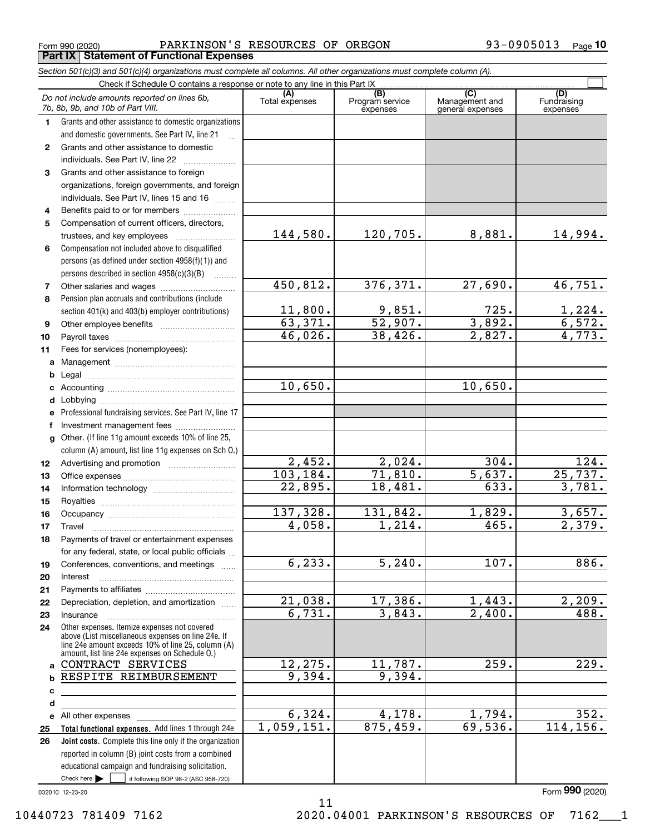Form 990 (2020) Page **Part IX Statement of Functional Expenses** PARKINSON'S RESOURCES OF OREGON 93-0905013

|    | Section 501(c)(3) and 501(c)(4) organizations must complete all columns. All other organizations must complete column (A).                                 |                       |                                    |                                           |                                   |
|----|------------------------------------------------------------------------------------------------------------------------------------------------------------|-----------------------|------------------------------------|-------------------------------------------|-----------------------------------|
|    | Check if Schedule O contains a response or note to any line in this Part IX                                                                                |                       |                                    |                                           |                                   |
|    | Do not include amounts reported on lines 6b,<br>7b, 8b, 9b, and 10b of Part VIII.                                                                          | (A)<br>Total expenses | (B)<br>Program service<br>expenses | (C)<br>Management and<br>general expenses | (D)<br>Fundraising<br>expenses    |
| 1. | Grants and other assistance to domestic organizations                                                                                                      |                       |                                    |                                           |                                   |
|    | and domestic governments. See Part IV, line 21                                                                                                             |                       |                                    |                                           |                                   |
| 2  | Grants and other assistance to domestic                                                                                                                    |                       |                                    |                                           |                                   |
|    | individuals. See Part IV, line 22                                                                                                                          |                       |                                    |                                           |                                   |
| 3  | Grants and other assistance to foreign                                                                                                                     |                       |                                    |                                           |                                   |
|    | organizations, foreign governments, and foreign<br>individuals. See Part IV, lines 15 and 16                                                               |                       |                                    |                                           |                                   |
| 4  | Benefits paid to or for members                                                                                                                            |                       |                                    |                                           |                                   |
| 5  | Compensation of current officers, directors,                                                                                                               |                       |                                    |                                           |                                   |
|    | trustees, and key employees                                                                                                                                | 144,580.              | 120,705.                           | 8,881.                                    | 14,994.                           |
| 6  | Compensation not included above to disqualified                                                                                                            |                       |                                    |                                           |                                   |
|    | persons (as defined under section 4958(f)(1)) and                                                                                                          |                       |                                    |                                           |                                   |
|    | persons described in section 4958(c)(3)(B)<br>.                                                                                                            |                       |                                    |                                           |                                   |
| 7  |                                                                                                                                                            | 450,812.              | 376, 371.                          | 27,690.                                   | 46,751.                           |
| 8  | Pension plan accruals and contributions (include                                                                                                           |                       |                                    |                                           |                                   |
|    | section 401(k) and 403(b) employer contributions)                                                                                                          | 11,800.               | <u>9,851.</u>                      | 725.                                      | $\frac{1,224}{6,572}$ .<br>4,773. |
| 9  |                                                                                                                                                            | 63,371.               | 52,907.                            | 3,892.                                    |                                   |
| 10 |                                                                                                                                                            | 46,026.               | 38,426.                            | 2,827.                                    |                                   |
| 11 | Fees for services (nonemployees):                                                                                                                          |                       |                                    |                                           |                                   |
| a  |                                                                                                                                                            |                       |                                    |                                           |                                   |
| b  |                                                                                                                                                            |                       |                                    |                                           |                                   |
| c  |                                                                                                                                                            | 10,650.               |                                    | 10,650.                                   |                                   |
| d  |                                                                                                                                                            |                       |                                    |                                           |                                   |
| е  | Professional fundraising services. See Part IV, line 17                                                                                                    |                       |                                    |                                           |                                   |
| f  | Investment management fees                                                                                                                                 |                       |                                    |                                           |                                   |
| g  | Other. (If line 11g amount exceeds 10% of line 25,<br>column (A) amount, list line 11g expenses on Sch O.)                                                 |                       |                                    |                                           |                                   |
| 12 |                                                                                                                                                            | 2,452.                | 2,024.                             | 304.                                      | 124.                              |
| 13 |                                                                                                                                                            | 103,184.              | 71,810.                            | 5,637.                                    | 25,737.                           |
| 14 |                                                                                                                                                            | 22,895.               | 18,481.                            | 633.                                      | 3,781.                            |
| 15 |                                                                                                                                                            |                       |                                    |                                           |                                   |
| 16 |                                                                                                                                                            | 137,328.              | 131,842.                           | 1,829.                                    | 3,657.                            |
| 17 |                                                                                                                                                            | 4,058.                | 1,214.                             | 465.                                      | 2,379.                            |
| 18 | Payments of travel or entertainment expenses                                                                                                               |                       |                                    |                                           |                                   |
|    | for any federal, state, or local public officials                                                                                                          |                       |                                    |                                           |                                   |
| 19 | Conferences, conventions, and meetings                                                                                                                     | 6, 233.               | 5, 240.                            | 107.                                      | 886.                              |
| 20 | Interest                                                                                                                                                   |                       |                                    |                                           |                                   |
| 21 |                                                                                                                                                            |                       |                                    |                                           |                                   |
| 22 | Depreciation, depletion, and amortization                                                                                                                  | 21,038.<br>6,731.     | 17,386.<br>3,843.                  | 1,443.<br>$\overline{2,400}$ .            | 2,209.<br>488.                    |
| 23 | Insurance<br>Other expenses. Itemize expenses not covered                                                                                                  |                       |                                    |                                           |                                   |
| 24 | above (List miscellaneous expenses on line 24e. If<br>line 24e amount exceeds 10% of line 25, column (A)<br>amount, list line 24e expenses on Schedule O.) |                       |                                    |                                           |                                   |
| a  | CONTRACT SERVICES                                                                                                                                          | 12,275.               | 11,787.                            | 259.                                      | 229.                              |
| b  | RESPITE REIMBURSEMENT                                                                                                                                      | 9,394.                | 9,394.                             |                                           |                                   |
| с  |                                                                                                                                                            |                       |                                    |                                           |                                   |
| d  |                                                                                                                                                            |                       |                                    |                                           |                                   |
| е  | All other expenses                                                                                                                                         | 6,324.                | 4,178.                             | 1,794.                                    | 352.                              |
| 25 | Total functional expenses. Add lines 1 through 24e                                                                                                         | 1,059,151.            | 875,459.                           | 69,536.                                   | 114, 156.                         |
| 26 | Joint costs. Complete this line only if the organization                                                                                                   |                       |                                    |                                           |                                   |
|    | reported in column (B) joint costs from a combined                                                                                                         |                       |                                    |                                           |                                   |
|    | educational campaign and fundraising solicitation.                                                                                                         |                       |                                    |                                           |                                   |
|    | Check here $\blacktriangleright$<br>if following SOP 98-2 (ASC 958-720)                                                                                    |                       |                                    |                                           |                                   |

11

032010 12-23-20

Form (2020) **990**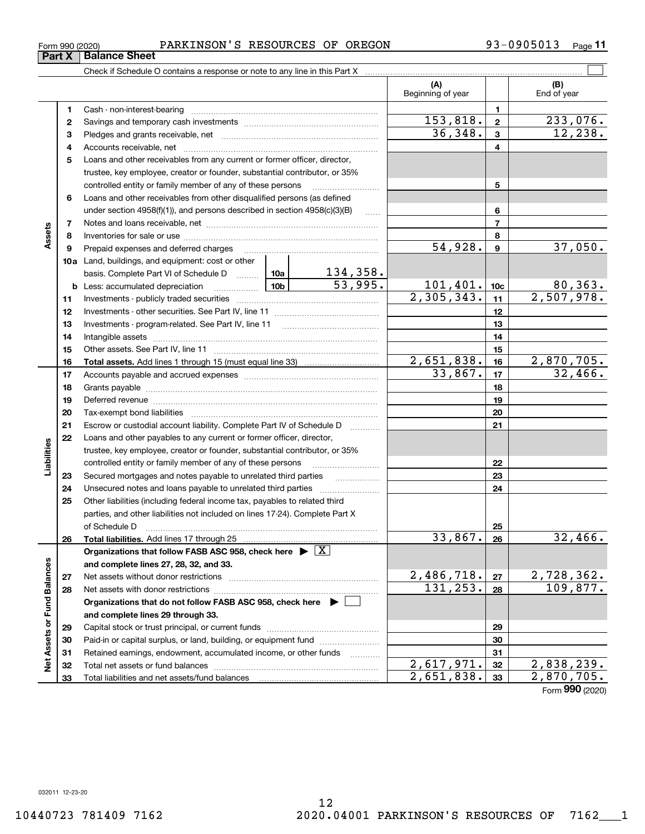# Form 990 (2020) PARKINSON'S RESOURCES OF OREGON 9 3-0 9 0 5 0 1 3 Page

Check if Schedule O contains a response or note to any line in this Part X

|                             |    |                                                                                                                              |                          | (A)<br>Beginning of year     |                 | (B)<br>End of year |
|-----------------------------|----|------------------------------------------------------------------------------------------------------------------------------|--------------------------|------------------------------|-----------------|--------------------|
|                             | 1  |                                                                                                                              |                          |                              | 1               |                    |
|                             | 2  |                                                                                                                              |                          | 153,818.                     | $\mathbf 2$     | 233,076.           |
|                             | з  |                                                                                                                              |                          | 36,348.                      | 3               | 12, 238.           |
|                             | 4  |                                                                                                                              |                          |                              | 4               |                    |
|                             | 5  | Loans and other receivables from any current or former officer, director,                                                    |                          |                              |                 |                    |
|                             |    | trustee, key employee, creator or founder, substantial contributor, or 35%                                                   |                          |                              |                 |                    |
|                             |    | controlled entity or family member of any of these persons                                                                   |                          |                              | 5               |                    |
|                             | 6  | Loans and other receivables from other disqualified persons (as defined                                                      |                          |                              |                 |                    |
|                             |    | under section $4958(f)(1)$ , and persons described in section $4958(c)(3)(B)$                                                |                          | 6                            |                 |                    |
|                             | 7  |                                                                                                                              |                          |                              | $\overline{7}$  |                    |
| Assets                      | 8  |                                                                                                                              |                          |                              | 8               |                    |
|                             | 9  | Prepaid expenses and deferred charges                                                                                        |                          | 54,928.                      | 9               | 37,050.            |
|                             |    | 10a Land, buildings, and equipment: cost or other                                                                            |                          |                              |                 |                    |
|                             |    | basis. Complete Part VI of Schedule D  10a                                                                                   | $\frac{134,358}{53,995}$ |                              |                 |                    |
|                             |    | $\frac{10b}{2}$<br><b>b</b> Less: accumulated depreciation                                                                   |                          | $\frac{101,401}{2,305,343.}$ | 10 <sub>c</sub> | 80,363.            |
|                             | 11 |                                                                                                                              |                          |                              | 11              | 2,507,978.         |
|                             | 12 |                                                                                                                              |                          |                              | 12              |                    |
|                             | 13 |                                                                                                                              |                          |                              | 13              |                    |
|                             | 14 |                                                                                                                              |                          |                              | 14              |                    |
|                             | 15 |                                                                                                                              |                          |                              | 15              |                    |
|                             | 16 |                                                                                                                              |                          | 2,651,838.                   | 16              | 2,870,705.         |
|                             | 17 |                                                                                                                              |                          | 33,867.                      | 17              | 32,466.            |
|                             | 18 |                                                                                                                              |                          |                              | 18              |                    |
|                             | 19 |                                                                                                                              |                          | 19                           |                 |                    |
|                             | 20 |                                                                                                                              |                          | 20                           |                 |                    |
|                             | 21 | Escrow or custodial account liability. Complete Part IV of Schedule D                                                        |                          |                              | 21              |                    |
|                             | 22 | Loans and other payables to any current or former officer, director,                                                         |                          |                              |                 |                    |
| Liabilities                 |    | trustee, key employee, creator or founder, substantial contributor, or 35%                                                   |                          |                              |                 |                    |
|                             | 23 | controlled entity or family member of any of these persons<br>Secured mortgages and notes payable to unrelated third parties |                          | 22<br>23                     |                 |                    |
|                             | 24 |                                                                                                                              |                          |                              | 24              |                    |
|                             | 25 | Other liabilities (including federal income tax, payables to related third                                                   |                          |                              |                 |                    |
|                             |    | parties, and other liabilities not included on lines 17-24). Complete Part X                                                 |                          |                              |                 |                    |
|                             |    | of Schedule D                                                                                                                |                          |                              | 25              |                    |
|                             | 26 | Total liabilities. Add lines 17 through 25                                                                                   |                          | 33,867.                      | 26              | 32,466.            |
|                             |    | Organizations that follow FASB ASC 958, check here $\blacktriangleright \boxed{\text{X}}$                                    |                          |                              |                 |                    |
|                             |    | and complete lines 27, 28, 32, and 33.                                                                                       |                          |                              |                 |                    |
|                             | 27 | Net assets without donor restrictions                                                                                        |                          | <u>2,486,718.</u>            | 27              | 2,728,362.         |
|                             | 28 | Net assets with donor restrictions                                                                                           |                          | 131,253.                     | 28              | 109,877.           |
|                             |    | Organizations that do not follow FASB ASC 958, check here $\blacktriangleright$                                              |                          |                              |                 |                    |
|                             |    | and complete lines 29 through 33.                                                                                            |                          |                              |                 |                    |
|                             | 29 |                                                                                                                              |                          |                              | 29              |                    |
|                             | 30 | Paid-in or capital surplus, or land, building, or equipment fund                                                             |                          |                              | 30              |                    |
| Net Assets or Fund Balances | 31 | Retained earnings, endowment, accumulated income, or other funds                                                             |                          |                              | 31              |                    |
|                             | 32 | Total net assets or fund balances                                                                                            |                          | $\overline{2,617,971.}$      | 32              | 2,838,239.         |
|                             | 33 | Total liabilities and net assets/fund balances                                                                               |                          | 2,651,838.                   | 33              | 2,870,705.         |

12

Form (2020) **990**

 $\mathcal{L}^{\text{max}}$ 

 $\overline{\phantom{0}}$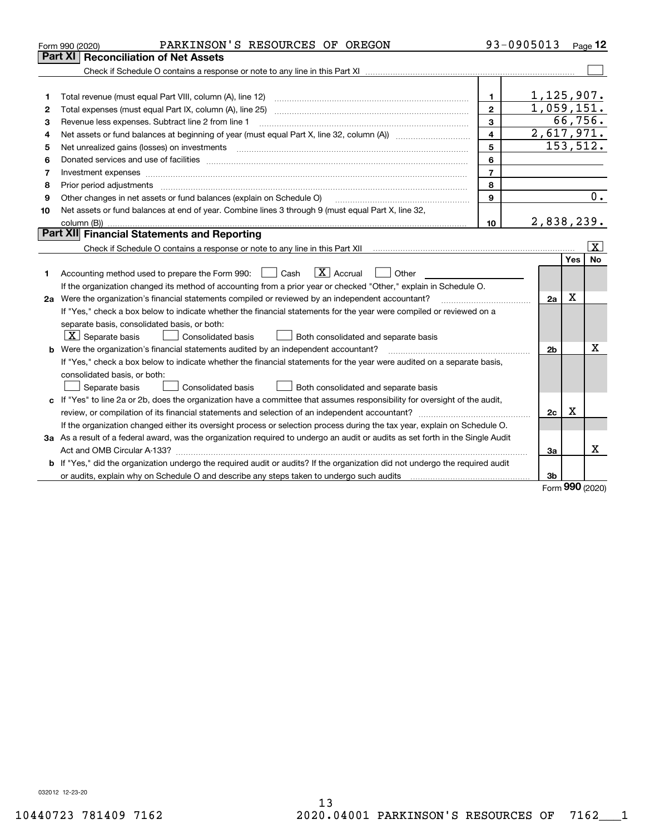| Part XI<br><b>Reconciliation of Net Assets</b><br>1,125,907.<br>1.<br>1<br>1,059,151.<br>$\mathbf{2}$<br>2<br>66,756.<br>3<br>Revenue less expenses. Subtract line 2 from line 1<br>3<br>2,617,971.<br>$\overline{4}$<br>4<br>153, 512.<br>5<br>5<br>6<br>Donated services and use of facilities [111] matter contracts and the facilities in the matter of facilities [11] matter contracts and use of facilities [11] matter contracts and the service of the service of the service o<br>6<br>$\overline{7}$<br>7<br>Investment expenses www.communication.com/www.communication.com/www.communication.com/www.com<br>8<br>8<br>Prior period adjustments material contents and content of the content of the content of the content of the content of the content of the content of the content of the content of the content of the content of the content of<br>9<br>Other changes in net assets or fund balances (explain on Schedule O)<br>9<br>Net assets or fund balances at end of year. Combine lines 3 through 9 (must equal Part X, line 32,<br>10<br>2,838,239.<br>10<br>Part XII Financial Statements and Reporting<br>  X<br>Yes<br><b>No</b><br>$\boxed{\mathbf{X}}$ Accrual<br>Accounting method used to prepare the Form 990: <u>[</u> Cash<br>Other<br>$\perp$<br>1<br>If the organization changed its method of accounting from a prior year or checked "Other," explain in Schedule O.<br>$\mathbf X$<br>2a Were the organization's financial statements compiled or reviewed by an independent accountant?<br>2a<br>If "Yes," check a box below to indicate whether the financial statements for the year were compiled or reviewed on a<br>separate basis, consolidated basis, or both:<br>$X$ Separate basis<br>Both consolidated and separate basis<br>Consolidated basis<br>х<br>b Were the organization's financial statements audited by an independent accountant?<br>2 <sub>b</sub><br>If "Yes," check a box below to indicate whether the financial statements for the year were audited on a separate basis,<br>consolidated basis, or both:<br>Separate basis<br>Consolidated basis<br>Both consolidated and separate basis<br>c If "Yes" to line 2a or 2b, does the organization have a committee that assumes responsibility for oversight of the audit, | PARKINSON'S RESOURCES OF OREGON<br>Form 990 (2020) | 93-0905013 | Page $12$ |
|----------------------------------------------------------------------------------------------------------------------------------------------------------------------------------------------------------------------------------------------------------------------------------------------------------------------------------------------------------------------------------------------------------------------------------------------------------------------------------------------------------------------------------------------------------------------------------------------------------------------------------------------------------------------------------------------------------------------------------------------------------------------------------------------------------------------------------------------------------------------------------------------------------------------------------------------------------------------------------------------------------------------------------------------------------------------------------------------------------------------------------------------------------------------------------------------------------------------------------------------------------------------------------------------------------------------------------------------------------------------------------------------------------------------------------------------------------------------------------------------------------------------------------------------------------------------------------------------------------------------------------------------------------------------------------------------------------------------------------------------------------------------------------------------------------------------------------------------------------------------------------------------------------------------------------------------------------------------------------------------------------------------------------------------------------------------------------------------------------------------------------------------------------------------------------------------------------------------------------------------------------------------------------------------|----------------------------------------------------|------------|-----------|
|                                                                                                                                                                                                                                                                                                                                                                                                                                                                                                                                                                                                                                                                                                                                                                                                                                                                                                                                                                                                                                                                                                                                                                                                                                                                                                                                                                                                                                                                                                                                                                                                                                                                                                                                                                                                                                                                                                                                                                                                                                                                                                                                                                                                                                                                                              |                                                    |            |           |
|                                                                                                                                                                                                                                                                                                                                                                                                                                                                                                                                                                                                                                                                                                                                                                                                                                                                                                                                                                                                                                                                                                                                                                                                                                                                                                                                                                                                                                                                                                                                                                                                                                                                                                                                                                                                                                                                                                                                                                                                                                                                                                                                                                                                                                                                                              |                                                    |            |           |
|                                                                                                                                                                                                                                                                                                                                                                                                                                                                                                                                                                                                                                                                                                                                                                                                                                                                                                                                                                                                                                                                                                                                                                                                                                                                                                                                                                                                                                                                                                                                                                                                                                                                                                                                                                                                                                                                                                                                                                                                                                                                                                                                                                                                                                                                                              |                                                    |            |           |
|                                                                                                                                                                                                                                                                                                                                                                                                                                                                                                                                                                                                                                                                                                                                                                                                                                                                                                                                                                                                                                                                                                                                                                                                                                                                                                                                                                                                                                                                                                                                                                                                                                                                                                                                                                                                                                                                                                                                                                                                                                                                                                                                                                                                                                                                                              |                                                    |            |           |
|                                                                                                                                                                                                                                                                                                                                                                                                                                                                                                                                                                                                                                                                                                                                                                                                                                                                                                                                                                                                                                                                                                                                                                                                                                                                                                                                                                                                                                                                                                                                                                                                                                                                                                                                                                                                                                                                                                                                                                                                                                                                                                                                                                                                                                                                                              |                                                    |            |           |
|                                                                                                                                                                                                                                                                                                                                                                                                                                                                                                                                                                                                                                                                                                                                                                                                                                                                                                                                                                                                                                                                                                                                                                                                                                                                                                                                                                                                                                                                                                                                                                                                                                                                                                                                                                                                                                                                                                                                                                                                                                                                                                                                                                                                                                                                                              |                                                    |            |           |
|                                                                                                                                                                                                                                                                                                                                                                                                                                                                                                                                                                                                                                                                                                                                                                                                                                                                                                                                                                                                                                                                                                                                                                                                                                                                                                                                                                                                                                                                                                                                                                                                                                                                                                                                                                                                                                                                                                                                                                                                                                                                                                                                                                                                                                                                                              |                                                    |            |           |
|                                                                                                                                                                                                                                                                                                                                                                                                                                                                                                                                                                                                                                                                                                                                                                                                                                                                                                                                                                                                                                                                                                                                                                                                                                                                                                                                                                                                                                                                                                                                                                                                                                                                                                                                                                                                                                                                                                                                                                                                                                                                                                                                                                                                                                                                                              |                                                    |            |           |
|                                                                                                                                                                                                                                                                                                                                                                                                                                                                                                                                                                                                                                                                                                                                                                                                                                                                                                                                                                                                                                                                                                                                                                                                                                                                                                                                                                                                                                                                                                                                                                                                                                                                                                                                                                                                                                                                                                                                                                                                                                                                                                                                                                                                                                                                                              |                                                    |            |           |
|                                                                                                                                                                                                                                                                                                                                                                                                                                                                                                                                                                                                                                                                                                                                                                                                                                                                                                                                                                                                                                                                                                                                                                                                                                                                                                                                                                                                                                                                                                                                                                                                                                                                                                                                                                                                                                                                                                                                                                                                                                                                                                                                                                                                                                                                                              |                                                    |            |           |
|                                                                                                                                                                                                                                                                                                                                                                                                                                                                                                                                                                                                                                                                                                                                                                                                                                                                                                                                                                                                                                                                                                                                                                                                                                                                                                                                                                                                                                                                                                                                                                                                                                                                                                                                                                                                                                                                                                                                                                                                                                                                                                                                                                                                                                                                                              |                                                    |            |           |
|                                                                                                                                                                                                                                                                                                                                                                                                                                                                                                                                                                                                                                                                                                                                                                                                                                                                                                                                                                                                                                                                                                                                                                                                                                                                                                                                                                                                                                                                                                                                                                                                                                                                                                                                                                                                                                                                                                                                                                                                                                                                                                                                                                                                                                                                                              |                                                    |            | 0.        |
|                                                                                                                                                                                                                                                                                                                                                                                                                                                                                                                                                                                                                                                                                                                                                                                                                                                                                                                                                                                                                                                                                                                                                                                                                                                                                                                                                                                                                                                                                                                                                                                                                                                                                                                                                                                                                                                                                                                                                                                                                                                                                                                                                                                                                                                                                              |                                                    |            |           |
|                                                                                                                                                                                                                                                                                                                                                                                                                                                                                                                                                                                                                                                                                                                                                                                                                                                                                                                                                                                                                                                                                                                                                                                                                                                                                                                                                                                                                                                                                                                                                                                                                                                                                                                                                                                                                                                                                                                                                                                                                                                                                                                                                                                                                                                                                              |                                                    |            |           |
|                                                                                                                                                                                                                                                                                                                                                                                                                                                                                                                                                                                                                                                                                                                                                                                                                                                                                                                                                                                                                                                                                                                                                                                                                                                                                                                                                                                                                                                                                                                                                                                                                                                                                                                                                                                                                                                                                                                                                                                                                                                                                                                                                                                                                                                                                              |                                                    |            |           |
|                                                                                                                                                                                                                                                                                                                                                                                                                                                                                                                                                                                                                                                                                                                                                                                                                                                                                                                                                                                                                                                                                                                                                                                                                                                                                                                                                                                                                                                                                                                                                                                                                                                                                                                                                                                                                                                                                                                                                                                                                                                                                                                                                                                                                                                                                              |                                                    |            |           |
|                                                                                                                                                                                                                                                                                                                                                                                                                                                                                                                                                                                                                                                                                                                                                                                                                                                                                                                                                                                                                                                                                                                                                                                                                                                                                                                                                                                                                                                                                                                                                                                                                                                                                                                                                                                                                                                                                                                                                                                                                                                                                                                                                                                                                                                                                              |                                                    |            |           |
|                                                                                                                                                                                                                                                                                                                                                                                                                                                                                                                                                                                                                                                                                                                                                                                                                                                                                                                                                                                                                                                                                                                                                                                                                                                                                                                                                                                                                                                                                                                                                                                                                                                                                                                                                                                                                                                                                                                                                                                                                                                                                                                                                                                                                                                                                              |                                                    |            |           |
|                                                                                                                                                                                                                                                                                                                                                                                                                                                                                                                                                                                                                                                                                                                                                                                                                                                                                                                                                                                                                                                                                                                                                                                                                                                                                                                                                                                                                                                                                                                                                                                                                                                                                                                                                                                                                                                                                                                                                                                                                                                                                                                                                                                                                                                                                              |                                                    |            |           |
|                                                                                                                                                                                                                                                                                                                                                                                                                                                                                                                                                                                                                                                                                                                                                                                                                                                                                                                                                                                                                                                                                                                                                                                                                                                                                                                                                                                                                                                                                                                                                                                                                                                                                                                                                                                                                                                                                                                                                                                                                                                                                                                                                                                                                                                                                              |                                                    |            |           |
|                                                                                                                                                                                                                                                                                                                                                                                                                                                                                                                                                                                                                                                                                                                                                                                                                                                                                                                                                                                                                                                                                                                                                                                                                                                                                                                                                                                                                                                                                                                                                                                                                                                                                                                                                                                                                                                                                                                                                                                                                                                                                                                                                                                                                                                                                              |                                                    |            |           |
|                                                                                                                                                                                                                                                                                                                                                                                                                                                                                                                                                                                                                                                                                                                                                                                                                                                                                                                                                                                                                                                                                                                                                                                                                                                                                                                                                                                                                                                                                                                                                                                                                                                                                                                                                                                                                                                                                                                                                                                                                                                                                                                                                                                                                                                                                              |                                                    |            |           |
|                                                                                                                                                                                                                                                                                                                                                                                                                                                                                                                                                                                                                                                                                                                                                                                                                                                                                                                                                                                                                                                                                                                                                                                                                                                                                                                                                                                                                                                                                                                                                                                                                                                                                                                                                                                                                                                                                                                                                                                                                                                                                                                                                                                                                                                                                              |                                                    |            |           |
|                                                                                                                                                                                                                                                                                                                                                                                                                                                                                                                                                                                                                                                                                                                                                                                                                                                                                                                                                                                                                                                                                                                                                                                                                                                                                                                                                                                                                                                                                                                                                                                                                                                                                                                                                                                                                                                                                                                                                                                                                                                                                                                                                                                                                                                                                              |                                                    |            |           |
|                                                                                                                                                                                                                                                                                                                                                                                                                                                                                                                                                                                                                                                                                                                                                                                                                                                                                                                                                                                                                                                                                                                                                                                                                                                                                                                                                                                                                                                                                                                                                                                                                                                                                                                                                                                                                                                                                                                                                                                                                                                                                                                                                                                                                                                                                              |                                                    |            |           |
|                                                                                                                                                                                                                                                                                                                                                                                                                                                                                                                                                                                                                                                                                                                                                                                                                                                                                                                                                                                                                                                                                                                                                                                                                                                                                                                                                                                                                                                                                                                                                                                                                                                                                                                                                                                                                                                                                                                                                                                                                                                                                                                                                                                                                                                                                              |                                                    |            |           |
|                                                                                                                                                                                                                                                                                                                                                                                                                                                                                                                                                                                                                                                                                                                                                                                                                                                                                                                                                                                                                                                                                                                                                                                                                                                                                                                                                                                                                                                                                                                                                                                                                                                                                                                                                                                                                                                                                                                                                                                                                                                                                                                                                                                                                                                                                              |                                                    |            |           |
|                                                                                                                                                                                                                                                                                                                                                                                                                                                                                                                                                                                                                                                                                                                                                                                                                                                                                                                                                                                                                                                                                                                                                                                                                                                                                                                                                                                                                                                                                                                                                                                                                                                                                                                                                                                                                                                                                                                                                                                                                                                                                                                                                                                                                                                                                              |                                                    |            |           |
| х<br>2c                                                                                                                                                                                                                                                                                                                                                                                                                                                                                                                                                                                                                                                                                                                                                                                                                                                                                                                                                                                                                                                                                                                                                                                                                                                                                                                                                                                                                                                                                                                                                                                                                                                                                                                                                                                                                                                                                                                                                                                                                                                                                                                                                                                                                                                                                      |                                                    |            |           |
| If the organization changed either its oversight process or selection process during the tax year, explain on Schedule O.                                                                                                                                                                                                                                                                                                                                                                                                                                                                                                                                                                                                                                                                                                                                                                                                                                                                                                                                                                                                                                                                                                                                                                                                                                                                                                                                                                                                                                                                                                                                                                                                                                                                                                                                                                                                                                                                                                                                                                                                                                                                                                                                                                    |                                                    |            |           |
| 3a As a result of a federal award, was the organization required to undergo an audit or audits as set forth in the Single Audit                                                                                                                                                                                                                                                                                                                                                                                                                                                                                                                                                                                                                                                                                                                                                                                                                                                                                                                                                                                                                                                                                                                                                                                                                                                                                                                                                                                                                                                                                                                                                                                                                                                                                                                                                                                                                                                                                                                                                                                                                                                                                                                                                              |                                                    |            |           |
| x<br>3a                                                                                                                                                                                                                                                                                                                                                                                                                                                                                                                                                                                                                                                                                                                                                                                                                                                                                                                                                                                                                                                                                                                                                                                                                                                                                                                                                                                                                                                                                                                                                                                                                                                                                                                                                                                                                                                                                                                                                                                                                                                                                                                                                                                                                                                                                      |                                                    |            |           |
| b If "Yes," did the organization undergo the required audit or audits? If the organization did not undergo the required audit                                                                                                                                                                                                                                                                                                                                                                                                                                                                                                                                                                                                                                                                                                                                                                                                                                                                                                                                                                                                                                                                                                                                                                                                                                                                                                                                                                                                                                                                                                                                                                                                                                                                                                                                                                                                                                                                                                                                                                                                                                                                                                                                                                |                                                    |            |           |
| 3b<br><b>nnn</b>                                                                                                                                                                                                                                                                                                                                                                                                                                                                                                                                                                                                                                                                                                                                                                                                                                                                                                                                                                                                                                                                                                                                                                                                                                                                                                                                                                                                                                                                                                                                                                                                                                                                                                                                                                                                                                                                                                                                                                                                                                                                                                                                                                                                                                                                             |                                                    |            |           |

Form (2020) **990**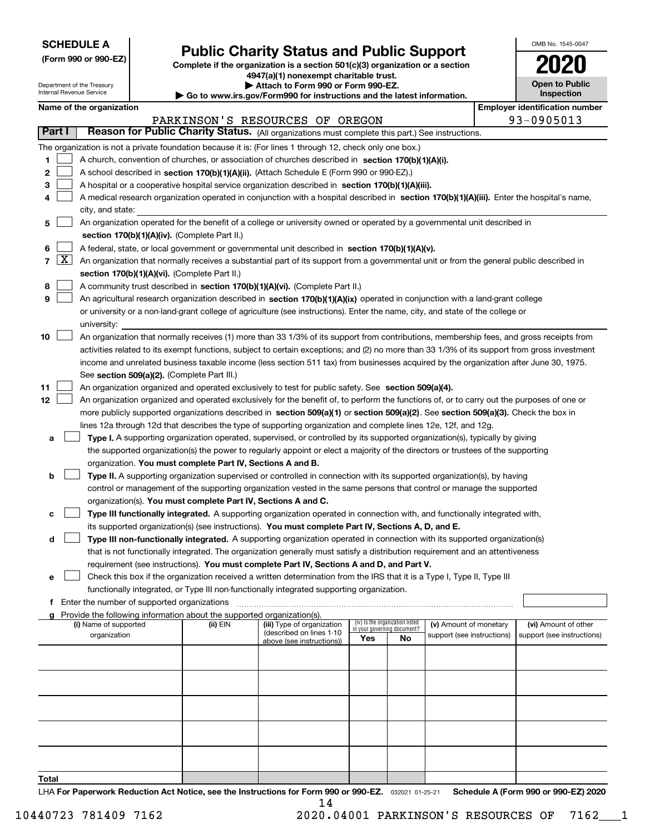| <b>SCHEDULE A</b> |
|-------------------|
|-------------------|

Department of the Treasury Internal Revenue Service

**(Form 990 or 990-EZ)**

# **Public Charity Status and Public Support**

**Complete if the organization is a section 501(c)(3) organization or a section 4947(a)(1) nonexempt charitable trust. | Attach to Form 990 or Form 990-EZ.** 

| ▶ Go to www.irs.gov/Form990 for instructions and the latest information. |
|--------------------------------------------------------------------------|

| OMB No. 1545-0047                   |
|-------------------------------------|
| 2020                                |
| <b>Open to Public</b><br>Inspection |

|  | Name of the organization |
|--|--------------------------|
|--|--------------------------|

|        | Name of the organization                                                                                                                                   |          |                                                       |                             |                                 |                            | <b>Employer identification number</b> |
|--------|------------------------------------------------------------------------------------------------------------------------------------------------------------|----------|-------------------------------------------------------|-----------------------------|---------------------------------|----------------------------|---------------------------------------|
|        |                                                                                                                                                            |          | PARKINSON'S RESOURCES OF OREGON                       |                             |                                 |                            | 93-0905013                            |
| Part I | Reason for Public Charity Status. (All organizations must complete this part.) See instructions.                                                           |          |                                                       |                             |                                 |                            |                                       |
|        | The organization is not a private foundation because it is: (For lines 1 through 12, check only one box.)                                                  |          |                                                       |                             |                                 |                            |                                       |
| 1      | A church, convention of churches, or association of churches described in section $170(b)(1)(A)(i)$ .                                                      |          |                                                       |                             |                                 |                            |                                       |
| 2      | A school described in section 170(b)(1)(A)(ii). (Attach Schedule E (Form 990 or 990-EZ).)                                                                  |          |                                                       |                             |                                 |                            |                                       |
| 3      | A hospital or a cooperative hospital service organization described in section $170(b)(1)(A)(iii)$ .                                                       |          |                                                       |                             |                                 |                            |                                       |
| 4      | A medical research organization operated in conjunction with a hospital described in section 170(b)(1)(A)(iii). Enter the hospital's name,                 |          |                                                       |                             |                                 |                            |                                       |
|        | city, and state:                                                                                                                                           |          |                                                       |                             |                                 |                            |                                       |
| 5      | An organization operated for the benefit of a college or university owned or operated by a governmental unit described in                                  |          |                                                       |                             |                                 |                            |                                       |
|        | section 170(b)(1)(A)(iv). (Complete Part II.)                                                                                                              |          |                                                       |                             |                                 |                            |                                       |
| 6      | A federal, state, or local government or governmental unit described in section 170(b)(1)(A)(v).                                                           |          |                                                       |                             |                                 |                            |                                       |
|        | $7 \overline{X}$ An organization that normally receives a substantial part of its support from a governmental unit or from the general public described in |          |                                                       |                             |                                 |                            |                                       |
|        | section 170(b)(1)(A)(vi). (Complete Part II.)                                                                                                              |          |                                                       |                             |                                 |                            |                                       |
| 8      | A community trust described in section 170(b)(1)(A)(vi). (Complete Part II.)                                                                               |          |                                                       |                             |                                 |                            |                                       |
| 9      | An agricultural research organization described in section 170(b)(1)(A)(ix) operated in conjunction with a land-grant college                              |          |                                                       |                             |                                 |                            |                                       |
|        | or university or a non-land-grant college of agriculture (see instructions). Enter the name, city, and state of the college or                             |          |                                                       |                             |                                 |                            |                                       |
|        | university:                                                                                                                                                |          |                                                       |                             |                                 |                            |                                       |
| 10     | An organization that normally receives (1) more than 33 1/3% of its support from contributions, membership fees, and gross receipts from                   |          |                                                       |                             |                                 |                            |                                       |
|        | activities related to its exempt functions, subject to certain exceptions; and (2) no more than 33 1/3% of its support from gross investment               |          |                                                       |                             |                                 |                            |                                       |
|        | income and unrelated business taxable income (less section 511 tax) from businesses acquired by the organization after June 30, 1975.                      |          |                                                       |                             |                                 |                            |                                       |
|        | See section 509(a)(2). (Complete Part III.)                                                                                                                |          |                                                       |                             |                                 |                            |                                       |
| 11     | An organization organized and operated exclusively to test for public safety. See section 509(a)(4).                                                       |          |                                                       |                             |                                 |                            |                                       |
| 12     | An organization organized and operated exclusively for the benefit of, to perform the functions of, or to carry out the purposes of one or                 |          |                                                       |                             |                                 |                            |                                       |
|        | more publicly supported organizations described in section 509(a)(1) or section 509(a)(2). See section 509(a)(3). Check the box in                         |          |                                                       |                             |                                 |                            |                                       |
|        | lines 12a through 12d that describes the type of supporting organization and complete lines 12e, 12f, and 12g.                                             |          |                                                       |                             |                                 |                            |                                       |
| а      | Type I. A supporting organization operated, supervised, or controlled by its supported organization(s), typically by giving                                |          |                                                       |                             |                                 |                            |                                       |
|        | the supported organization(s) the power to regularly appoint or elect a majority of the directors or trustees of the supporting                            |          |                                                       |                             |                                 |                            |                                       |
|        | organization. You must complete Part IV, Sections A and B.                                                                                                 |          |                                                       |                             |                                 |                            |                                       |
| b      | Type II. A supporting organization supervised or controlled in connection with its supported organization(s), by having                                    |          |                                                       |                             |                                 |                            |                                       |
|        | control or management of the supporting organization vested in the same persons that control or manage the supported                                       |          |                                                       |                             |                                 |                            |                                       |
|        | organization(s). You must complete Part IV, Sections A and C.                                                                                              |          |                                                       |                             |                                 |                            |                                       |
| с      | Type III functionally integrated. A supporting organization operated in connection with, and functionally integrated with,                                 |          |                                                       |                             |                                 |                            |                                       |
|        | its supported organization(s) (see instructions). You must complete Part IV, Sections A, D, and E.                                                         |          |                                                       |                             |                                 |                            |                                       |
| d      | Type III non-functionally integrated. A supporting organization operated in connection with its supported organization(s)                                  |          |                                                       |                             |                                 |                            |                                       |
|        | that is not functionally integrated. The organization generally must satisfy a distribution requirement and an attentiveness                               |          |                                                       |                             |                                 |                            |                                       |
|        | requirement (see instructions). You must complete Part IV, Sections A and D, and Part V.                                                                   |          |                                                       |                             |                                 |                            |                                       |
|        | Check this box if the organization received a written determination from the IRS that it is a Type I, Type II, Type III                                    |          |                                                       |                             |                                 |                            |                                       |
|        | functionally integrated, or Type III non-functionally integrated supporting organization.<br>Enter the number of supported organizations                   |          |                                                       |                             |                                 |                            |                                       |
| f      | g Provide the following information about the supported organization(s).                                                                                   |          |                                                       |                             |                                 |                            |                                       |
|        | (i) Name of supported                                                                                                                                      | (ii) EIN | (iii) Type of organization                            | in your governing document? | (iv) Is the organization listed | (v) Amount of monetary     | (vi) Amount of other                  |
|        | organization                                                                                                                                               |          | (described on lines 1-10<br>above (see instructions)) | Yes                         | No                              | support (see instructions) | support (see instructions)            |
|        |                                                                                                                                                            |          |                                                       |                             |                                 |                            |                                       |
|        |                                                                                                                                                            |          |                                                       |                             |                                 |                            |                                       |
|        |                                                                                                                                                            |          |                                                       |                             |                                 |                            |                                       |
|        |                                                                                                                                                            |          |                                                       |                             |                                 |                            |                                       |
|        |                                                                                                                                                            |          |                                                       |                             |                                 |                            |                                       |
|        |                                                                                                                                                            |          |                                                       |                             |                                 |                            |                                       |
|        |                                                                                                                                                            |          |                                                       |                             |                                 |                            |                                       |
|        |                                                                                                                                                            |          |                                                       |                             |                                 |                            |                                       |
|        |                                                                                                                                                            |          |                                                       |                             |                                 |                            |                                       |
|        |                                                                                                                                                            |          |                                                       |                             |                                 |                            |                                       |
| Total  |                                                                                                                                                            |          |                                                       |                             |                                 |                            |                                       |

LHA For Paperwork Reduction Act Notice, see the Instructions for Form 990 or 990-EZ. <sub>032021</sub> o1-25-21 Schedule A (Form 990 or 990-EZ) 2020 14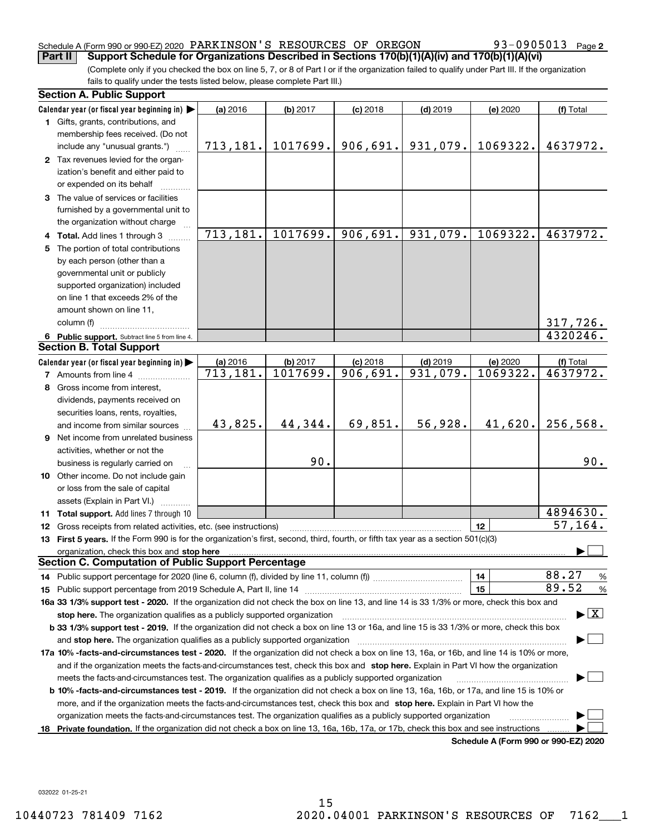#### Schedule A (Form 990 or 990-EZ) 2020 Page PARKINSON'S RESOURCES OF OREGON 93-0905013 **Part II Support Schedule for Organizations Described in Sections 170(b)(1)(A)(iv) and 170(b)(1)(A)(vi)**

93-0905013 Page 2

(Complete only if you checked the box on line 5, 7, or 8 of Part I or if the organization failed to qualify under Part III. If the organization fails to qualify under the tests listed below, please complete Part III.)

|                                                                                                                                          | <b>Section A. Public Support</b>                                                                                                                                                                                               |           |            |            |            |                                      |               |  |  |  |  |
|------------------------------------------------------------------------------------------------------------------------------------------|--------------------------------------------------------------------------------------------------------------------------------------------------------------------------------------------------------------------------------|-----------|------------|------------|------------|--------------------------------------|---------------|--|--|--|--|
|                                                                                                                                          | Calendar year (or fiscal year beginning in) $\blacktriangleright$                                                                                                                                                              | (a) 2016  | $(b)$ 2017 | $(c)$ 2018 | $(d)$ 2019 | (e) 2020                             | (f) Total     |  |  |  |  |
|                                                                                                                                          | <b>1</b> Gifts, grants, contributions, and<br>membership fees received. (Do not                                                                                                                                                |           |            |            |            |                                      |               |  |  |  |  |
|                                                                                                                                          | include any "unusual grants.")                                                                                                                                                                                                 | 713, 181. | 1017699.   | 906,691.   | 931,079.   | 1069322.                             | 4637972.      |  |  |  |  |
|                                                                                                                                          | 2 Tax revenues levied for the organ-<br>ization's benefit and either paid to                                                                                                                                                   |           |            |            |            |                                      |               |  |  |  |  |
|                                                                                                                                          | or expended on its behalf                                                                                                                                                                                                      |           |            |            |            |                                      |               |  |  |  |  |
|                                                                                                                                          | 3 The value of services or facilities                                                                                                                                                                                          |           |            |            |            |                                      |               |  |  |  |  |
|                                                                                                                                          | furnished by a governmental unit to                                                                                                                                                                                            |           |            |            |            |                                      |               |  |  |  |  |
|                                                                                                                                          | the organization without charge                                                                                                                                                                                                |           |            |            |            |                                      |               |  |  |  |  |
|                                                                                                                                          | 4 Total. Add lines 1 through 3                                                                                                                                                                                                 | 713, 181. | 1017699.   | 906,691.   | 931,079.   | 1069322.                             | 4637972.      |  |  |  |  |
| 5                                                                                                                                        | The portion of total contributions                                                                                                                                                                                             |           |            |            |            |                                      |               |  |  |  |  |
|                                                                                                                                          | by each person (other than a                                                                                                                                                                                                   |           |            |            |            |                                      |               |  |  |  |  |
|                                                                                                                                          | governmental unit or publicly                                                                                                                                                                                                  |           |            |            |            |                                      |               |  |  |  |  |
|                                                                                                                                          | supported organization) included                                                                                                                                                                                               |           |            |            |            |                                      |               |  |  |  |  |
|                                                                                                                                          | on line 1 that exceeds 2% of the                                                                                                                                                                                               |           |            |            |            |                                      |               |  |  |  |  |
|                                                                                                                                          | amount shown on line 11,                                                                                                                                                                                                       |           |            |            |            |                                      |               |  |  |  |  |
|                                                                                                                                          | column (f)                                                                                                                                                                                                                     |           |            |            |            |                                      | 317,726.      |  |  |  |  |
|                                                                                                                                          | 4320246.<br>6 Public support. Subtract line 5 from line 4.                                                                                                                                                                     |           |            |            |            |                                      |               |  |  |  |  |
|                                                                                                                                          | <b>Section B. Total Support</b>                                                                                                                                                                                                |           |            |            |            |                                      | (f) Total     |  |  |  |  |
|                                                                                                                                          | (b) 2017<br>$(d)$ 2019<br>Calendar year (or fiscal year beginning in) $\blacktriangleright$<br>(a) 2016<br>$(c)$ 2018<br>(e) 2020<br>1069322.                                                                                  |           |            |            |            |                                      |               |  |  |  |  |
|                                                                                                                                          | 1017699.<br>$\overline{906}$ , 691.<br>931,079.<br>4637972.<br>$\overline{713}$ , 181.<br><b>7</b> Amounts from line 4                                                                                                         |           |            |            |            |                                      |               |  |  |  |  |
|                                                                                                                                          | Gross income from interest,<br>8                                                                                                                                                                                               |           |            |            |            |                                      |               |  |  |  |  |
|                                                                                                                                          | dividends, payments received on                                                                                                                                                                                                |           |            |            |            |                                      |               |  |  |  |  |
|                                                                                                                                          | securities loans, rents, royalties,                                                                                                                                                                                            | 43,825.   | 44,344.    | 69,851.    | 56,928.    | 41,620.                              | 256,568.      |  |  |  |  |
|                                                                                                                                          | and income from similar sources                                                                                                                                                                                                |           |            |            |            |                                      |               |  |  |  |  |
|                                                                                                                                          | 9 Net income from unrelated business                                                                                                                                                                                           |           |            |            |            |                                      |               |  |  |  |  |
|                                                                                                                                          | activities, whether or not the                                                                                                                                                                                                 |           | 90.        |            |            |                                      | 90.           |  |  |  |  |
|                                                                                                                                          | business is regularly carried on<br>10 Other income. Do not include gain                                                                                                                                                       |           |            |            |            |                                      |               |  |  |  |  |
|                                                                                                                                          | or loss from the sale of capital                                                                                                                                                                                               |           |            |            |            |                                      |               |  |  |  |  |
|                                                                                                                                          | assets (Explain in Part VI.)                                                                                                                                                                                                   |           |            |            |            |                                      |               |  |  |  |  |
|                                                                                                                                          | <b>11 Total support.</b> Add lines 7 through 10                                                                                                                                                                                |           |            |            |            |                                      | 4894630.      |  |  |  |  |
|                                                                                                                                          |                                                                                                                                                                                                                                |           |            |            |            | 12                                   | 57, 164.      |  |  |  |  |
|                                                                                                                                          | 12 Gross receipts from related activities, etc. (see instructions)<br>13 First 5 years. If the Form 990 is for the organization's first, second, third, fourth, or fifth tax year as a section 501(c)(3)                       |           |            |            |            |                                      |               |  |  |  |  |
|                                                                                                                                          | organization, check this box and stop here manufactured and according to the state of the state of the state of the state of the state of the state of the state of the state of the state of the state of the state of the st |           |            |            |            |                                      |               |  |  |  |  |
| <b>Section C. Computation of Public Support Percentage</b>                                                                               |                                                                                                                                                                                                                                |           |            |            |            |                                      |               |  |  |  |  |
|                                                                                                                                          |                                                                                                                                                                                                                                |           |            |            |            | 14                                   | 88.27<br>%    |  |  |  |  |
|                                                                                                                                          |                                                                                                                                                                                                                                |           |            |            |            | 15                                   | 89.52<br>$\%$ |  |  |  |  |
|                                                                                                                                          | 16a 33 1/3% support test - 2020. If the organization did not check the box on line 13, and line 14 is 33 1/3% or more, check this box and                                                                                      |           |            |            |            |                                      |               |  |  |  |  |
|                                                                                                                                          | $\blacktriangleright$ $\boxed{\text{X}}$<br>stop here. The organization qualifies as a publicly supported organization                                                                                                         |           |            |            |            |                                      |               |  |  |  |  |
| b 33 1/3% support test - 2019. If the organization did not check a box on line 13 or 16a, and line 15 is 33 1/3% or more, check this box |                                                                                                                                                                                                                                |           |            |            |            |                                      |               |  |  |  |  |
|                                                                                                                                          | and stop here. The organization qualifies as a publicly supported organization                                                                                                                                                 |           |            |            |            |                                      |               |  |  |  |  |
|                                                                                                                                          | 17a 10% -facts-and-circumstances test - 2020. If the organization did not check a box on line 13, 16a, or 16b, and line 14 is 10% or more,                                                                                     |           |            |            |            |                                      |               |  |  |  |  |
|                                                                                                                                          | and if the organization meets the facts-and-circumstances test, check this box and stop here. Explain in Part VI how the organization                                                                                          |           |            |            |            |                                      |               |  |  |  |  |
|                                                                                                                                          | meets the facts-and-circumstances test. The organization qualifies as a publicly supported organization                                                                                                                        |           |            |            |            |                                      |               |  |  |  |  |
|                                                                                                                                          | <b>b 10% -facts-and-circumstances test - 2019.</b> If the organization did not check a box on line 13, 16a, 16b, or 17a, and line 15 is 10% or                                                                                 |           |            |            |            |                                      |               |  |  |  |  |
|                                                                                                                                          | more, and if the organization meets the facts-and-circumstances test, check this box and stop here. Explain in Part VI how the                                                                                                 |           |            |            |            |                                      |               |  |  |  |  |
|                                                                                                                                          | organization meets the facts-and-circumstances test. The organization qualifies as a publicly supported organization                                                                                                           |           |            |            |            |                                      |               |  |  |  |  |
| 18                                                                                                                                       | Private foundation. If the organization did not check a box on line 13, 16a, 16b, 17a, or 17b, check this box and see instructions                                                                                             |           |            |            |            |                                      |               |  |  |  |  |
|                                                                                                                                          |                                                                                                                                                                                                                                |           |            |            |            | Schedule A (Form 990 or 990-EZ) 2020 |               |  |  |  |  |

032022 01-25-21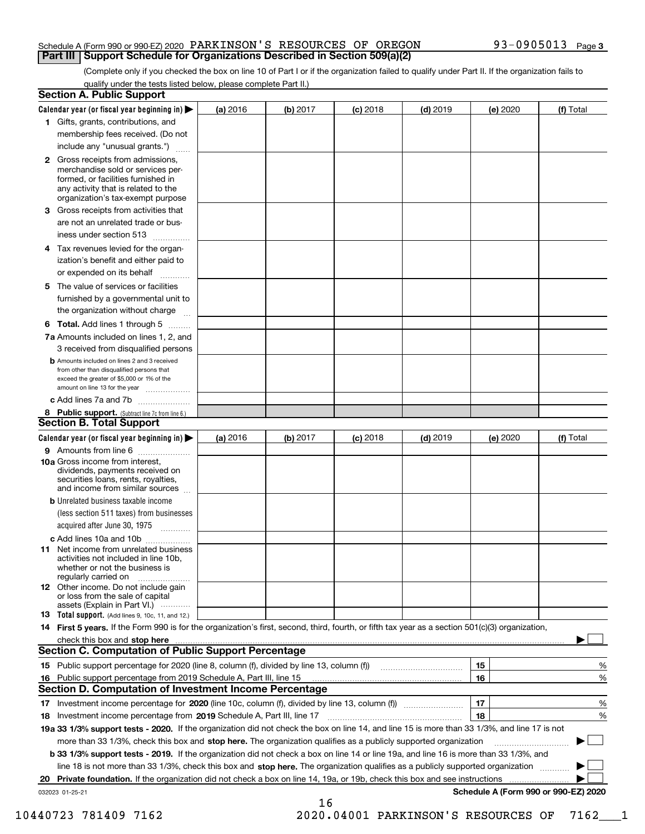#### Schedule A (Form 990 or 990-EZ) 2020 Page PARKINSON'S RESOURCES OF OREGON 93-0905013 **Part III Support Schedule for Organizations Described in Section 509(a)(2)**

(Complete only if you checked the box on line 10 of Part I or if the organization failed to qualify under Part II. If the organization fails to qualify under the tests listed below, please complete Part II.)

|    | <b>Section A. Public Support</b>                                                                                                                                                                                               |          |          |            |            |          |                                      |  |  |
|----|--------------------------------------------------------------------------------------------------------------------------------------------------------------------------------------------------------------------------------|----------|----------|------------|------------|----------|--------------------------------------|--|--|
|    | Calendar year (or fiscal year beginning in) $\blacktriangleright$                                                                                                                                                              | (a) 2016 | (b) 2017 | $(c)$ 2018 | $(d)$ 2019 | (e) 2020 | (f) Total                            |  |  |
|    | 1 Gifts, grants, contributions, and                                                                                                                                                                                            |          |          |            |            |          |                                      |  |  |
|    | membership fees received. (Do not                                                                                                                                                                                              |          |          |            |            |          |                                      |  |  |
|    | include any "unusual grants.")                                                                                                                                                                                                 |          |          |            |            |          |                                      |  |  |
|    | 2 Gross receipts from admissions,<br>merchandise sold or services per-<br>formed, or facilities furnished in<br>any activity that is related to the<br>organization's tax-exempt purpose                                       |          |          |            |            |          |                                      |  |  |
|    | 3 Gross receipts from activities that<br>are not an unrelated trade or bus-                                                                                                                                                    |          |          |            |            |          |                                      |  |  |
|    | iness under section 513                                                                                                                                                                                                        |          |          |            |            |          |                                      |  |  |
|    | 4 Tax revenues levied for the organ-                                                                                                                                                                                           |          |          |            |            |          |                                      |  |  |
|    | ization's benefit and either paid to<br>or expended on its behalf<br>.                                                                                                                                                         |          |          |            |            |          |                                      |  |  |
|    | 5 The value of services or facilities                                                                                                                                                                                          |          |          |            |            |          |                                      |  |  |
|    | furnished by a governmental unit to                                                                                                                                                                                            |          |          |            |            |          |                                      |  |  |
|    | the organization without charge                                                                                                                                                                                                |          |          |            |            |          |                                      |  |  |
|    | <b>6 Total.</b> Add lines 1 through 5                                                                                                                                                                                          |          |          |            |            |          |                                      |  |  |
|    | 7a Amounts included on lines 1, 2, and<br>3 received from disqualified persons                                                                                                                                                 |          |          |            |            |          |                                      |  |  |
|    | <b>b</b> Amounts included on lines 2 and 3 received<br>from other than disqualified persons that<br>exceed the greater of \$5,000 or 1% of the<br>amount on line 13 for the year                                               |          |          |            |            |          |                                      |  |  |
|    | c Add lines 7a and 7b                                                                                                                                                                                                          |          |          |            |            |          |                                      |  |  |
|    | 8 Public support. (Subtract line 7c from line 6.)<br><b>Section B. Total Support</b>                                                                                                                                           |          |          |            |            |          |                                      |  |  |
|    | Calendar year (or fiscal year beginning in) $\blacktriangleright$                                                                                                                                                              | (a) 2016 | (b) 2017 | $(c)$ 2018 | $(d)$ 2019 | (e) 2020 | (f) Total                            |  |  |
|    | 9 Amounts from line 6                                                                                                                                                                                                          |          |          |            |            |          |                                      |  |  |
|    | 10a Gross income from interest,<br>dividends, payments received on<br>securities loans, rents, royalties,<br>and income from similar sources                                                                                   |          |          |            |            |          |                                      |  |  |
|    | <b>b</b> Unrelated business taxable income                                                                                                                                                                                     |          |          |            |            |          |                                      |  |  |
|    | (less section 511 taxes) from businesses                                                                                                                                                                                       |          |          |            |            |          |                                      |  |  |
|    | acquired after June 30, 1975                                                                                                                                                                                                   |          |          |            |            |          |                                      |  |  |
|    | c Add lines 10a and 10b                                                                                                                                                                                                        |          |          |            |            |          |                                      |  |  |
|    | 11 Net income from unrelated business<br>activities not included in line 10b,<br>whether or not the business is<br>regularly carried on                                                                                        |          |          |            |            |          |                                      |  |  |
|    | 12 Other income. Do not include gain<br>or loss from the sale of capital<br>assets (Explain in Part VI.)                                                                                                                       |          |          |            |            |          |                                      |  |  |
|    | <b>13</b> Total support. (Add lines 9, 10c, 11, and 12.)                                                                                                                                                                       |          |          |            |            |          |                                      |  |  |
|    | 14 First 5 years. If the Form 990 is for the organization's first, second, third, fourth, or fifth tax year as a section 501(c)(3) organization,                                                                               |          |          |            |            |          |                                      |  |  |
|    | check this box and stop here with the continuum control to the change of the state of the state of the change of the state of the change of the change of the state of the change of the change of the change of the change of |          |          |            |            |          |                                      |  |  |
|    | Section C. Computation of Public Support Percentage                                                                                                                                                                            |          |          |            |            |          |                                      |  |  |
|    | 15 Public support percentage for 2020 (line 8, column (f), divided by line 13, column (f))                                                                                                                                     |          |          |            |            | 15       | %                                    |  |  |
|    | 16 Public support percentage from 2019 Schedule A, Part III, line 15<br><b>Section D. Computation of Investment Income Percentage</b>                                                                                          |          |          |            |            | 16       | %                                    |  |  |
|    | 17 Investment income percentage for 2020 (line 10c, column (f), divided by line 13, column (f))                                                                                                                                |          |          |            |            | 17       | %                                    |  |  |
|    | <b>18</b> Investment income percentage from <b>2019</b> Schedule A, Part III, line 17                                                                                                                                          |          |          |            |            | 18       | %                                    |  |  |
|    | 19a 33 1/3% support tests - 2020. If the organization did not check the box on line 14, and line 15 is more than 33 1/3%, and line 17 is not                                                                                   |          |          |            |            |          |                                      |  |  |
|    | more than 33 1/3%, check this box and stop here. The organization qualifies as a publicly supported organization                                                                                                               |          |          |            |            |          | ▶                                    |  |  |
|    | b 33 1/3% support tests - 2019. If the organization did not check a box on line 14 or line 19a, and line 16 is more than 33 1/3%, and                                                                                          |          |          |            |            |          |                                      |  |  |
|    | line 18 is not more than 33 1/3%, check this box and stop here. The organization qualifies as a publicly supported organization                                                                                                |          |          |            |            |          |                                      |  |  |
| 20 | <b>Private foundation.</b> If the organization did not check a box on line 14, 19a, or 19b, check this box and see instructions                                                                                                |          |          |            |            |          |                                      |  |  |
|    | 032023 01-25-21                                                                                                                                                                                                                |          | 16       |            |            |          | Schedule A (Form 990 or 990-EZ) 2020 |  |  |

10440723 781409 7162 2020.04001 PARKINSON'S RESOURCES OF 7162\_\_\_1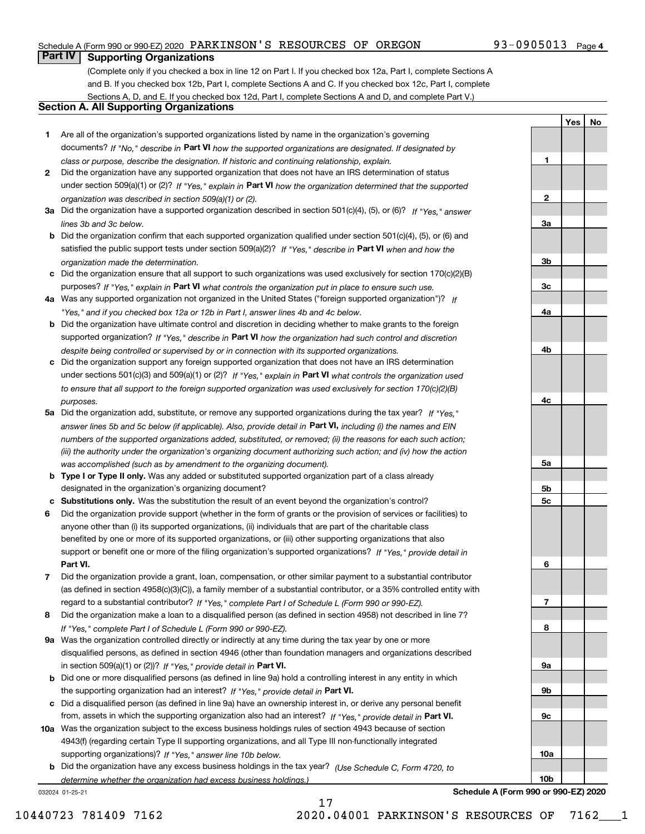# Schedule A (Form 990 or 990-EZ) 2020 Page PARKINSON'S RESOURCES OF OREGON 93-0905013

# **Part IV Supporting Organizations**

(Complete only if you checked a box in line 12 on Part I. If you checked box 12a, Part I, complete Sections A and B. If you checked box 12b, Part I, complete Sections A and C. If you checked box 12c, Part I, complete Sections A, D, and E. If you checked box 12d, Part I, complete Sections A and D, and complete Part V.)

# **Section A. All Supporting Organizations**

- **1** Are all of the organization's supported organizations listed by name in the organization's governing documents? If "No," describe in **Part VI** how the supported organizations are designated. If designated by *class or purpose, describe the designation. If historic and continuing relationship, explain.*
- **2** Did the organization have any supported organization that does not have an IRS determination of status under section 509(a)(1) or (2)? If "Yes," explain in Part VI how the organization determined that the supported *organization was described in section 509(a)(1) or (2).*
- **3a** Did the organization have a supported organization described in section 501(c)(4), (5), or (6)? If "Yes," answer *lines 3b and 3c below.*
- **b** Did the organization confirm that each supported organization qualified under section 501(c)(4), (5), or (6) and satisfied the public support tests under section 509(a)(2)? If "Yes," describe in **Part VI** when and how the *organization made the determination.*
- **c**Did the organization ensure that all support to such organizations was used exclusively for section 170(c)(2)(B) purposes? If "Yes," explain in **Part VI** what controls the organization put in place to ensure such use.
- **4a***If* Was any supported organization not organized in the United States ("foreign supported organization")? *"Yes," and if you checked box 12a or 12b in Part I, answer lines 4b and 4c below.*
- **b** Did the organization have ultimate control and discretion in deciding whether to make grants to the foreign supported organization? If "Yes," describe in **Part VI** how the organization had such control and discretion *despite being controlled or supervised by or in connection with its supported organizations.*
- **c** Did the organization support any foreign supported organization that does not have an IRS determination under sections 501(c)(3) and 509(a)(1) or (2)? If "Yes," explain in **Part VI** what controls the organization used *to ensure that all support to the foreign supported organization was used exclusively for section 170(c)(2)(B) purposes.*
- **5a** Did the organization add, substitute, or remove any supported organizations during the tax year? If "Yes," answer lines 5b and 5c below (if applicable). Also, provide detail in **Part VI,** including (i) the names and EIN *numbers of the supported organizations added, substituted, or removed; (ii) the reasons for each such action; (iii) the authority under the organization's organizing document authorizing such action; and (iv) how the action was accomplished (such as by amendment to the organizing document).*
- **b** Type I or Type II only. Was any added or substituted supported organization part of a class already designated in the organization's organizing document?
- **cSubstitutions only.**  Was the substitution the result of an event beyond the organization's control?
- **6** Did the organization provide support (whether in the form of grants or the provision of services or facilities) to **Part VI.** *If "Yes," provide detail in* support or benefit one or more of the filing organization's supported organizations? anyone other than (i) its supported organizations, (ii) individuals that are part of the charitable class benefited by one or more of its supported organizations, or (iii) other supporting organizations that also
- **7**Did the organization provide a grant, loan, compensation, or other similar payment to a substantial contributor *If "Yes," complete Part I of Schedule L (Form 990 or 990-EZ).* regard to a substantial contributor? (as defined in section 4958(c)(3)(C)), a family member of a substantial contributor, or a 35% controlled entity with
- **8** Did the organization make a loan to a disqualified person (as defined in section 4958) not described in line 7? *If "Yes," complete Part I of Schedule L (Form 990 or 990-EZ).*
- **9a** Was the organization controlled directly or indirectly at any time during the tax year by one or more in section 509(a)(1) or (2))? If "Yes," *provide detail in* <code>Part VI.</code> disqualified persons, as defined in section 4946 (other than foundation managers and organizations described
- **b** Did one or more disqualified persons (as defined in line 9a) hold a controlling interest in any entity in which the supporting organization had an interest? If "Yes," provide detail in P**art VI**.
- **c**Did a disqualified person (as defined in line 9a) have an ownership interest in, or derive any personal benefit from, assets in which the supporting organization also had an interest? If "Yes," provide detail in P**art VI.**
- **10a** Was the organization subject to the excess business holdings rules of section 4943 because of section supporting organizations)? If "Yes," answer line 10b below. 4943(f) (regarding certain Type II supporting organizations, and all Type III non-functionally integrated
- **b** Did the organization have any excess business holdings in the tax year? (Use Schedule C, Form 4720, to *determine whether the organization had excess business holdings.)*

17

032024 01-25-21

**10b**

**1**

**2**

**3a**

**3b**

**3c**

**4a**

**4b**

**4c**

**5a**

**5b5c**

**6**

**7**

**8**

**9a**

**9b**

**9c**

**YesNo**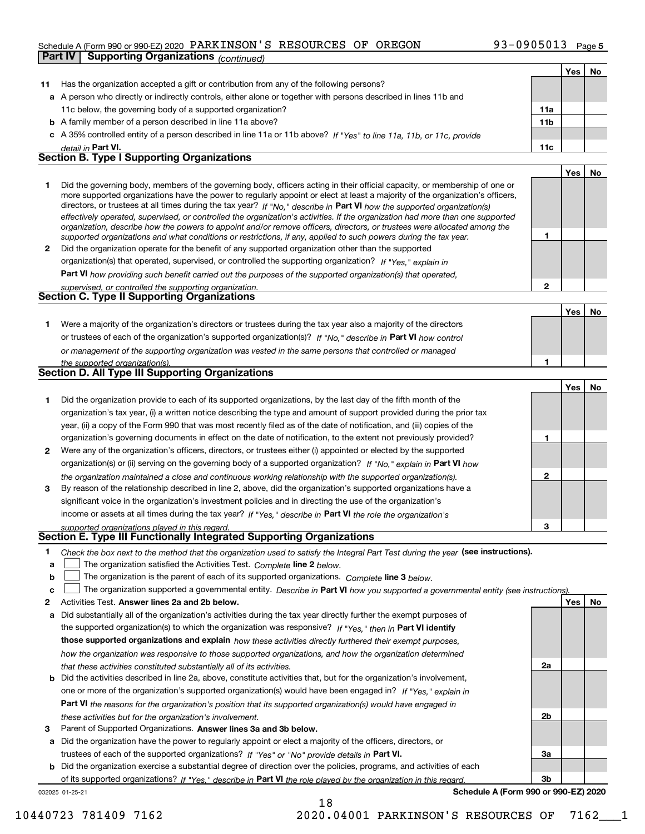## Schedule A (Form 990 or 990-EZ) 2020 Page PARKINSON'S RESOURCES OF OREGON 93-0905013

|    | <b>Supporting Organizations (continued)</b><br>Part IV                                                                                                                                                                                                                                                                                                                                                                                                                                                                   |                 |     |    |
|----|--------------------------------------------------------------------------------------------------------------------------------------------------------------------------------------------------------------------------------------------------------------------------------------------------------------------------------------------------------------------------------------------------------------------------------------------------------------------------------------------------------------------------|-----------------|-----|----|
|    |                                                                                                                                                                                                                                                                                                                                                                                                                                                                                                                          |                 | Yes | No |
| 11 | Has the organization accepted a gift or contribution from any of the following persons?                                                                                                                                                                                                                                                                                                                                                                                                                                  |                 |     |    |
|    | a A person who directly or indirectly controls, either alone or together with persons described in lines 11b and                                                                                                                                                                                                                                                                                                                                                                                                         |                 |     |    |
|    | 11c below, the governing body of a supported organization?                                                                                                                                                                                                                                                                                                                                                                                                                                                               | 11a             |     |    |
|    | <b>b</b> A family member of a person described in line 11a above?                                                                                                                                                                                                                                                                                                                                                                                                                                                        | 11 <sub>b</sub> |     |    |
|    | c A 35% controlled entity of a person described in line 11a or 11b above? If "Yes" to line 11a, 11b, or 11c, provide                                                                                                                                                                                                                                                                                                                                                                                                     |                 |     |    |
|    | detail in Part VI.                                                                                                                                                                                                                                                                                                                                                                                                                                                                                                       | 11c             |     |    |
|    | <b>Section B. Type I Supporting Organizations</b>                                                                                                                                                                                                                                                                                                                                                                                                                                                                        |                 |     |    |
|    |                                                                                                                                                                                                                                                                                                                                                                                                                                                                                                                          |                 | Yes | No |
| 1  | Did the governing body, members of the governing body, officers acting in their official capacity, or membership of one or<br>more supported organizations have the power to regularly appoint or elect at least a majority of the organization's officers,<br>directors, or trustees at all times during the tax year? If "No," describe in Part VI how the supported organization(s)<br>effectively operated, supervised, or controlled the organization's activities. If the organization had more than one supported |                 |     |    |
|    | organization, describe how the powers to appoint and/or remove officers, directors, or trustees were allocated among the<br>supported organizations and what conditions or restrictions, if any, applied to such powers during the tax year.                                                                                                                                                                                                                                                                             | 1               |     |    |
| 2  | Did the organization operate for the benefit of any supported organization other than the supported                                                                                                                                                                                                                                                                                                                                                                                                                      |                 |     |    |
|    | organization(s) that operated, supervised, or controlled the supporting organization? If "Yes," explain in                                                                                                                                                                                                                                                                                                                                                                                                               |                 |     |    |
|    | Part VI how providing such benefit carried out the purposes of the supported organization(s) that operated,                                                                                                                                                                                                                                                                                                                                                                                                              |                 |     |    |
|    | supervised, or controlled the supporting organization.                                                                                                                                                                                                                                                                                                                                                                                                                                                                   | $\overline{2}$  |     |    |
|    | Section C. Type II Supporting Organizations                                                                                                                                                                                                                                                                                                                                                                                                                                                                              |                 |     |    |
|    |                                                                                                                                                                                                                                                                                                                                                                                                                                                                                                                          |                 | Yes | No |
| 1. | Were a majority of the organization's directors or trustees during the tax year also a majority of the directors                                                                                                                                                                                                                                                                                                                                                                                                         |                 |     |    |
|    | or trustees of each of the organization's supported organization(s)? If "No," describe in Part VI how control                                                                                                                                                                                                                                                                                                                                                                                                            |                 |     |    |
|    | or management of the supporting organization was vested in the same persons that controlled or managed                                                                                                                                                                                                                                                                                                                                                                                                                   |                 |     |    |
|    | the supported organization(s).                                                                                                                                                                                                                                                                                                                                                                                                                                                                                           | 1               |     |    |
|    | Section D. All Type III Supporting Organizations                                                                                                                                                                                                                                                                                                                                                                                                                                                                         |                 |     |    |
|    |                                                                                                                                                                                                                                                                                                                                                                                                                                                                                                                          |                 | Yes | No |
| 1  | Did the organization provide to each of its supported organizations, by the last day of the fifth month of the                                                                                                                                                                                                                                                                                                                                                                                                           |                 |     |    |
|    | organization's tax year, (i) a written notice describing the type and amount of support provided during the prior tax                                                                                                                                                                                                                                                                                                                                                                                                    |                 |     |    |
|    | year, (ii) a copy of the Form 990 that was most recently filed as of the date of notification, and (iii) copies of the                                                                                                                                                                                                                                                                                                                                                                                                   |                 |     |    |
|    | organization's governing documents in effect on the date of notification, to the extent not previously provided?                                                                                                                                                                                                                                                                                                                                                                                                         | 1               |     |    |
| 2  | Were any of the organization's officers, directors, or trustees either (i) appointed or elected by the supported                                                                                                                                                                                                                                                                                                                                                                                                         |                 |     |    |
|    | organization(s) or (ii) serving on the governing body of a supported organization? If "No," explain in Part VI how                                                                                                                                                                                                                                                                                                                                                                                                       |                 |     |    |
| 3  | the organization maintained a close and continuous working relationship with the supported organization(s).<br>By reason of the relationship described in line 2, above, did the organization's supported organizations have a                                                                                                                                                                                                                                                                                           | $\mathbf{2}$    |     |    |
|    | significant voice in the organization's investment policies and in directing the use of the organization's                                                                                                                                                                                                                                                                                                                                                                                                               |                 |     |    |
|    | income or assets at all times during the tax year? If "Yes," describe in Part VI the role the organization's                                                                                                                                                                                                                                                                                                                                                                                                             |                 |     |    |
|    | supported organizations played in this regard.                                                                                                                                                                                                                                                                                                                                                                                                                                                                           | 3               |     |    |
|    | Section E. Type III Functionally Integrated Supporting Organizations                                                                                                                                                                                                                                                                                                                                                                                                                                                     |                 |     |    |
| 1. | Check the box next to the method that the organization used to satisfy the Integral Part Test during the year (see instructions).                                                                                                                                                                                                                                                                                                                                                                                        |                 |     |    |
| а  | The organization satisfied the Activities Test. Complete line 2 below.                                                                                                                                                                                                                                                                                                                                                                                                                                                   |                 |     |    |
| b  | The organization is the parent of each of its supported organizations. Complete line 3 below.                                                                                                                                                                                                                                                                                                                                                                                                                            |                 |     |    |
| с  | The organization supported a governmental entity. Describe in Part VI how you supported a governmental entity (see instructions)                                                                                                                                                                                                                                                                                                                                                                                         |                 |     |    |
| 2  | Activities Test. Answer lines 2a and 2b below.                                                                                                                                                                                                                                                                                                                                                                                                                                                                           |                 | Yes | No |
| а  | Did substantially all of the organization's activities during the tax year directly further the exempt purposes of                                                                                                                                                                                                                                                                                                                                                                                                       |                 |     |    |
|    | the supported organization(s) to which the organization was responsive? If "Yes," then in Part VI identify                                                                                                                                                                                                                                                                                                                                                                                                               |                 |     |    |
|    | those supported organizations and explain how these activities directly furthered their exempt purposes,                                                                                                                                                                                                                                                                                                                                                                                                                 |                 |     |    |
|    | how the organization was responsive to those supported organizations, and how the organization determined                                                                                                                                                                                                                                                                                                                                                                                                                |                 |     |    |
|    | that these activities constituted substantially all of its activities.                                                                                                                                                                                                                                                                                                                                                                                                                                                   | 2a              |     |    |
| b  | Did the activities described in line 2a, above, constitute activities that, but for the organization's involvement,                                                                                                                                                                                                                                                                                                                                                                                                      |                 |     |    |
|    | one or more of the organization's supported organization(s) would have been engaged in? If "Yes," explain in                                                                                                                                                                                                                                                                                                                                                                                                             |                 |     |    |
|    | Part VI the reasons for the organization's position that its supported organization(s) would have engaged in                                                                                                                                                                                                                                                                                                                                                                                                             |                 |     |    |
|    | these activities but for the organization's involvement.                                                                                                                                                                                                                                                                                                                                                                                                                                                                 | 2 <sub>b</sub>  |     |    |

**3** Parent of Supported Organizations. Answer lines 3a and 3b below.

**a** Did the organization have the power to regularly appoint or elect a majority of the officers, directors, or trustees of each of the supported organizations? If "Yes" or "No" provide details in **Part VI.** 

**b** Did the organization exercise a substantial degree of direction over the policies, programs, and activities of each of its supported organizations? If "Yes," describe in Part VI the role played by the organization in this regard.

18

032025 01-25-21

**Schedule A (Form 990 or 990-EZ) 2020**

**3a**

**3b**

10440723 781409 7162 2020.04001 PARKINSON'S RESOURCES OF 7162\_\_\_1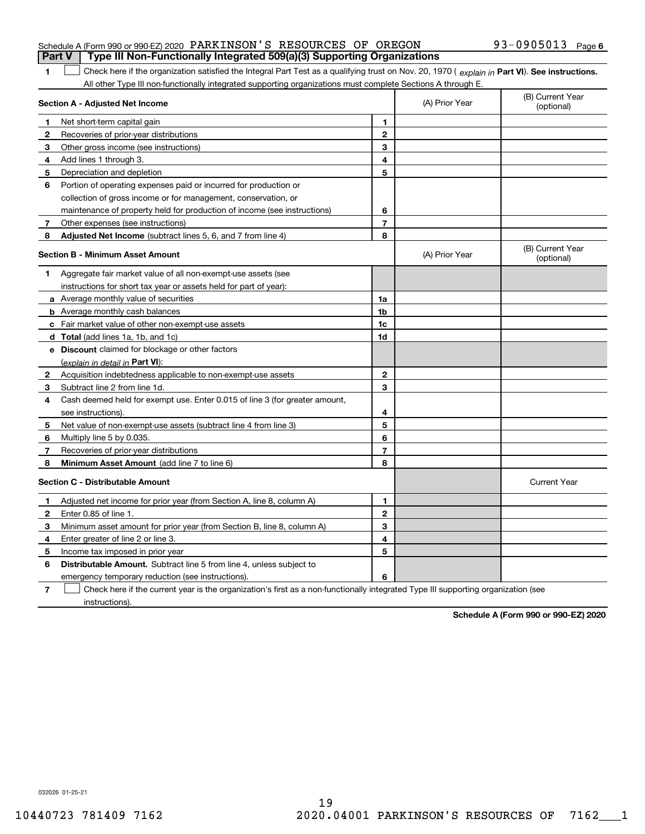#### Schedule A (Form 990 or 990-EZ) 2020 Page PARKINSON'S RESOURCES OF OREGON 93-0905013 **Part V Type III Non-Functionally Integrated 509(a)(3) Supporting Organizations**

**1**1 Check here if the organization satisfied the Integral Part Test as a qualifying trust on Nov. 20, 1970 (explain in Part VI). See instructions. All other Type III non-functionally integrated supporting organizations must complete Sections A through E.

|              | Section A - Adjusted Net Income                                                                                                   |                | (A) Prior Year | (B) Current Year<br>(optional) |
|--------------|-----------------------------------------------------------------------------------------------------------------------------------|----------------|----------------|--------------------------------|
| 1            | Net short-term capital gain                                                                                                       | 1              |                |                                |
| 2            | Recoveries of prior-year distributions                                                                                            | $\overline{2}$ |                |                                |
| 3            | Other gross income (see instructions)                                                                                             | 3              |                |                                |
| 4            | Add lines 1 through 3.                                                                                                            | 4              |                |                                |
| 5            | Depreciation and depletion                                                                                                        | 5              |                |                                |
| 6            | Portion of operating expenses paid or incurred for production or                                                                  |                |                |                                |
|              | collection of gross income or for management, conservation, or                                                                    |                |                |                                |
|              | maintenance of property held for production of income (see instructions)                                                          | 6              |                |                                |
| 7            | Other expenses (see instructions)                                                                                                 | $\overline{7}$ |                |                                |
| 8            | Adjusted Net Income (subtract lines 5, 6, and 7 from line 4)                                                                      | 8              |                |                                |
|              | <b>Section B - Minimum Asset Amount</b>                                                                                           |                | (A) Prior Year | (B) Current Year<br>(optional) |
| 1            | Aggregate fair market value of all non-exempt-use assets (see                                                                     |                |                |                                |
|              | instructions for short tax year or assets held for part of year):                                                                 |                |                |                                |
|              | <b>a</b> Average monthly value of securities                                                                                      | 1a             |                |                                |
|              | <b>b</b> Average monthly cash balances                                                                                            | 1 <sub>b</sub> |                |                                |
|              | c Fair market value of other non-exempt-use assets                                                                                | 1c             |                |                                |
|              | d Total (add lines 1a, 1b, and 1c)                                                                                                | 1d             |                |                                |
|              | e Discount claimed for blockage or other factors                                                                                  |                |                |                                |
|              | (explain in detail in Part VI):                                                                                                   |                |                |                                |
| $\mathbf{2}$ | Acquisition indebtedness applicable to non-exempt-use assets                                                                      | $\mathbf{2}$   |                |                                |
| 3            | Subtract line 2 from line 1d.                                                                                                     | 3              |                |                                |
| 4            | Cash deemed held for exempt use. Enter 0.015 of line 3 (for greater amount,                                                       |                |                |                                |
|              | see instructions)                                                                                                                 | 4              |                |                                |
| 5            | Net value of non-exempt-use assets (subtract line 4 from line 3)                                                                  | 5              |                |                                |
| 6            | Multiply line 5 by 0.035.                                                                                                         | 6              |                |                                |
| 7            | Recoveries of prior-year distributions                                                                                            | $\overline{7}$ |                |                                |
| 8            | Minimum Asset Amount (add line 7 to line 6)                                                                                       | 8              |                |                                |
|              | <b>Section C - Distributable Amount</b>                                                                                           |                |                | <b>Current Year</b>            |
| 1            | Adjusted net income for prior year (from Section A, line 8, column A)                                                             | 1              |                |                                |
| 2            | Enter 0.85 of line 1.                                                                                                             | $\overline{2}$ |                |                                |
| 3            | Minimum asset amount for prior year (from Section B, line 8, column A)                                                            | 3              |                |                                |
| 4            | Enter greater of line 2 or line 3.                                                                                                | 4              |                |                                |
| 5            | Income tax imposed in prior year                                                                                                  | 5              |                |                                |
| 6            | <b>Distributable Amount.</b> Subtract line 5 from line 4, unless subject to                                                       |                |                |                                |
|              | emergency temporary reduction (see instructions).                                                                                 | 6              |                |                                |
| 7            | Check here if the current year is the organization's first as a non-functionally integrated Type III supporting organization (see |                |                |                                |

instructions).

**Schedule A (Form 990 or 990-EZ) 2020**

032026 01-25-21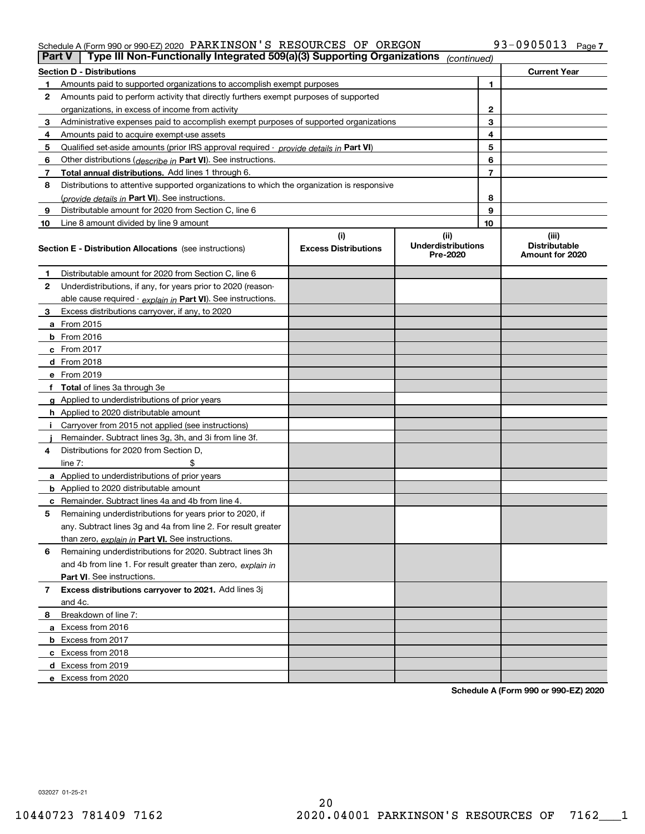# Schedule A (Form 990 or 990-EZ) 2020 Page PARKINSON'S RESOURCES OF OREGON 93-0905013

| <b>Part V</b>  | Type III Non-Functionally Integrated 509(a)(3) Supporting Organizations                    |                             | (continued)                           |              |                                         |
|----------------|--------------------------------------------------------------------------------------------|-----------------------------|---------------------------------------|--------------|-----------------------------------------|
|                | <b>Section D - Distributions</b>                                                           |                             |                                       |              | <b>Current Year</b>                     |
| 1.             | Amounts paid to supported organizations to accomplish exempt purposes                      |                             | 1                                     |              |                                         |
| 2              | Amounts paid to perform activity that directly furthers exempt purposes of supported       |                             |                                       |              |                                         |
|                | organizations, in excess of income from activity                                           |                             |                                       | $\mathbf{2}$ |                                         |
| 3              | Administrative expenses paid to accomplish exempt purposes of supported organizations      |                             |                                       | 3            |                                         |
| 4              | Amounts paid to acquire exempt-use assets                                                  |                             |                                       | 4            |                                         |
| 5              | Qualified set-aside amounts (prior IRS approval required - provide details in Part VI)     |                             |                                       | 5            |                                         |
| 6              | Other distributions ( <i>describe in</i> Part VI). See instructions.                       |                             |                                       | 6            |                                         |
| 7              | Total annual distributions. Add lines 1 through 6.                                         |                             |                                       | 7            |                                         |
| 8              | Distributions to attentive supported organizations to which the organization is responsive |                             |                                       |              |                                         |
|                | (provide details in Part VI). See instructions.                                            |                             |                                       | 8            |                                         |
| 9              | Distributable amount for 2020 from Section C, line 6                                       |                             |                                       | 9            |                                         |
| 10             | Line 8 amount divided by line 9 amount                                                     |                             |                                       | 10           |                                         |
|                |                                                                                            | (i)                         | (ii)                                  |              | (iii)                                   |
|                | <b>Section E - Distribution Allocations</b> (see instructions)                             | <b>Excess Distributions</b> | <b>Underdistributions</b><br>Pre-2020 |              | <b>Distributable</b><br>Amount for 2020 |
| 1              | Distributable amount for 2020 from Section C, line 6                                       |                             |                                       |              |                                         |
| 2              | Underdistributions, if any, for years prior to 2020 (reason-                               |                             |                                       |              |                                         |
|                | able cause required - explain in Part VI). See instructions.                               |                             |                                       |              |                                         |
| 3              | Excess distributions carryover, if any, to 2020                                            |                             |                                       |              |                                         |
|                | a From 2015                                                                                |                             |                                       |              |                                         |
|                | <b>b</b> From 2016                                                                         |                             |                                       |              |                                         |
|                | c From 2017                                                                                |                             |                                       |              |                                         |
|                | d From 2018                                                                                |                             |                                       |              |                                         |
|                | e From 2019                                                                                |                             |                                       |              |                                         |
|                | f Total of lines 3a through 3e                                                             |                             |                                       |              |                                         |
|                | g Applied to underdistributions of prior years                                             |                             |                                       |              |                                         |
|                | <b>h</b> Applied to 2020 distributable amount                                              |                             |                                       |              |                                         |
|                | Carryover from 2015 not applied (see instructions)                                         |                             |                                       |              |                                         |
|                | Remainder. Subtract lines 3g, 3h, and 3i from line 3f.                                     |                             |                                       |              |                                         |
| 4              | Distributions for 2020 from Section D.                                                     |                             |                                       |              |                                         |
|                | line $7:$                                                                                  |                             |                                       |              |                                         |
|                | a Applied to underdistributions of prior years                                             |                             |                                       |              |                                         |
|                | <b>b</b> Applied to 2020 distributable amount                                              |                             |                                       |              |                                         |
|                | c Remainder. Subtract lines 4a and 4b from line 4.                                         |                             |                                       |              |                                         |
| 5              | Remaining underdistributions for years prior to 2020, if                                   |                             |                                       |              |                                         |
|                | any. Subtract lines 3g and 4a from line 2. For result greater                              |                             |                                       |              |                                         |
|                | than zero, explain in Part VI. See instructions.                                           |                             |                                       |              |                                         |
| 6              | Remaining underdistributions for 2020. Subtract lines 3h                                   |                             |                                       |              |                                         |
|                | and 4b from line 1. For result greater than zero, explain in                               |                             |                                       |              |                                         |
|                | Part VI. See instructions.                                                                 |                             |                                       |              |                                         |
| $\overline{7}$ | Excess distributions carryover to 2021. Add lines 3j                                       |                             |                                       |              |                                         |
|                | and 4c.                                                                                    |                             |                                       |              |                                         |
| 8              | Breakdown of line 7:                                                                       |                             |                                       |              |                                         |
|                | a Excess from 2016                                                                         |                             |                                       |              |                                         |
|                | <b>b</b> Excess from 2017                                                                  |                             |                                       |              |                                         |
|                | c Excess from 2018                                                                         |                             |                                       |              |                                         |
|                | d Excess from 2019                                                                         |                             |                                       |              |                                         |
|                | e Excess from 2020                                                                         |                             |                                       |              |                                         |

**Schedule A (Form 990 or 990-EZ) 2020**

032027 01-25-21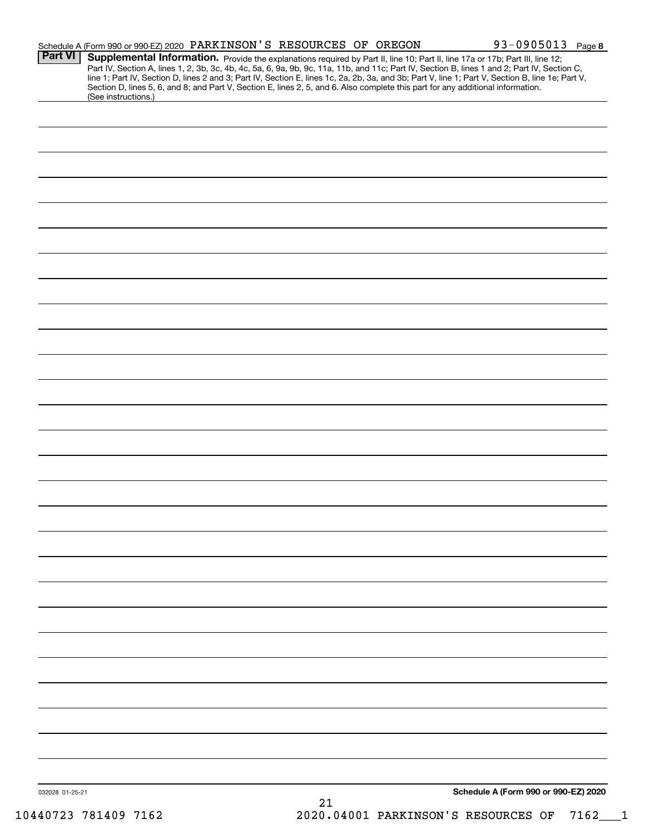|                 | Schedule A (Form 990 or 990-EZ) 2020 PARKINSON'S RESOURCES OF OREGON |                                                                                                                                 |    | 93-0905013 Page 8                                                                                                                                                                                                                                                                                                                                                                                                                 |
|-----------------|----------------------------------------------------------------------|---------------------------------------------------------------------------------------------------------------------------------|----|-----------------------------------------------------------------------------------------------------------------------------------------------------------------------------------------------------------------------------------------------------------------------------------------------------------------------------------------------------------------------------------------------------------------------------------|
| <b>Part VI</b>  |                                                                      | Section D, lines 5, 6, and 8; and Part V, Section E, lines 2, 5, and 6. Also complete this part for any additional information. |    | Supplemental Information. Provide the explanations required by Part II, line 10; Part II, line 17a or 17b; Part III, line 12;<br>Part IV, Section A, lines 1, 2, 3b, 3c, 4b, 4c, 5a, 6, 9a, 9b, 9c, 11a, 11b, and 11c; Part IV, Section B, lines 1 and 2; Part IV, Section C,<br>line 1; Part IV, Section D, lines 2 and 3; Part IV, Section E, lines 1c, 2a, 2b, 3a, and 3b; Part V, line 1; Part V, Section B, line 1e; Part V, |
|                 | (See instructions.)                                                  |                                                                                                                                 |    |                                                                                                                                                                                                                                                                                                                                                                                                                                   |
|                 |                                                                      |                                                                                                                                 |    |                                                                                                                                                                                                                                                                                                                                                                                                                                   |
|                 |                                                                      |                                                                                                                                 |    |                                                                                                                                                                                                                                                                                                                                                                                                                                   |
|                 |                                                                      |                                                                                                                                 |    |                                                                                                                                                                                                                                                                                                                                                                                                                                   |
|                 |                                                                      |                                                                                                                                 |    |                                                                                                                                                                                                                                                                                                                                                                                                                                   |
|                 |                                                                      |                                                                                                                                 |    |                                                                                                                                                                                                                                                                                                                                                                                                                                   |
|                 |                                                                      |                                                                                                                                 |    |                                                                                                                                                                                                                                                                                                                                                                                                                                   |
|                 |                                                                      |                                                                                                                                 |    |                                                                                                                                                                                                                                                                                                                                                                                                                                   |
|                 |                                                                      |                                                                                                                                 |    |                                                                                                                                                                                                                                                                                                                                                                                                                                   |
|                 |                                                                      |                                                                                                                                 |    |                                                                                                                                                                                                                                                                                                                                                                                                                                   |
|                 |                                                                      |                                                                                                                                 |    |                                                                                                                                                                                                                                                                                                                                                                                                                                   |
|                 |                                                                      |                                                                                                                                 |    |                                                                                                                                                                                                                                                                                                                                                                                                                                   |
|                 |                                                                      |                                                                                                                                 |    |                                                                                                                                                                                                                                                                                                                                                                                                                                   |
|                 |                                                                      |                                                                                                                                 |    |                                                                                                                                                                                                                                                                                                                                                                                                                                   |
|                 |                                                                      |                                                                                                                                 |    |                                                                                                                                                                                                                                                                                                                                                                                                                                   |
|                 |                                                                      |                                                                                                                                 |    |                                                                                                                                                                                                                                                                                                                                                                                                                                   |
|                 |                                                                      |                                                                                                                                 |    |                                                                                                                                                                                                                                                                                                                                                                                                                                   |
|                 |                                                                      |                                                                                                                                 |    |                                                                                                                                                                                                                                                                                                                                                                                                                                   |
|                 |                                                                      |                                                                                                                                 |    |                                                                                                                                                                                                                                                                                                                                                                                                                                   |
|                 |                                                                      |                                                                                                                                 |    |                                                                                                                                                                                                                                                                                                                                                                                                                                   |
|                 |                                                                      |                                                                                                                                 |    |                                                                                                                                                                                                                                                                                                                                                                                                                                   |
|                 |                                                                      |                                                                                                                                 |    |                                                                                                                                                                                                                                                                                                                                                                                                                                   |
|                 |                                                                      |                                                                                                                                 |    |                                                                                                                                                                                                                                                                                                                                                                                                                                   |
|                 |                                                                      |                                                                                                                                 |    |                                                                                                                                                                                                                                                                                                                                                                                                                                   |
|                 |                                                                      |                                                                                                                                 |    |                                                                                                                                                                                                                                                                                                                                                                                                                                   |
|                 |                                                                      |                                                                                                                                 |    |                                                                                                                                                                                                                                                                                                                                                                                                                                   |
|                 |                                                                      |                                                                                                                                 |    |                                                                                                                                                                                                                                                                                                                                                                                                                                   |
|                 |                                                                      |                                                                                                                                 |    |                                                                                                                                                                                                                                                                                                                                                                                                                                   |
|                 |                                                                      |                                                                                                                                 |    |                                                                                                                                                                                                                                                                                                                                                                                                                                   |
|                 |                                                                      |                                                                                                                                 |    |                                                                                                                                                                                                                                                                                                                                                                                                                                   |
|                 |                                                                      |                                                                                                                                 |    |                                                                                                                                                                                                                                                                                                                                                                                                                                   |
|                 |                                                                      |                                                                                                                                 |    |                                                                                                                                                                                                                                                                                                                                                                                                                                   |
|                 |                                                                      |                                                                                                                                 |    |                                                                                                                                                                                                                                                                                                                                                                                                                                   |
| 032028 01-25-21 |                                                                      |                                                                                                                                 |    | Schedule A (Form 990 or 990-EZ) 2020                                                                                                                                                                                                                                                                                                                                                                                              |
|                 |                                                                      |                                                                                                                                 | 21 |                                                                                                                                                                                                                                                                                                                                                                                                                                   |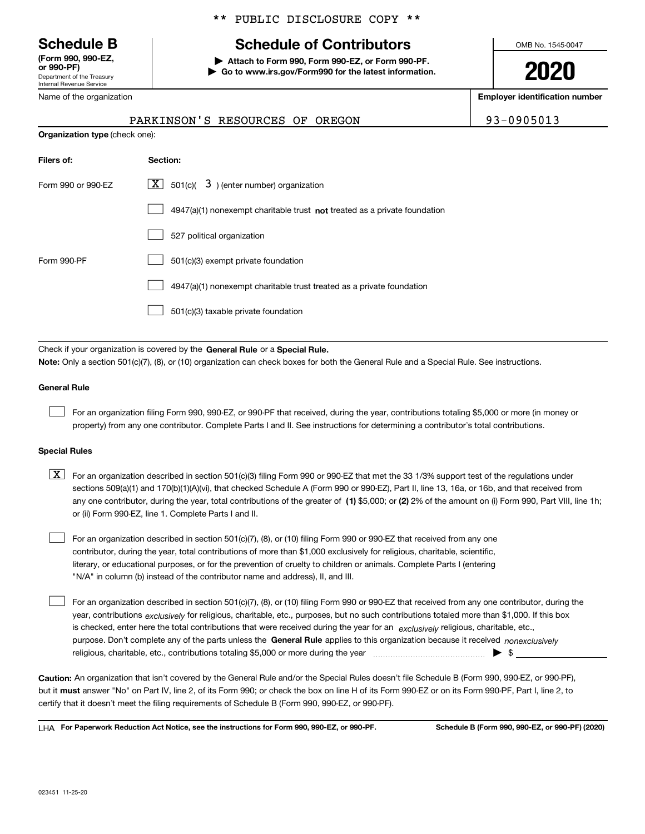Department of the Treasury Internal Revenue Service **(Form 990, 990-EZ, or 990-PF)**

Name of the organization

# \*\* PUBLIC DISCLOSURE COPY \*\*

# **Schedule B Schedule of Contributors**

**| Attach to Form 990, Form 990-EZ, or Form 990-PF. | Go to www.irs.gov/Form990 for the latest information.** OMB No. 1545-0047

**2020**

**Employer identification number**

93-0905013

|                                       | PARKINSON'S RESOURCES OF OREGON |  |  |
|---------------------------------------|---------------------------------|--|--|
| <b>Organization type (check one):</b> |                                 |  |  |

| Filers of:         | Section:                                                                           |
|--------------------|------------------------------------------------------------------------------------|
| Form 990 or 990-EZ | $\lfloor x \rfloor$ 501(c)( 3) (enter number) organization                         |
|                    | $4947(a)(1)$ nonexempt charitable trust <b>not</b> treated as a private foundation |
|                    | 527 political organization                                                         |
| Form 990-PF        | 501(c)(3) exempt private foundation                                                |
|                    | 4947(a)(1) nonexempt charitable trust treated as a private foundation              |
|                    | 501(c)(3) taxable private foundation                                               |

Check if your organization is covered by the **General Rule** or a **Special Rule. Note:**  Only a section 501(c)(7), (8), or (10) organization can check boxes for both the General Rule and a Special Rule. See instructions.

#### **General Rule**

 $\mathcal{L}^{\text{max}}$ 

For an organization filing Form 990, 990-EZ, or 990-PF that received, during the year, contributions totaling \$5,000 or more (in money or property) from any one contributor. Complete Parts I and II. See instructions for determining a contributor's total contributions.

#### **Special Rules**

any one contributor, during the year, total contributions of the greater of  $\,$  (1) \$5,000; or **(2)** 2% of the amount on (i) Form 990, Part VIII, line 1h;  $\boxed{\textbf{X}}$  For an organization described in section 501(c)(3) filing Form 990 or 990-EZ that met the 33 1/3% support test of the regulations under sections 509(a)(1) and 170(b)(1)(A)(vi), that checked Schedule A (Form 990 or 990-EZ), Part II, line 13, 16a, or 16b, and that received from or (ii) Form 990-EZ, line 1. Complete Parts I and II.

For an organization described in section 501(c)(7), (8), or (10) filing Form 990 or 990-EZ that received from any one contributor, during the year, total contributions of more than \$1,000 exclusively for religious, charitable, scientific, literary, or educational purposes, or for the prevention of cruelty to children or animals. Complete Parts I (entering "N/A" in column (b) instead of the contributor name and address), II, and III.  $\mathcal{L}^{\text{max}}$ 

purpose. Don't complete any of the parts unless the **General Rule** applies to this organization because it received *nonexclusively* year, contributions <sub>exclusively</sub> for religious, charitable, etc., purposes, but no such contributions totaled more than \$1,000. If this box is checked, enter here the total contributions that were received during the year for an  $\;$ exclusively religious, charitable, etc., For an organization described in section 501(c)(7), (8), or (10) filing Form 990 or 990-EZ that received from any one contributor, during the religious, charitable, etc., contributions totaling \$5,000 or more during the year  $\Box$ — $\Box$   $\Box$  $\mathcal{L}^{\text{max}}$ 

**Caution:**  An organization that isn't covered by the General Rule and/or the Special Rules doesn't file Schedule B (Form 990, 990-EZ, or 990-PF),  **must** but it answer "No" on Part IV, line 2, of its Form 990; or check the box on line H of its Form 990-EZ or on its Form 990-PF, Part I, line 2, to certify that it doesn't meet the filing requirements of Schedule B (Form 990, 990-EZ, or 990-PF).

**For Paperwork Reduction Act Notice, see the instructions for Form 990, 990-EZ, or 990-PF. Schedule B (Form 990, 990-EZ, or 990-PF) (2020)** LHA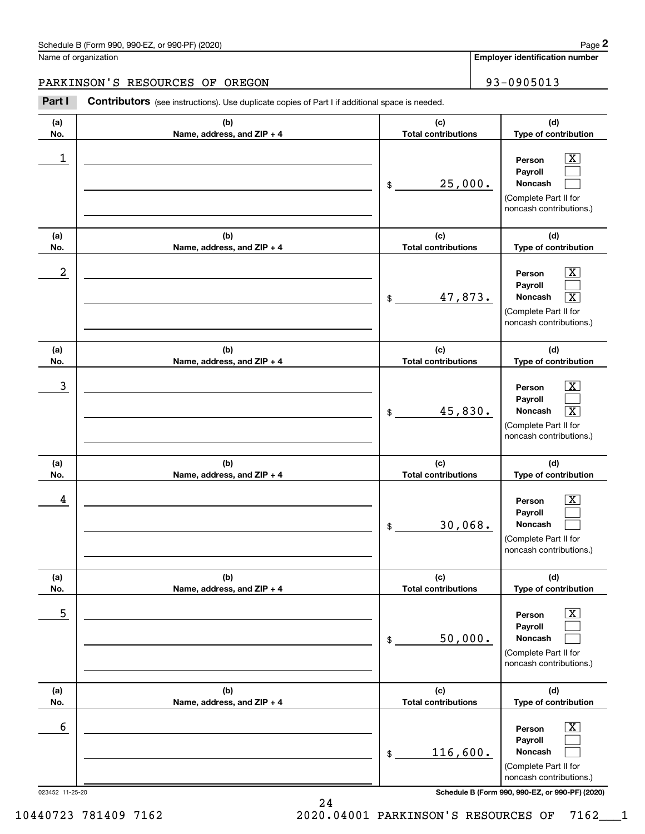**Employer identification number**

# PARKINSON'S RESOURCES OF OREGON 93-0905013

Contributors (see instructions). Use duplicate copies of Part I if additional space is needed. Chedule B (Form 990, 990-EZ, or 990-PF) (2020)<br> **2Part I 2Part I Contributors** (see instructions). Use duplicate copies of Part I if additional space is needed.<br> **2Part I 2Part I Contributors** (see instructions). U

| (a) | (b)                        | (c)                        | (d)                                                                                                              |
|-----|----------------------------|----------------------------|------------------------------------------------------------------------------------------------------------------|
| No. | Name, address, and ZIP + 4 | <b>Total contributions</b> | Type of contribution                                                                                             |
| 1   |                            | 25,000.<br>\$              | x<br>Person<br>Payroll<br>Noncash<br>(Complete Part II for<br>noncash contributions.)                            |
| (a) | (b)                        | (c)                        | (d)                                                                                                              |
| No. | Name, address, and ZIP + 4 | <b>Total contributions</b> | Type of contribution                                                                                             |
| 2   |                            | 47,873.<br>$$\circ$$       | X<br>Person<br>Payroll<br>Noncash<br>$\overline{\texttt{X}}$<br>(Complete Part II for<br>noncash contributions.) |
| (a) | (b)                        | (c)                        | (d)                                                                                                              |
| No. | Name, address, and ZIP + 4 | <b>Total contributions</b> | Type of contribution                                                                                             |
| 3   |                            | 45,830.<br>\$              | X<br>Person<br>Payroll<br>Noncash<br>$\overline{\texttt{X}}$<br>(Complete Part II for<br>noncash contributions.) |
|     |                            |                            |                                                                                                                  |
| (a) | (b)                        | (c)                        | (d)                                                                                                              |
| No. | Name, address, and ZIP + 4 | <b>Total contributions</b> | Type of contribution                                                                                             |
| 4   |                            | 30,068.<br>\$              | x<br>Person<br>Payroll<br>Noncash<br>(Complete Part II for<br>noncash contributions.)                            |
| (a) | (b)                        | (c)                        | (d)                                                                                                              |
| No. | Name, address, and ZIP + 4 | <b>Total contributions</b> | Type of contribution                                                                                             |
| 5   |                            | 50,000.<br>\$              | $\overline{\text{X}}$<br>Person<br>Payroll<br>Noncash<br>(Complete Part II for<br>noncash contributions.)        |
| (a) | (b)                        | (c)                        | (d)                                                                                                              |
| No. | Name, address, and ZIP + 4 | <b>Total contributions</b> | Type of contribution                                                                                             |
| 6   |                            | 116,600.<br>$$\mathsf{S}$$ | <u>x</u><br>Person<br>Payroll<br>Noncash<br>(Complete Part II for<br>noncash contributions.)                     |

24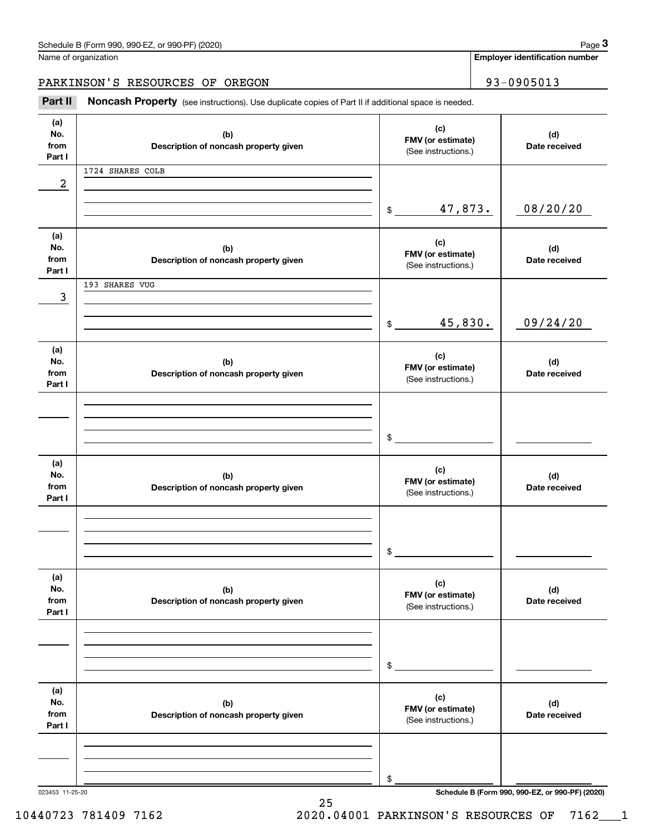| Schedule B (Form 990, 990-EZ, or 990-PF) (2020) | Page |
|-------------------------------------------------|------|
|-------------------------------------------------|------|

|  | Name of organization |
|--|----------------------|
|  |                      |

**Employer identification number**

PARKINSON'S RESOURCES OF OREGON 93-0905013

Chedule B (Form 990, 990-EZ, or 990-PF) (2020)<br>
lame of organization<br> **3PARKINSON'S RESOURCES OF OREGON**<br> **Part II Noncash Property** (see instructions). Use duplicate copies of Part II if additional space is needed.

| (a)<br>No.<br>from<br>Part I | (b)<br>Description of noncash property given | (c)<br>FMV (or estimate)<br>(See instructions.) | (d)<br>Date received                            |
|------------------------------|----------------------------------------------|-------------------------------------------------|-------------------------------------------------|
| 2                            | 1724 SHARES COLB                             |                                                 |                                                 |
|                              |                                              | 47,873.<br>$\frac{1}{2}$                        | 08/20/20                                        |
| (a)<br>No.<br>from<br>Part I | (b)<br>Description of noncash property given | (c)<br>FMV (or estimate)<br>(See instructions.) | (d)<br>Date received                            |
| 3                            | 193 SHARES VUG                               |                                                 |                                                 |
|                              |                                              | 45,830.<br>$$\overbrace{\phantom{123331}}$      | 09/24/20                                        |
| (a)<br>No.<br>from<br>Part I | (b)<br>Description of noncash property given | (c)<br>FMV (or estimate)<br>(See instructions.) | (d)<br>Date received                            |
|                              |                                              | \$                                              |                                                 |
| (a)<br>No.<br>from<br>Part I | (b)<br>Description of noncash property given | (c)<br>FMV (or estimate)<br>(See instructions.) | (d)<br>Date received                            |
|                              |                                              | \$                                              |                                                 |
| (a)<br>No.<br>from<br>Part I | (b)<br>Description of noncash property given | (c)<br>FMV (or estimate)<br>(See instructions.) | (d)<br>Date received                            |
|                              |                                              | \$                                              |                                                 |
| (a)<br>No.<br>from<br>Part I | (b)<br>Description of noncash property given | (c)<br>FMV (or estimate)<br>(See instructions.) | (d)<br>Date received                            |
|                              |                                              | \$                                              |                                                 |
| 023453 11-25-20              |                                              |                                                 | Schedule B (Form 990, 990-EZ, or 990-PF) (2020) |

25

10440723 781409 7162 2020.04001 PARKINSON'S RESOURCES OF 7162\_\_\_1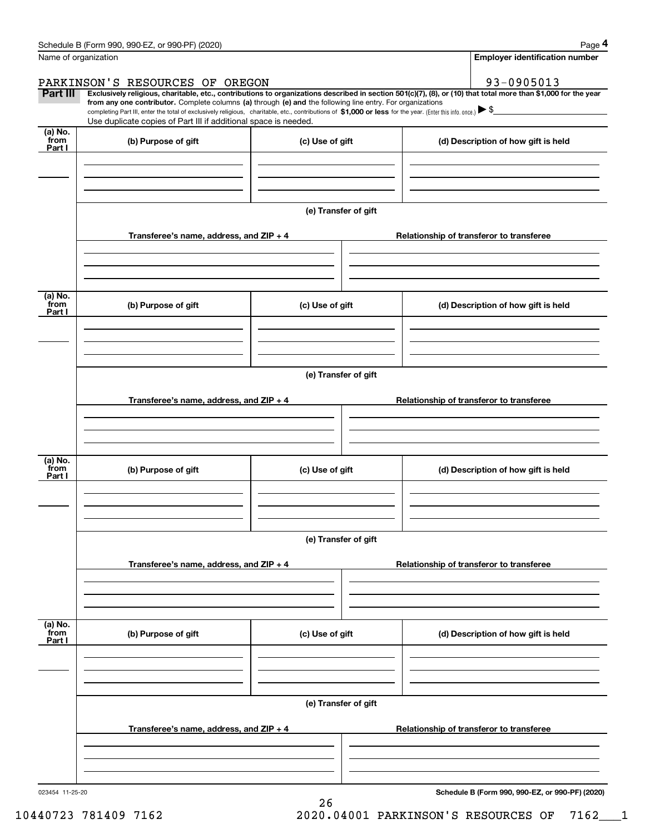|                           | Schedule B (Form 990, 990-EZ, or 990-PF) (2020)                                                                                                                                                                                                                              |                      |                                          |                                          | Page 4                                   |  |  |  |
|---------------------------|------------------------------------------------------------------------------------------------------------------------------------------------------------------------------------------------------------------------------------------------------------------------------|----------------------|------------------------------------------|------------------------------------------|------------------------------------------|--|--|--|
|                           | Name of organization                                                                                                                                                                                                                                                         |                      |                                          |                                          | <b>Employer identification number</b>    |  |  |  |
|                           | PARKINSON'S RESOURCES OF OREGON                                                                                                                                                                                                                                              |                      |                                          |                                          | 93-0905013                               |  |  |  |
| Part III                  | Exclusively religious, charitable, etc., contributions to organizations described in section 501(c)(7), (8), or (10) that total more than \$1,000 for the year<br>from any one contributor. Complete columns (a) through (e) and the following line entry. For organizations |                      |                                          |                                          |                                          |  |  |  |
|                           | completing Part III, enter the total of exclusively religious, charitable, etc., contributions of \$1,000 or less for the year. (Enter this info. once.) $\blacktriangleright$ \$<br>Use duplicate copies of Part III if additional space is needed.                         |                      |                                          |                                          |                                          |  |  |  |
| $(a)$ No.<br>from         | (b) Purpose of gift                                                                                                                                                                                                                                                          | (c) Use of gift      |                                          |                                          | (d) Description of how gift is held      |  |  |  |
| Part I                    |                                                                                                                                                                                                                                                                              |                      |                                          |                                          |                                          |  |  |  |
|                           |                                                                                                                                                                                                                                                                              |                      |                                          |                                          |                                          |  |  |  |
|                           |                                                                                                                                                                                                                                                                              |                      |                                          |                                          |                                          |  |  |  |
|                           |                                                                                                                                                                                                                                                                              | (e) Transfer of gift |                                          |                                          |                                          |  |  |  |
|                           |                                                                                                                                                                                                                                                                              |                      |                                          |                                          |                                          |  |  |  |
|                           | Transferee's name, address, and ZIP + 4                                                                                                                                                                                                                                      |                      |                                          |                                          | Relationship of transferor to transferee |  |  |  |
|                           |                                                                                                                                                                                                                                                                              |                      |                                          |                                          |                                          |  |  |  |
|                           |                                                                                                                                                                                                                                                                              |                      |                                          |                                          |                                          |  |  |  |
| (a) No.<br>from           | (b) Purpose of gift                                                                                                                                                                                                                                                          | (c) Use of gift      |                                          |                                          | (d) Description of how gift is held      |  |  |  |
| Part I                    |                                                                                                                                                                                                                                                                              |                      |                                          |                                          |                                          |  |  |  |
|                           |                                                                                                                                                                                                                                                                              |                      |                                          |                                          |                                          |  |  |  |
|                           |                                                                                                                                                                                                                                                                              |                      |                                          |                                          |                                          |  |  |  |
|                           | (e) Transfer of gift                                                                                                                                                                                                                                                         |                      |                                          |                                          |                                          |  |  |  |
|                           | Transferee's name, address, and $ZIP + 4$                                                                                                                                                                                                                                    |                      |                                          | Relationship of transferor to transferee |                                          |  |  |  |
|                           |                                                                                                                                                                                                                                                                              |                      |                                          |                                          |                                          |  |  |  |
|                           |                                                                                                                                                                                                                                                                              |                      |                                          |                                          |                                          |  |  |  |
|                           |                                                                                                                                                                                                                                                                              |                      |                                          |                                          |                                          |  |  |  |
| (a) No.<br>from<br>Part I | (b) Purpose of gift<br>(c) Use of gift                                                                                                                                                                                                                                       |                      |                                          |                                          | (d) Description of how gift is held      |  |  |  |
|                           |                                                                                                                                                                                                                                                                              |                      |                                          |                                          |                                          |  |  |  |
|                           |                                                                                                                                                                                                                                                                              |                      |                                          |                                          |                                          |  |  |  |
|                           |                                                                                                                                                                                                                                                                              |                      |                                          |                                          |                                          |  |  |  |
|                           |                                                                                                                                                                                                                                                                              | (e) Transfer of gift |                                          |                                          |                                          |  |  |  |
|                           | Transferee's name, address, and $ZIP + 4$                                                                                                                                                                                                                                    |                      |                                          |                                          | Relationship of transferor to transferee |  |  |  |
|                           |                                                                                                                                                                                                                                                                              |                      |                                          |                                          |                                          |  |  |  |
|                           |                                                                                                                                                                                                                                                                              |                      |                                          |                                          |                                          |  |  |  |
|                           |                                                                                                                                                                                                                                                                              |                      |                                          |                                          |                                          |  |  |  |
| (a) No.<br>from<br>Part I | (b) Purpose of gift                                                                                                                                                                                                                                                          | (c) Use of gift      |                                          |                                          | (d) Description of how gift is held      |  |  |  |
|                           |                                                                                                                                                                                                                                                                              |                      |                                          |                                          |                                          |  |  |  |
|                           |                                                                                                                                                                                                                                                                              |                      |                                          |                                          |                                          |  |  |  |
|                           |                                                                                                                                                                                                                                                                              |                      |                                          |                                          |                                          |  |  |  |
|                           |                                                                                                                                                                                                                                                                              | (e) Transfer of gift |                                          |                                          |                                          |  |  |  |
|                           | Transferee's name, address, and $ZIP + 4$                                                                                                                                                                                                                                    |                      | Relationship of transferor to transferee |                                          |                                          |  |  |  |
|                           |                                                                                                                                                                                                                                                                              |                      |                                          |                                          |                                          |  |  |  |
|                           |                                                                                                                                                                                                                                                                              |                      |                                          |                                          |                                          |  |  |  |
|                           |                                                                                                                                                                                                                                                                              |                      |                                          |                                          |                                          |  |  |  |

26

**Schedule B (Form 990, 990-EZ, or 990-PF) (2020)**

10440723 781409 7162 2020.04001 PARKINSON'S RESOURCES OF 7162\_\_\_1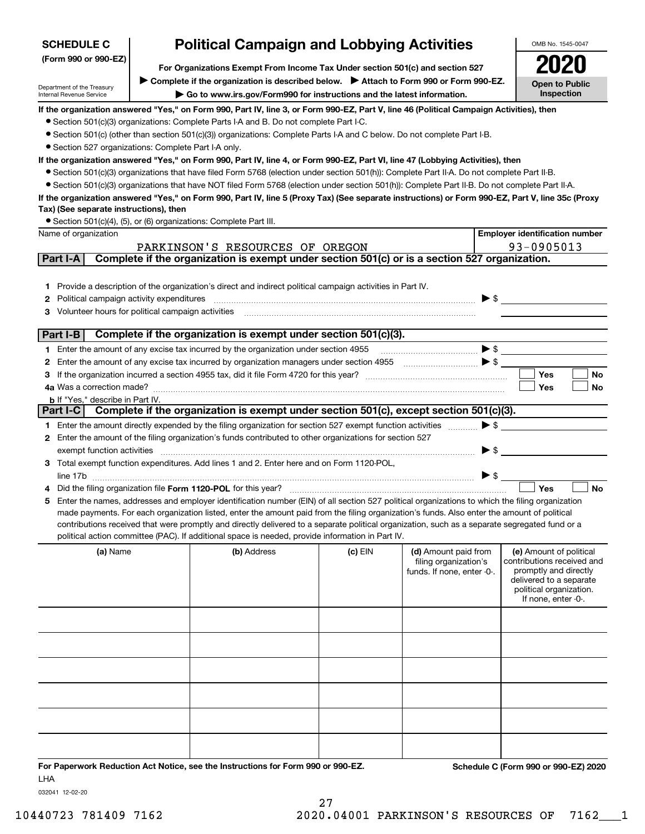| <b>SCHEDULE C</b>                                      | <b>Political Campaign and Lobbying Activities</b> | OMB No. 1545-0047                                                                                                                                                                                                                                                                              |           |                                                                                                                                                                                                                                                                                                                                                                             |                          |                                                    |
|--------------------------------------------------------|---------------------------------------------------|------------------------------------------------------------------------------------------------------------------------------------------------------------------------------------------------------------------------------------------------------------------------------------------------|-----------|-----------------------------------------------------------------------------------------------------------------------------------------------------------------------------------------------------------------------------------------------------------------------------------------------------------------------------------------------------------------------------|--------------------------|----------------------------------------------------|
| (Form 990 or 990-EZ)                                   |                                                   |                                                                                                                                                                                                                                                                                                |           |                                                                                                                                                                                                                                                                                                                                                                             |                          |                                                    |
|                                                        |                                                   | For Organizations Exempt From Income Tax Under section 501(c) and section 527<br>Complete if the organization is described below.<br>> Attach to Form 990 or Form 990-EZ.                                                                                                                      |           |                                                                                                                                                                                                                                                                                                                                                                             |                          |                                                    |
| Department of the Treasury<br>Internal Revenue Service |                                                   | Go to www.irs.gov/Form990 for instructions and the latest information.                                                                                                                                                                                                                         |           |                                                                                                                                                                                                                                                                                                                                                                             |                          | <b>Open to Public</b><br>Inspection                |
|                                                        |                                                   | If the organization answered "Yes," on Form 990, Part IV, line 3, or Form 990-EZ, Part V, line 46 (Political Campaign Activities), then                                                                                                                                                        |           |                                                                                                                                                                                                                                                                                                                                                                             |                          |                                                    |
|                                                        |                                                   | • Section 501(c)(3) organizations: Complete Parts I-A and B. Do not complete Part I-C.                                                                                                                                                                                                         |           |                                                                                                                                                                                                                                                                                                                                                                             |                          |                                                    |
|                                                        |                                                   | • Section 501(c) (other than section 501(c)(3)) organizations: Complete Parts I-A and C below. Do not complete Part I-B.                                                                                                                                                                       |           |                                                                                                                                                                                                                                                                                                                                                                             |                          |                                                    |
| • Section 527 organizations: Complete Part I-A only.   |                                                   |                                                                                                                                                                                                                                                                                                |           |                                                                                                                                                                                                                                                                                                                                                                             |                          |                                                    |
|                                                        |                                                   | If the organization answered "Yes," on Form 990, Part IV, line 4, or Form 990-EZ, Part VI, line 47 (Lobbying Activities), then                                                                                                                                                                 |           |                                                                                                                                                                                                                                                                                                                                                                             |                          |                                                    |
|                                                        |                                                   | • Section 501(c)(3) organizations that have filed Form 5768 (election under section 501(h)): Complete Part II-A. Do not complete Part II-B.                                                                                                                                                    |           |                                                                                                                                                                                                                                                                                                                                                                             |                          |                                                    |
|                                                        |                                                   | • Section 501(c)(3) organizations that have NOT filed Form 5768 (election under section 501(h)): Complete Part II-B. Do not complete Part II-A.                                                                                                                                                |           |                                                                                                                                                                                                                                                                                                                                                                             |                          |                                                    |
| Tax) (See separate instructions), then                 |                                                   | If the organization answered "Yes," on Form 990, Part IV, line 5 (Proxy Tax) (See separate instructions) or Form 990-EZ, Part V, line 35c (Proxy                                                                                                                                               |           |                                                                                                                                                                                                                                                                                                                                                                             |                          |                                                    |
|                                                        |                                                   | • Section 501(c)(4), (5), or (6) organizations: Complete Part III.                                                                                                                                                                                                                             |           |                                                                                                                                                                                                                                                                                                                                                                             |                          |                                                    |
| Name of organization                                   |                                                   |                                                                                                                                                                                                                                                                                                |           |                                                                                                                                                                                                                                                                                                                                                                             |                          | <b>Employer identification number</b>              |
|                                                        |                                                   | PARKINSON'S RESOURCES OF OREGON                                                                                                                                                                                                                                                                |           |                                                                                                                                                                                                                                                                                                                                                                             |                          | 93-0905013                                         |
| Part I-A                                               |                                                   | Complete if the organization is exempt under section 501(c) or is a section 527 organization.                                                                                                                                                                                                  |           |                                                                                                                                                                                                                                                                                                                                                                             |                          |                                                    |
|                                                        |                                                   |                                                                                                                                                                                                                                                                                                |           |                                                                                                                                                                                                                                                                                                                                                                             |                          |                                                    |
|                                                        |                                                   | 1 Provide a description of the organization's direct and indirect political campaign activities in Part IV.                                                                                                                                                                                    |           |                                                                                                                                                                                                                                                                                                                                                                             |                          |                                                    |
| Political campaign activity expenditures<br>2          |                                                   |                                                                                                                                                                                                                                                                                                |           |                                                                                                                                                                                                                                                                                                                                                                             | $\blacktriangleright$ \$ |                                                    |
| Volunteer hours for political campaign activities      |                                                   |                                                                                                                                                                                                                                                                                                |           |                                                                                                                                                                                                                                                                                                                                                                             |                          |                                                    |
|                                                        |                                                   |                                                                                                                                                                                                                                                                                                |           |                                                                                                                                                                                                                                                                                                                                                                             |                          |                                                    |
| Part I-B                                               |                                                   | Complete if the organization is exempt under section 501(c)(3).                                                                                                                                                                                                                                |           |                                                                                                                                                                                                                                                                                                                                                                             |                          |                                                    |
|                                                        |                                                   | 1 Enter the amount of any excise tax incurred by the organization under section 4955                                                                                                                                                                                                           |           | $\begin{picture}(20,10) \put(0,0){\vector(1,0){10}} \put(15,0){\vector(1,0){10}} \put(15,0){\vector(1,0){10}} \put(15,0){\vector(1,0){10}} \put(15,0){\vector(1,0){10}} \put(15,0){\vector(1,0){10}} \put(15,0){\vector(1,0){10}} \put(15,0){\vector(1,0){10}} \put(15,0){\vector(1,0){10}} \put(15,0){\vector(1,0){10}} \put(15,0){\vector(1,0){10}} \put(15,0){\vector(1$ |                          |                                                    |
| 2                                                      |                                                   |                                                                                                                                                                                                                                                                                                |           |                                                                                                                                                                                                                                                                                                                                                                             |                          |                                                    |
|                                                        |                                                   |                                                                                                                                                                                                                                                                                                |           |                                                                                                                                                                                                                                                                                                                                                                             |                          | Yes<br>No                                          |
| 4a Was a correction made?                              |                                                   |                                                                                                                                                                                                                                                                                                |           |                                                                                                                                                                                                                                                                                                                                                                             |                          | Yes<br>No                                          |
| <b>b</b> If "Yes," describe in Part IV.                |                                                   |                                                                                                                                                                                                                                                                                                |           |                                                                                                                                                                                                                                                                                                                                                                             |                          |                                                    |
|                                                        |                                                   | Part I-C Complete if the organization is exempt under section 501(c), except section 501(c)(3).                                                                                                                                                                                                |           |                                                                                                                                                                                                                                                                                                                                                                             |                          |                                                    |
|                                                        |                                                   | 1 Enter the amount directly expended by the filing organization for section 527 exempt function activities                                                                                                                                                                                     |           |                                                                                                                                                                                                                                                                                                                                                                             | $\triangleright$ \$      |                                                    |
|                                                        |                                                   | 2 Enter the amount of the filing organization's funds contributed to other organizations for section 527                                                                                                                                                                                       |           |                                                                                                                                                                                                                                                                                                                                                                             |                          |                                                    |
| exempt function activities                             |                                                   |                                                                                                                                                                                                                                                                                                |           |                                                                                                                                                                                                                                                                                                                                                                             | $\blacktriangleright$ \$ |                                                    |
|                                                        |                                                   | 3 Total exempt function expenditures. Add lines 1 and 2. Enter here and on Form 1120-POL,                                                                                                                                                                                                      |           |                                                                                                                                                                                                                                                                                                                                                                             |                          |                                                    |
|                                                        |                                                   |                                                                                                                                                                                                                                                                                                |           |                                                                                                                                                                                                                                                                                                                                                                             | $\triangleright$ \$      |                                                    |
|                                                        |                                                   | Did the filing organization file Form 1120-POL for this year?                                                                                                                                                                                                                                  |           |                                                                                                                                                                                                                                                                                                                                                                             |                          | Yes<br><b>No</b>                                   |
| 5                                                      |                                                   | Enter the names, addresses and employer identification number (EIN) of all section 527 political organizations to which the filing organization<br>made payments. For each organization listed, enter the amount paid from the filing organization's funds. Also enter the amount of political |           |                                                                                                                                                                                                                                                                                                                                                                             |                          |                                                    |
|                                                        |                                                   | contributions received that were promptly and directly delivered to a separate political organization, such as a separate segregated fund or a                                                                                                                                                 |           |                                                                                                                                                                                                                                                                                                                                                                             |                          |                                                    |
|                                                        |                                                   | political action committee (PAC). If additional space is needed, provide information in Part IV.                                                                                                                                                                                               |           |                                                                                                                                                                                                                                                                                                                                                                             |                          |                                                    |
| (a) Name                                               |                                                   | (b) Address                                                                                                                                                                                                                                                                                    | $(c)$ EIN | (d) Amount paid from                                                                                                                                                                                                                                                                                                                                                        |                          | (e) Amount of political                            |
|                                                        |                                                   |                                                                                                                                                                                                                                                                                                |           | filing organization's                                                                                                                                                                                                                                                                                                                                                       |                          | contributions received and                         |
|                                                        |                                                   |                                                                                                                                                                                                                                                                                                |           | funds. If none, enter -0-.                                                                                                                                                                                                                                                                                                                                                  |                          | promptly and directly                              |
|                                                        |                                                   |                                                                                                                                                                                                                                                                                                |           |                                                                                                                                                                                                                                                                                                                                                                             |                          | delivered to a separate<br>political organization. |
|                                                        |                                                   |                                                                                                                                                                                                                                                                                                |           |                                                                                                                                                                                                                                                                                                                                                                             |                          | If none, enter -0-.                                |
|                                                        |                                                   |                                                                                                                                                                                                                                                                                                |           |                                                                                                                                                                                                                                                                                                                                                                             |                          |                                                    |
|                                                        |                                                   |                                                                                                                                                                                                                                                                                                |           |                                                                                                                                                                                                                                                                                                                                                                             |                          |                                                    |
|                                                        |                                                   |                                                                                                                                                                                                                                                                                                |           |                                                                                                                                                                                                                                                                                                                                                                             |                          |                                                    |
|                                                        |                                                   |                                                                                                                                                                                                                                                                                                |           |                                                                                                                                                                                                                                                                                                                                                                             |                          |                                                    |
|                                                        |                                                   |                                                                                                                                                                                                                                                                                                |           |                                                                                                                                                                                                                                                                                                                                                                             |                          |                                                    |
|                                                        |                                                   |                                                                                                                                                                                                                                                                                                |           |                                                                                                                                                                                                                                                                                                                                                                             |                          |                                                    |
|                                                        |                                                   |                                                                                                                                                                                                                                                                                                |           |                                                                                                                                                                                                                                                                                                                                                                             |                          |                                                    |
|                                                        |                                                   |                                                                                                                                                                                                                                                                                                |           |                                                                                                                                                                                                                                                                                                                                                                             |                          |                                                    |
|                                                        |                                                   |                                                                                                                                                                                                                                                                                                |           |                                                                                                                                                                                                                                                                                                                                                                             |                          |                                                    |
|                                                        |                                                   |                                                                                                                                                                                                                                                                                                |           |                                                                                                                                                                                                                                                                                                                                                                             |                          |                                                    |
|                                                        |                                                   |                                                                                                                                                                                                                                                                                                |           |                                                                                                                                                                                                                                                                                                                                                                             |                          |                                                    |
|                                                        |                                                   |                                                                                                                                                                                                                                                                                                |           |                                                                                                                                                                                                                                                                                                                                                                             |                          |                                                    |
|                                                        |                                                   |                                                                                                                                                                                                                                                                                                |           |                                                                                                                                                                                                                                                                                                                                                                             |                          | $0.005$ $F \rightarrow 0.006$                      |

**For Paperwork Reduction Act Notice, see the Instructions for Form 990 or 990-EZ. Schedule C (Form 990 or 990-EZ) 2020** LHA

032041 12-02-20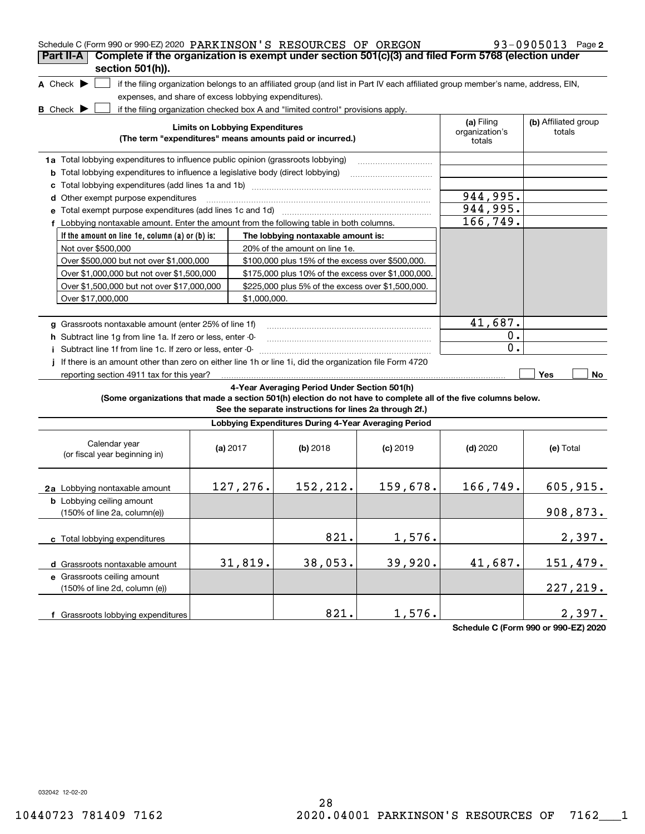| Schedule C (Form 990 or 990-EZ) 2020 PARKINSON'S RESOURCES OF OREGON<br>Complete if the organization is exempt under section 501(c)(3) and filed Form 5768 (election under<br>Part II-A<br>section 501(h)). |                                        |                                                                                                                                                                                                                       |            |                                        | 93-0905013 Page 2              |
|-------------------------------------------------------------------------------------------------------------------------------------------------------------------------------------------------------------|----------------------------------------|-----------------------------------------------------------------------------------------------------------------------------------------------------------------------------------------------------------------------|------------|----------------------------------------|--------------------------------|
| A Check $\blacktriangleright$<br>expenses, and share of excess lobbying expenditures).<br><b>B</b> Check $\blacktriangleright$                                                                              |                                        | if the filing organization belongs to an affiliated group (and list in Part IV each affiliated group member's name, address, EIN,<br>if the filing organization checked box A and "limited control" provisions apply. |            |                                        |                                |
|                                                                                                                                                                                                             | <b>Limits on Lobbying Expenditures</b> | (The term "expenditures" means amounts paid or incurred.)                                                                                                                                                             |            | (a) Filing<br>organization's<br>totals | (b) Affiliated group<br>totals |
| 1a Total lobbying expenditures to influence public opinion (grassroots lobbying)<br><b>b</b> Total lobbying expenditures to influence a legislative body (direct lobbying)                                  |                                        |                                                                                                                                                                                                                       |            |                                        |                                |
| с                                                                                                                                                                                                           |                                        |                                                                                                                                                                                                                       |            |                                        |                                |
| d Other exempt purpose expenditures                                                                                                                                                                         |                                        |                                                                                                                                                                                                                       |            | 944,995.                               |                                |
| e Total exempt purpose expenditures (add lines 1c and 1d)                                                                                                                                                   |                                        |                                                                                                                                                                                                                       |            | 944,995.                               |                                |
| f Lobbying nontaxable amount. Enter the amount from the following table in both columns.                                                                                                                    |                                        |                                                                                                                                                                                                                       |            | 166, 749.                              |                                |
| If the amount on line 1e, column $(a)$ or $(b)$ is:                                                                                                                                                         |                                        | The lobbying nontaxable amount is:                                                                                                                                                                                    |            |                                        |                                |
| Not over \$500,000                                                                                                                                                                                          |                                        | 20% of the amount on line 1e.                                                                                                                                                                                         |            |                                        |                                |
| Over \$500,000 but not over \$1,000,000                                                                                                                                                                     |                                        | \$100,000 plus 15% of the excess over \$500,000.                                                                                                                                                                      |            |                                        |                                |
| Over \$1,000,000 but not over \$1,500,000                                                                                                                                                                   |                                        | \$175,000 plus 10% of the excess over \$1,000,000.                                                                                                                                                                    |            |                                        |                                |
| Over \$1,500,000 but not over \$17,000,000                                                                                                                                                                  |                                        | \$225,000 plus 5% of the excess over \$1,500,000.                                                                                                                                                                     |            |                                        |                                |
|                                                                                                                                                                                                             |                                        |                                                                                                                                                                                                                       |            |                                        |                                |
| Over \$17,000,000                                                                                                                                                                                           | \$1,000,000.                           |                                                                                                                                                                                                                       |            |                                        |                                |
|                                                                                                                                                                                                             |                                        |                                                                                                                                                                                                                       |            | 41,687.                                |                                |
| g Grassroots nontaxable amount (enter 25% of line 1f)                                                                                                                                                       |                                        |                                                                                                                                                                                                                       |            |                                        |                                |
| h Subtract line 1g from line 1a. If zero or less, enter -0-                                                                                                                                                 | 0.                                     |                                                                                                                                                                                                                       |            |                                        |                                |
| i Subtract line 1f from line 1c. If zero or less, enter -0-                                                                                                                                                 |                                        |                                                                                                                                                                                                                       |            | 0.                                     |                                |
| If there is an amount other than zero on either line 1h or line 1i, did the organization file Form 4720<br>reporting section 4911 tax for this year?                                                        |                                        |                                                                                                                                                                                                                       |            |                                        | Yes<br>No                      |
| (Some organizations that made a section 501(h) election do not have to complete all of the five columns below.                                                                                              |                                        | 4-Year Averaging Period Under Section 501(h)<br>See the separate instructions for lines 2a through 2f.)                                                                                                               |            |                                        |                                |
|                                                                                                                                                                                                             |                                        | Lobbying Expenditures During 4-Year Averaging Period                                                                                                                                                                  |            |                                        |                                |
| Calendar year<br>(or fiscal year beginning in)                                                                                                                                                              | (a) $2017$                             | $(b)$ 2018                                                                                                                                                                                                            | $(c)$ 2019 | $(d)$ 2020                             | (e) Total                      |
| 2a Lobbying nontaxable amount                                                                                                                                                                               | 127,276.                               | 152, 212.                                                                                                                                                                                                             | 159,678.   | 166,749.                               | 605, 915.                      |
| <b>b</b> Lobbying ceiling amount<br>(150% of line 2a, column(e))                                                                                                                                            |                                        |                                                                                                                                                                                                                       |            |                                        | 908,873.                       |
| c Total lobbying expenditures                                                                                                                                                                               |                                        | 821.                                                                                                                                                                                                                  | 1,576.     |                                        | 2,397.                         |
| d Grassroots nontaxable amount                                                                                                                                                                              | 31,819.                                | 38,053.                                                                                                                                                                                                               | 39,920.    | 41,687.                                | 151,479.                       |
| e Grassroots ceiling amount<br>(150% of line 2d, column (e))                                                                                                                                                |                                        |                                                                                                                                                                                                                       |            |                                        | 227,219.                       |
| f Grassroots lobbying expenditures                                                                                                                                                                          |                                        | 821.                                                                                                                                                                                                                  | 1,576.     |                                        | 2,397.                         |

**Schedule C (Form 990 or 990-EZ) 2020**

032042 12-02-20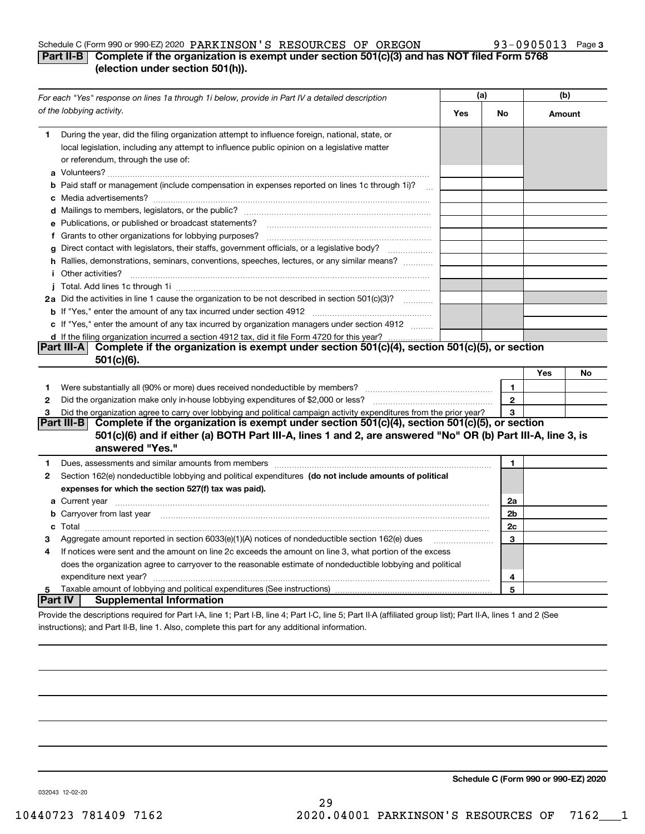## Schedule C (Form 990 or 990-EZ) 2020 PARKINSON 'S RESOURCES OF OREGON  $93-0905013$  Page

# **3**

# **Part II-B** Complete if the organization is exempt under section 501(c)(3) and has NOT filed Form 5768 **(election under section 501(h)).**

| For each "Yes" response on lines 1a through 1i below, provide in Part IV a detailed description |                                                                                                                                                                                                                                                       | (a) |              | (b)    |    |
|-------------------------------------------------------------------------------------------------|-------------------------------------------------------------------------------------------------------------------------------------------------------------------------------------------------------------------------------------------------------|-----|--------------|--------|----|
|                                                                                                 | of the lobbying activity.                                                                                                                                                                                                                             | Yes | No           | Amount |    |
| 1.                                                                                              | During the year, did the filing organization attempt to influence foreign, national, state, or<br>local legislation, including any attempt to influence public opinion on a legislative matter<br>or referendum, through the use of:                  |     |              |        |    |
|                                                                                                 | <b>b</b> Paid staff or management (include compensation in expenses reported on lines 1c through 1i)?<br>$\sim$ 100                                                                                                                                   |     |              |        |    |
|                                                                                                 |                                                                                                                                                                                                                                                       |     |              |        |    |
|                                                                                                 | e Publications, or published or broadcast statements?                                                                                                                                                                                                 |     |              |        |    |
|                                                                                                 | f Grants to other organizations for lobbying purposes?                                                                                                                                                                                                |     |              |        |    |
| g                                                                                               | Direct contact with legislators, their staffs, government officials, or a legislative body?                                                                                                                                                           |     |              |        |    |
|                                                                                                 | h Rallies, demonstrations, seminars, conventions, speeches, lectures, or any similar means?<br><i>i</i> Other activities?                                                                                                                             |     |              |        |    |
|                                                                                                 |                                                                                                                                                                                                                                                       |     |              |        |    |
|                                                                                                 | 2a Did the activities in line 1 cause the organization to be not described in section 501(c)(3)?                                                                                                                                                      |     |              |        |    |
|                                                                                                 |                                                                                                                                                                                                                                                       |     |              |        |    |
|                                                                                                 | c If "Yes," enter the amount of any tax incurred by organization managers under section 4912                                                                                                                                                          |     |              |        |    |
|                                                                                                 | d If the filing organization incurred a section 4912 tax, did it file Form 4720 for this year?                                                                                                                                                        |     |              |        |    |
|                                                                                                 | Complete if the organization is exempt under section 501(c)(4), section 501(c)(5), or section<br> Part III-A <br>$501(c)(6)$ .                                                                                                                        |     |              |        |    |
|                                                                                                 |                                                                                                                                                                                                                                                       |     |              | Yes    | No |
| 1                                                                                               | Were substantially all (90% or more) dues received nondeductible by members?                                                                                                                                                                          |     | $\mathbf{1}$ |        |    |
| 2                                                                                               | Did the organization make only in house lobbying expenditures of \$2,000 or less?                                                                                                                                                                     |     | $\bf 2$      |        |    |
| з                                                                                               | Did the organization agree to carry over lobbying and political campaign activity expenditures from the prior year?                                                                                                                                   |     | 3            |        |    |
|                                                                                                 | Complete if the organization is exempt under section 501(c)(4), section 501(c)(5), or section<br><b>Part III-BI</b><br>501(c)(6) and if either (a) BOTH Part III-A, lines 1 and 2, are answered "No" OR (b) Part III-A, line 3, is<br>answered "Yes." |     |              |        |    |
| 1.                                                                                              |                                                                                                                                                                                                                                                       |     | 1            |        |    |
| 2                                                                                               | Section 162(e) nondeductible lobbying and political expenditures (do not include amounts of political                                                                                                                                                 |     |              |        |    |
|                                                                                                 | expenses for which the section 527(f) tax was paid).                                                                                                                                                                                                  |     | 2a           |        |    |
|                                                                                                 | 2b                                                                                                                                                                                                                                                    |     |              |        |    |
|                                                                                                 | <b>b</b> Carryover from last year <b>contained to the contract of the contract of contract of the contract of contract of contract of contract of contract of contract of contract of contract of contract of contract of contract of</b>             |     |              |        |    |
|                                                                                                 |                                                                                                                                                                                                                                                       |     |              |        |    |
| З                                                                                               | Aggregate amount reported in section 6033(e)(1)(A) notices of nondeductible section 162(e) dues                                                                                                                                                       |     | 3            |        |    |
| 4                                                                                               | If notices were sent and the amount on line 2c exceeds the amount on line 3, what portion of the excess                                                                                                                                               |     |              |        |    |
|                                                                                                 | does the organization agree to carryover to the reasonable estimate of nondeductible lobbying and political                                                                                                                                           |     |              |        |    |
|                                                                                                 | expenditure next year?                                                                                                                                                                                                                                |     | 4            |        |    |
| 5<br><b>Part IV</b>                                                                             | <b>Supplemental Information</b>                                                                                                                                                                                                                       |     | 5            |        |    |
|                                                                                                 |                                                                                                                                                                                                                                                       |     |              |        |    |
|                                                                                                 | Provide the descriptions required for Part I-A, line 1; Part I-B, line 4; Part I-C, line 5; Part II-A (affiliated group list); Part II-A, lines 1 and 2 (See                                                                                          |     |              |        |    |
|                                                                                                 | instructions); and Part II-B, line 1. Also, complete this part for any additional information.                                                                                                                                                        |     |              |        |    |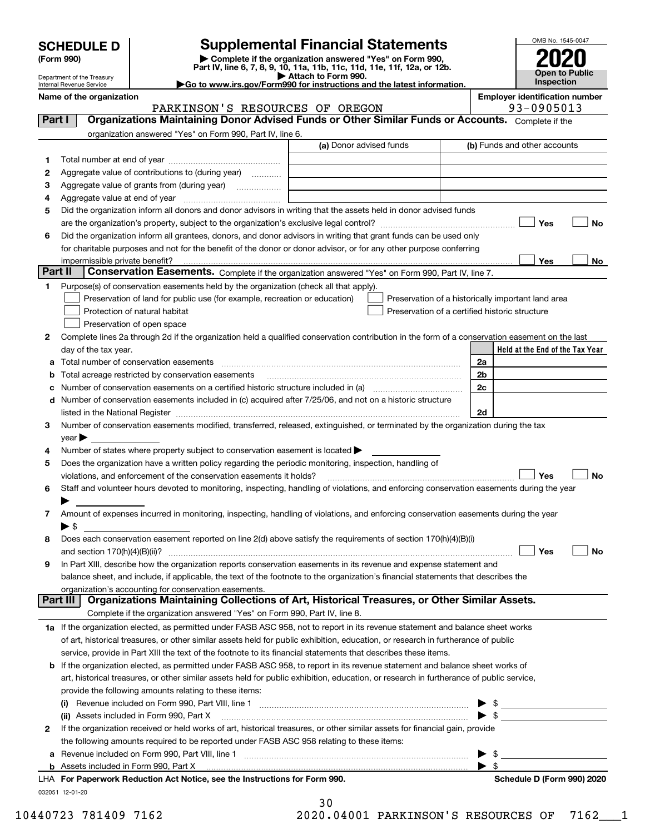| <b>SCHEDULE D</b> |  |
|-------------------|--|
|-------------------|--|

| (Form 990) |  |
|------------|--|
|------------|--|

**6**

**1**

**3**

**ab**

**d**

**45**

**6**

**7**

**8**

**9**

**2**

# **Supplemental Financial Statements**

**(Form 990)** (**Form 990,**<br>Part IV, line 6, 7, 8, 9, 10, 11a, 11b, 11c, 11d, 11e, 11f, 12a, or 12b.<br>Department of the Treasury **and Exercise Connect Connect Connect Connect Connect Connect Connect Connect Connect** 



Department of the Treasury Internal Revenue Service

| Department of the Treasury<br>$\sim$ 2000 $\sim$ 2000 $\sim$ 2000 $\sim$<br>Go to www.irs.gov/Form990 for instructions and the latest information.<br>Internal Revenue Service |  |  | Inspection                            |
|--------------------------------------------------------------------------------------------------------------------------------------------------------------------------------|--|--|---------------------------------------|
| Name of the organization                                                                                                                                                       |  |  | <b>Employer identification number</b> |

**Held at the End of the Tax Year** (a) Donor advised funds **Yes No Yes**<u>es \_\_\_\_\_\_\_\_ No</u> **2**Complete lines 2a through 2d if the organization held a qualified conservation contribution in the form of a conservation easement on the last **c** Number of conservation easements on a certified historic structure included in (a) www.communically **2a2b2c2dYes No Yes No 1a** If the organization elected, as permitted under FASB ASC 958, not to report in its revenue statement and balance sheet works **b** If the organization elected, as permitted under FASB ASC 958, to report in its revenue statement and balance sheet works of **(i)** Revenue included on Form 990, Part VIII, line 1 ~~~~~~~~~~~~~~~~~~~~~~~~~~~~**(ii)** Assets included in Form 990, Part X ~~~~~~~~~~~~~~~~~~~~~~~~~~~~~~~~~ | \$ Complete if the organization answered "Yes" on Form 990, Part IV, line 6. (b) Funds and other accounts Total number at end of year ~~~~~~~~~~~~~~~ Aggregate value of contributions to (during year)  $\quad \quad \ldots \ldots \ldots$ Aggregate value of grants from (during year) www.community Aggregate value at end of year ~~~~~~~~~~~~~ Did the organization inform all donors and donor advisors in writing that the assets held in donor advised funds are the organization's property, subject to the organization's exclusive legal control? ~~~~~~~~~~~~~~~~~~ Did the organization inform all grantees, donors, and donor advisors in writing that grant funds can be used only for charitable purposes and not for the benefit of the donor or donor advisor, or for any other purpose conferring impermissible private benefit? **Part II | Conservation Easements.** Complete if the organization answered "Yes" on Form 990, Part IV, line 7. Purpose(s) of conservation easements held by the organization (check all that apply). Preservation of land for public use (for example, recreation or education) **Protection of natural habitat Example 2014** Preservation of open space Preservation of a historically important land area Preservation of a certified historic structure day of the tax year. Total number of conservation easements ~~~~~~~~~~~~~~~~~~~~~~~~~~~~~~~~Total acreage restricted by conservation easements Number of conservation easements included in (c) acquired after 7/25/06, and not on a historic structure listed in the National Register ~~~~~~~~~~~~~~~~~~~~~~~~~~~~~~~~~~~~~~ Number of conservation easements modified, transferred, released, extinguished, or terminated by the organization during the tax  $vear \blacktriangleright$ Number of states where property subject to conservation easement is located  $\blacktriangleright$ Does the organization have a written policy regarding the periodic monitoring, inspection, handling of violations, and enforcement of the conservation easements it holds?  $\Box$   $\Box$   $\Box$   $\Box$ Staff and volunteer hours devoted to monitoring, inspecting, handling of violations, and enforcing conservation easements during the year  $\blacktriangleright$ Amount of expenses incurred in monitoring, inspecting, handling of violations, and enforcing conservation easements during the year  $\blacktriangleright$  \$ Does each conservation easement reported on line 2(d) above satisfy the requirements of section 170(h)(4)(B)(i) and section 170(h)(4)(B)(ii)? ~~~~~~~~~~~~~~~~~~~~~~~~~~~~~~~~~~~~~~~~~~~~~~ In Part XIII, describe how the organization reports conservation easements in its revenue and expense statement and balance sheet, and include, if applicable, the text of the footnote to the organization's financial statements that describes the organization's accounting for conservation easements. Complete if the organization answered "Yes" on Form 990, Part IV, line 8. of art, historical treasures, or other similar assets held for public exhibition, education, or research in furtherance of public service, provide in Part XIII the text of the footnote to its financial statements that describes these items. art, historical treasures, or other similar assets held for public exhibition, education, or research in furtherance of public service, provide the following amounts relating to these items:  $\blacktriangleright$  \$ If the organization received or held works of art, historical treasures, or other similar assets for financial gain, provide the following amounts required to be reported under FASB ASC 958 relating to these items: **Part I Organizations Maintaining Donor Advised Funds or Other Similar Funds or Accounts. Part III Organizations Maintaining Collections of Art, Historical Treasures, or Other Similar Assets.**  $\mathcal{L}^{\text{max}}$  $\mathcal{L}^{\text{max}}$  $\Box$  Yes  $\Box$  $\mathcal{L}^{\text{max}}$  $\mathcal{L}^{\text{max}}$  $\mathcal{L}^{\text{max}}$ PARKINSON'S RESOURCES OF OREGON FORD 193-0905013

**a**Revenue included on Form 990, Part VIII, line 1 ~~~~~~~~~~~~~~~~~~~~~~~~~~~~~~**b**Assets included in Form 990, Part X 

032051 12-01-20 **For Paperwork Reduction Act Notice, see the Instructions for Form 990. Schedule D (Form 990) 2020** LHA

| Schedule D (Form 990) 2020 |
|----------------------------|
|----------------------------|

 $\blacktriangleright$  \$

 $\ldots$   $\blacktriangleright$  \$

30 10440723 781409 7162 2020.04001 PARKINSON'S RESOURCES OF 7162\_\_\_1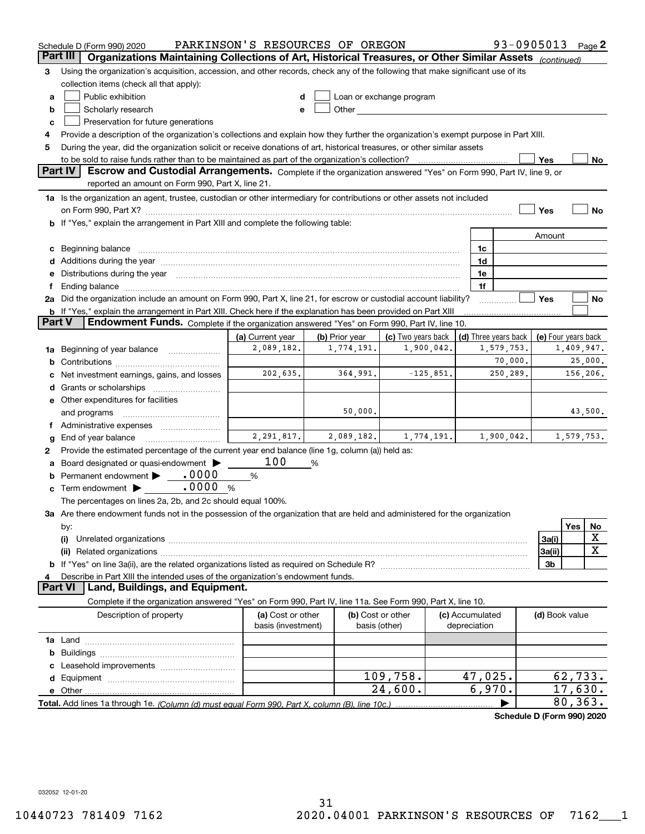|        | Schedule D (Form 990) 2020                                                                                                                                                                                                                          | PARKINSON'S RESOURCES OF OREGON         |                |                                    |  |                                 | 93-0905013 Page 2          |                     |          |            |
|--------|-----------------------------------------------------------------------------------------------------------------------------------------------------------------------------------------------------------------------------------------------------|-----------------------------------------|----------------|------------------------------------|--|---------------------------------|----------------------------|---------------------|----------|------------|
|        | Part III<br>Organizations Maintaining Collections of Art, Historical Treasures, or Other Similar Assets (continued)                                                                                                                                 |                                         |                |                                    |  |                                 |                            |                     |          |            |
| з      | Using the organization's acquisition, accession, and other records, check any of the following that make significant use of its                                                                                                                     |                                         |                |                                    |  |                                 |                            |                     |          |            |
|        | collection items (check all that apply):                                                                                                                                                                                                            |                                         |                |                                    |  |                                 |                            |                     |          |            |
| a      | Public exhibition<br>Loan or exchange program                                                                                                                                                                                                       |                                         |                |                                    |  |                                 |                            |                     |          |            |
| b      | Other and the contract of the contract of the contract of the contract of the contract of the contract of the contract of the contract of the contract of the contract of the contract of the contract of the contract of the<br>Scholarly research |                                         |                |                                    |  |                                 |                            |                     |          |            |
| с      | Preservation for future generations                                                                                                                                                                                                                 |                                         |                |                                    |  |                                 |                            |                     |          |            |
| 4      | Provide a description of the organization's collections and explain how they further the organization's exempt purpose in Part XIII.                                                                                                                |                                         |                |                                    |  |                                 |                            |                     |          |            |
| 5      | During the year, did the organization solicit or receive donations of art, historical treasures, or other similar assets                                                                                                                            |                                         |                |                                    |  |                                 |                            |                     |          |            |
|        | to be sold to raise funds rather than to be maintained as part of the organization's collection?                                                                                                                                                    |                                         |                |                                    |  |                                 |                            | Yes                 |          | No         |
|        | <b>Part IV</b><br>Escrow and Custodial Arrangements. Complete if the organization answered "Yes" on Form 990, Part IV, line 9, or                                                                                                                   |                                         |                |                                    |  |                                 |                            |                     |          |            |
|        | reported an amount on Form 990, Part X, line 21.                                                                                                                                                                                                    |                                         |                |                                    |  |                                 |                            |                     |          |            |
|        | 1a Is the organization an agent, trustee, custodian or other intermediary for contributions or other assets not included                                                                                                                            |                                         |                |                                    |  |                                 |                            |                     |          |            |
|        |                                                                                                                                                                                                                                                     |                                         |                |                                    |  |                                 |                            | Yes                 |          | No         |
|        | <b>b</b> If "Yes," explain the arrangement in Part XIII and complete the following table:                                                                                                                                                           |                                         |                |                                    |  |                                 |                            |                     |          |            |
|        |                                                                                                                                                                                                                                                     |                                         |                |                                    |  |                                 |                            | Amount              |          |            |
|        | c Beginning balance measurements and the contract of the contract of the contract of the contract of the contract of the contract of the contract of the contract of the contract of the contract of the contract of the contr                      |                                         |                |                                    |  | 1c                              |                            |                     |          |            |
|        | d Additions during the year measurement contains and a state of the year measurement of the year measurement of                                                                                                                                     |                                         |                |                                    |  | 1d                              |                            |                     |          |            |
|        | e Distributions during the year manufactured and continuum and contained and the year manufactured and contained and the year manufactured and contained and contained and contained and contained and contained and contained                      |                                         |                |                                    |  | 1e                              |                            |                     |          |            |
| f.     | Ending balance manufacture contract contract contract contract contract contract contract contract contract contract contract contract contract contract contract contract contract contract contract contract contract contra                      |                                         |                |                                    |  | 1f                              |                            |                     |          |            |
|        | 2a Did the organization include an amount on Form 990, Part X, line 21, for escrow or custodial account liability?                                                                                                                                  |                                         |                |                                    |  |                                 |                            | Yes                 |          | No         |
|        | <b>b</b> If "Yes," explain the arrangement in Part XIII. Check here if the explanation has been provided on Part XIII                                                                                                                               |                                         |                |                                    |  |                                 |                            |                     |          |            |
| Part V | Endowment Funds. Complete if the organization answered "Yes" on Form 990, Part IV, line 10.                                                                                                                                                         |                                         |                |                                    |  |                                 |                            |                     |          |            |
|        |                                                                                                                                                                                                                                                     | (a) Current year                        | (b) Prior year | (c) Two years back                 |  |                                 | (d) Three years back       | (e) Four years back |          |            |
|        | 1a Beginning of year balance                                                                                                                                                                                                                        | 2,089,182.                              | 1,774,191.     | 1,900,042.                         |  |                                 | 1,579,753.                 |                     |          | 1,409,947. |
| b      |                                                                                                                                                                                                                                                     |                                         |                |                                    |  |                                 | 70,000.                    |                     |          | 25,000.    |
|        | Net investment earnings, gains, and losses                                                                                                                                                                                                          | 202,635.                                | 364,991.       | $-125,851.$                        |  |                                 | 250,289.                   |                     |          | 156,206.   |
|        |                                                                                                                                                                                                                                                     |                                         |                |                                    |  |                                 |                            |                     |          |            |
|        | e Other expenditures for facilities                                                                                                                                                                                                                 |                                         |                |                                    |  |                                 |                            |                     |          |            |
|        | and programs                                                                                                                                                                                                                                        |                                         | 50,000.        |                                    |  |                                 |                            |                     |          | 43,500.    |
|        | f Administrative expenses                                                                                                                                                                                                                           |                                         |                |                                    |  |                                 |                            |                     |          |            |
| g      | End of year balance                                                                                                                                                                                                                                 | 2,291,817.                              | 2,089,182.     | 1,774,191.                         |  |                                 | 1,900,042.                 |                     |          | 1,579,753. |
| 2      | Provide the estimated percentage of the current year end balance (line 1g, column (a)) held as:                                                                                                                                                     |                                         |                |                                    |  |                                 |                            |                     |          |            |
|        | Board designated or quasi-endowment                                                                                                                                                                                                                 | 100                                     | %              |                                    |  |                                 |                            |                     |          |            |
|        |                                                                                                                                                                                                                                                     | %                                       |                |                                    |  |                                 |                            |                     |          |            |
|        | .0000<br>$\mathbf c$ Term endowment $\blacktriangleright$                                                                                                                                                                                           | %                                       |                |                                    |  |                                 |                            |                     |          |            |
|        | The percentages on lines 2a, 2b, and 2c should equal 100%.                                                                                                                                                                                          |                                         |                |                                    |  |                                 |                            |                     |          |            |
|        | 3a Are there endowment funds not in the possession of the organization that are held and administered for the organization                                                                                                                          |                                         |                |                                    |  |                                 |                            |                     |          |            |
|        | by:                                                                                                                                                                                                                                                 |                                         |                |                                    |  |                                 |                            |                     | Yes      | No         |
|        | X<br>3a(i)<br>(i)                                                                                                                                                                                                                                   |                                         |                |                                    |  |                                 |                            |                     |          |            |
|        | х<br>3a(ii)                                                                                                                                                                                                                                         |                                         |                |                                    |  |                                 |                            |                     |          |            |
|        | 3b                                                                                                                                                                                                                                                  |                                         |                |                                    |  |                                 |                            |                     |          |            |
|        | Describe in Part XIII the intended uses of the organization's endowment funds.<br>Land, Buildings, and Equipment.<br>Part VI                                                                                                                        |                                         |                |                                    |  |                                 |                            |                     |          |            |
|        |                                                                                                                                                                                                                                                     |                                         |                |                                    |  |                                 |                            |                     |          |            |
|        | Complete if the organization answered "Yes" on Form 990, Part IV, line 11a. See Form 990, Part X, line 10.                                                                                                                                          |                                         |                |                                    |  |                                 |                            |                     |          |            |
|        | Description of property                                                                                                                                                                                                                             | (a) Cost or other<br>basis (investment) |                | (b) Cost or other<br>basis (other) |  | (c) Accumulated<br>depreciation |                            | (d) Book value      |          |            |
|        |                                                                                                                                                                                                                                                     |                                         |                |                                    |  |                                 |                            |                     |          |            |
|        |                                                                                                                                                                                                                                                     |                                         |                |                                    |  |                                 |                            |                     |          |            |
| b      |                                                                                                                                                                                                                                                     |                                         |                |                                    |  |                                 |                            |                     |          |            |
|        |                                                                                                                                                                                                                                                     |                                         |                | 109,758.                           |  | 47,025.                         |                            |                     |          | 62,733.    |
|        |                                                                                                                                                                                                                                                     |                                         |                | 24,600.                            |  | 6,970.                          |                            |                     | 17,630.  |            |
|        |                                                                                                                                                                                                                                                     |                                         |                |                                    |  |                                 |                            |                     | 80, 363. |            |
|        |                                                                                                                                                                                                                                                     |                                         |                |                                    |  |                                 |                            |                     |          |            |
|        |                                                                                                                                                                                                                                                     |                                         |                |                                    |  |                                 | Schedule D (Form 990) 2020 |                     |          |            |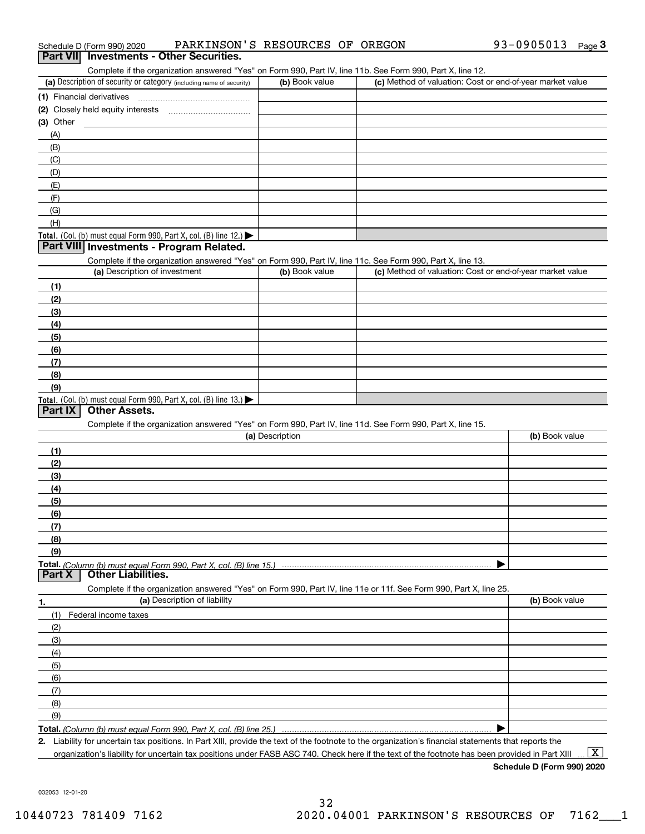| PARKINSON'S RESOURCES OF OREGON<br>Schedule D (Form 990) 2020 |
|---------------------------------------------------------------|
|---------------------------------------------------------------|

|                   | Schedule D (Form 990) 2020    |                                                                                                                   | PARKINSON'S RESOURCES OF OREGON | 93-0905013<br>Page $3$                                    |
|-------------------|-------------------------------|-------------------------------------------------------------------------------------------------------------------|---------------------------------|-----------------------------------------------------------|
|                   |                               | Part VII Investments - Other Securities.                                                                          |                                 |                                                           |
|                   |                               | Complete if the organization answered "Yes" on Form 990, Part IV, line 11b. See Form 990, Part X, line 12.        |                                 |                                                           |
|                   |                               | (a) Description of security or category (including name of security)                                              | (b) Book value                  | (c) Method of valuation: Cost or end-of-year market value |
|                   |                               |                                                                                                                   |                                 |                                                           |
|                   |                               |                                                                                                                   |                                 |                                                           |
| $(3)$ Other       |                               |                                                                                                                   |                                 |                                                           |
| (A)               |                               |                                                                                                                   |                                 |                                                           |
| (B)               |                               |                                                                                                                   |                                 |                                                           |
| (C)               |                               |                                                                                                                   |                                 |                                                           |
| (D)               |                               |                                                                                                                   |                                 |                                                           |
| (E)               |                               |                                                                                                                   |                                 |                                                           |
| (F)               |                               |                                                                                                                   |                                 |                                                           |
| (G)               |                               |                                                                                                                   |                                 |                                                           |
| (H)               |                               |                                                                                                                   |                                 |                                                           |
|                   |                               | Total. (Col. (b) must equal Form 990, Part X, col. (B) line 12.)                                                  |                                 |                                                           |
|                   |                               | Part VIII Investments - Program Related.                                                                          |                                 |                                                           |
|                   |                               | Complete if the organization answered "Yes" on Form 990, Part IV, line 11c. See Form 990, Part X, line 13.        |                                 |                                                           |
|                   | (a) Description of investment |                                                                                                                   | (b) Book value                  | (c) Method of valuation: Cost or end-of-year market value |
| (1)               |                               |                                                                                                                   |                                 |                                                           |
| (2)               |                               |                                                                                                                   |                                 |                                                           |
| (3)               |                               |                                                                                                                   |                                 |                                                           |
| (4)               |                               |                                                                                                                   |                                 |                                                           |
| (5)               |                               |                                                                                                                   |                                 |                                                           |
| (6)               |                               |                                                                                                                   |                                 |                                                           |
| (7)               |                               |                                                                                                                   |                                 |                                                           |
| (8)               |                               |                                                                                                                   |                                 |                                                           |
| (9)               |                               |                                                                                                                   |                                 |                                                           |
|                   |                               | Total. (Col. (b) must equal Form 990, Part X, col. (B) line 13.)                                                  |                                 |                                                           |
| Part IX           |                               |                                                                                                                   |                                 |                                                           |
|                   | <b>Other Assets.</b>          |                                                                                                                   |                                 |                                                           |
|                   |                               | Complete if the organization answered "Yes" on Form 990, Part IV, line 11d. See Form 990, Part X, line 15.        |                                 |                                                           |
|                   |                               |                                                                                                                   | (a) Description                 | (b) Book value                                            |
| (1)               |                               |                                                                                                                   |                                 |                                                           |
| (2)               |                               |                                                                                                                   |                                 |                                                           |
|                   |                               |                                                                                                                   |                                 |                                                           |
| (3)<br>(4)        |                               |                                                                                                                   |                                 |                                                           |
|                   |                               |                                                                                                                   |                                 |                                                           |
| (5)               |                               |                                                                                                                   |                                 |                                                           |
| (6)<br>(7)        |                               |                                                                                                                   |                                 |                                                           |
| (8)               |                               |                                                                                                                   |                                 |                                                           |
|                   |                               |                                                                                                                   |                                 |                                                           |
| (9)               |                               |                                                                                                                   |                                 |                                                           |
| Part <sub>X</sub> | <b>Other Liabilities.</b>     |                                                                                                                   |                                 |                                                           |
|                   |                               | Complete if the organization answered "Yes" on Form 990, Part IV, line 11e or 11f. See Form 990, Part X, line 25. |                                 |                                                           |
|                   |                               | (a) Description of liability                                                                                      |                                 | (b) Book value                                            |
| (1)               |                               |                                                                                                                   |                                 |                                                           |
|                   | Federal income taxes          |                                                                                                                   |                                 |                                                           |
| (2)               |                               |                                                                                                                   |                                 |                                                           |
| (3)               |                               |                                                                                                                   |                                 |                                                           |
| (4)               |                               |                                                                                                                   |                                 |                                                           |
| (5)               |                               |                                                                                                                   |                                 |                                                           |
| (6)               |                               |                                                                                                                   |                                 |                                                           |
| (7)               |                               |                                                                                                                   |                                 |                                                           |
| 1.<br>(8)         |                               |                                                                                                                   |                                 |                                                           |
| (9)               |                               | Total. (Column (b) must equal Form 990. Part X, col. (B) line 25.)                                                |                                 |                                                           |

plity for uncertain tax positions. In Part XIII, provide the text of the footnote to the organization's financial statements that reports the organization's liability for uncertain tax positions under FASB ASC 740. Check here if the text of the footnote has been provided in Part XIII

**Schedule D (Form 990) 2020**

 $\boxed{\text{X}}$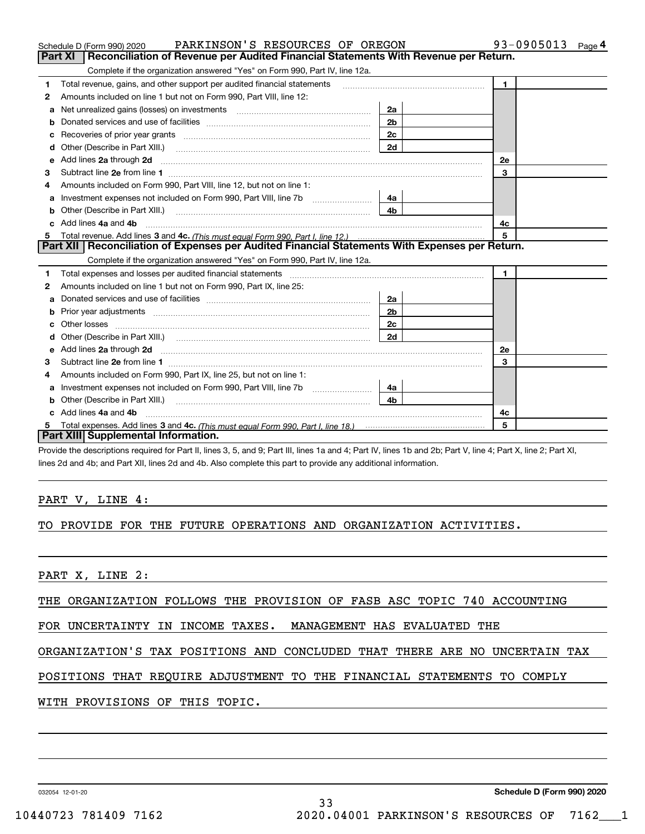|    | PARKINSON'S RESOURCES OF OREGON<br>Schedule D (Form 990) 2020                                                                                                                                                                        |                | 93-0905013<br>Page 4 |
|----|--------------------------------------------------------------------------------------------------------------------------------------------------------------------------------------------------------------------------------------|----------------|----------------------|
|    | Reconciliation of Revenue per Audited Financial Statements With Revenue per Return.<br>Part XI                                                                                                                                       |                |                      |
|    | Complete if the organization answered "Yes" on Form 990, Part IV, line 12a.                                                                                                                                                          |                |                      |
| 1  | Total revenue, gains, and other support per audited financial statements                                                                                                                                                             |                | $\blacksquare$       |
| 2  | Amounts included on line 1 but not on Form 990, Part VIII, line 12:                                                                                                                                                                  |                |                      |
| a  | Net unrealized gains (losses) on investments [11] matter contracts and the unrealized gains (losses) on investments                                                                                                                  | 2a             |                      |
| b  |                                                                                                                                                                                                                                      | 2 <sub>b</sub> |                      |
| c  |                                                                                                                                                                                                                                      | 2c             |                      |
| d  | Other (Describe in Part XIII.)                                                                                                                                                                                                       | 2d             |                      |
| е  | Add lines 2a through 2d                                                                                                                                                                                                              |                | 2e                   |
| З  |                                                                                                                                                                                                                                      |                | 3                    |
| 4  | Amounts included on Form 990, Part VIII, line 12, but not on line 1:                                                                                                                                                                 |                |                      |
| a  | Investment expenses not included on Form 990, Part VIII, line 7b [1000000000000000000000000000000000                                                                                                                                 | 4a             |                      |
| b  | Other (Describe in Part XIII.) <b>Construction Contract Construction</b> Chemistry Chemistry Chemistry Chemistry Chemistry                                                                                                           | 4 <sub>b</sub> |                      |
| c. | Add lines 4a and 4b                                                                                                                                                                                                                  | 4с             |                      |
| 5  |                                                                                                                                                                                                                                      |                | 5                    |
|    | Part XII   Reconciliation of Expenses per Audited Financial Statements With Expenses per Return.                                                                                                                                     |                |                      |
|    | Complete if the organization answered "Yes" on Form 990, Part IV, line 12a.                                                                                                                                                          |                |                      |
| 1  |                                                                                                                                                                                                                                      |                | $\mathbf{1}$         |
| 2  | Amounts included on line 1 but not on Form 990, Part IX, line 25:                                                                                                                                                                    |                |                      |
| a  |                                                                                                                                                                                                                                      | 2a             |                      |
| b  |                                                                                                                                                                                                                                      | 2 <sub>b</sub> |                      |
| c  |                                                                                                                                                                                                                                      | 2с             |                      |
| d  |                                                                                                                                                                                                                                      | 2d             |                      |
| е  | Add lines 2a through 2d <b>contained a contained a contained a contained a contained a contained a contained a contained a contact a contact a contact a contact a contact a contact a contact a contact a contact a contact a c</b> |                | <b>2e</b>            |
| 3  |                                                                                                                                                                                                                                      |                | 3                    |
| 4  | Amounts included on Form 990, Part IX, line 25, but not on line 1:                                                                                                                                                                   |                |                      |
| а  |                                                                                                                                                                                                                                      | 4a l           |                      |
| b  |                                                                                                                                                                                                                                      | 4b.            |                      |
|    | Add lines 4a and 4b                                                                                                                                                                                                                  |                | 4c                   |
|    |                                                                                                                                                                                                                                      |                | 5                    |
|    | Part XIII Supplemental Information.                                                                                                                                                                                                  |                |                      |

Provide the descriptions required for Part II, lines 3, 5, and 9; Part III, lines 1a and 4; Part IV, lines 1b and 2b; Part V, line 4; Part X, line 2; Part XI, lines 2d and 4b; and Part XII, lines 2d and 4b. Also complete this part to provide any additional information.

# PART V, LINE 4:

# TO PROVIDE FOR THE FUTURE OPERATIONS AND ORGANIZATION ACTIVITIES.

PART X, LINE 2:

THE ORGANIZATION FOLLOWS THE PROVISION OF FASB ASC TOPIC 740 ACCOUNTING

FOR UNCERTAINTY IN INCOME TAXES. MANAGEMENT HAS EVALUATED THE

ORGANIZATION'S TAX POSITIONS AND CONCLUDED THAT THERE ARE NO UNCERTAIN TAX

# POSITIONS THAT REQUIRE ADJUSTMENT TO THE FINANCIAL STATEMENTS TO COMPLY

WITH PROVISIONS OF THIS TOPIC.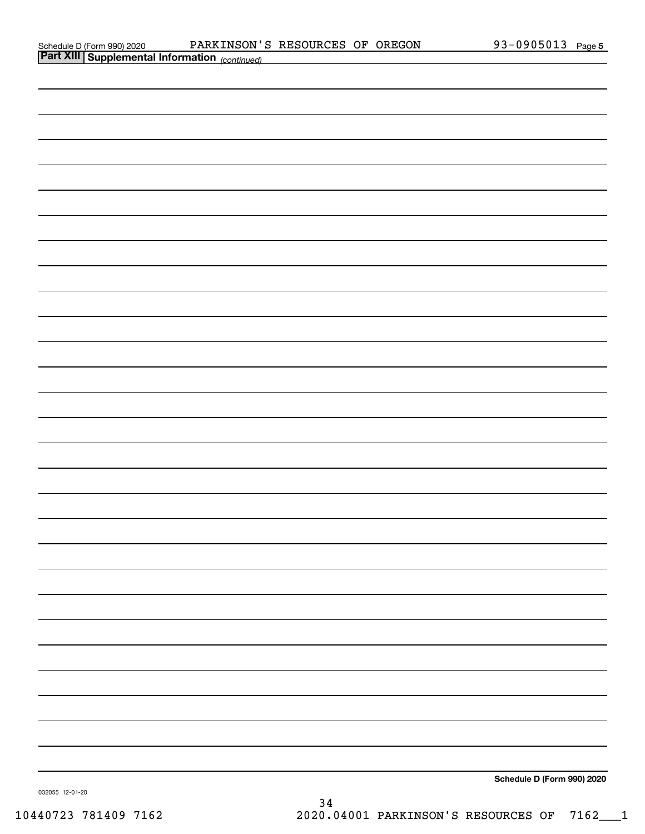| Schedule D (Form 990) 2020 |  |
|----------------------------|--|
|                            |  |

| <b>Part XIII Supplemental Information</b> (continued) |                            |
|-------------------------------------------------------|----------------------------|
|                                                       |                            |
|                                                       |                            |
|                                                       |                            |
|                                                       |                            |
|                                                       |                            |
|                                                       |                            |
|                                                       |                            |
|                                                       |                            |
|                                                       |                            |
|                                                       |                            |
|                                                       |                            |
|                                                       |                            |
|                                                       |                            |
|                                                       |                            |
|                                                       |                            |
|                                                       |                            |
|                                                       |                            |
|                                                       |                            |
|                                                       |                            |
|                                                       |                            |
|                                                       |                            |
|                                                       |                            |
|                                                       |                            |
|                                                       |                            |
|                                                       |                            |
|                                                       |                            |
|                                                       |                            |
|                                                       |                            |
|                                                       |                            |
|                                                       | Schedule D (Form 990) 2020 |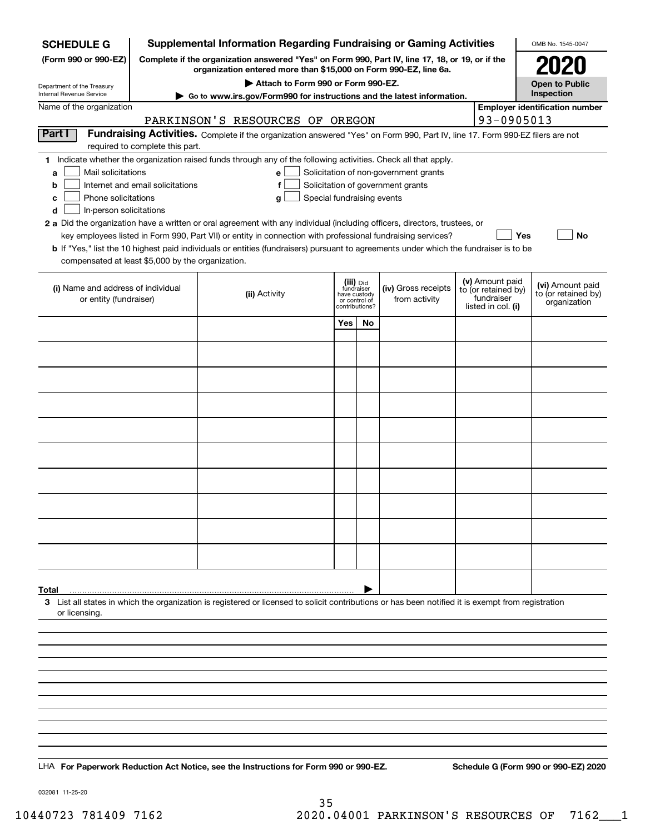| <b>Supplemental Information Regarding Fundraising or Gaming Activities</b><br><b>SCHEDULE G</b> |                                                                                                                                                                     |                                                                                                                                                                                                                                           |                                                          |    |                                       |                    | OMB No. 1545-0047                 |                                       |  |
|-------------------------------------------------------------------------------------------------|---------------------------------------------------------------------------------------------------------------------------------------------------------------------|-------------------------------------------------------------------------------------------------------------------------------------------------------------------------------------------------------------------------------------------|----------------------------------------------------------|----|---------------------------------------|--------------------|-----------------------------------|---------------------------------------|--|
| (Form 990 or 990-EZ)                                                                            | Complete if the organization answered "Yes" on Form 990, Part IV, line 17, 18, or 19, or if the<br>organization entered more than \$15,000 on Form 990-EZ, line 6a. |                                                                                                                                                                                                                                           |                                                          |    |                                       |                    |                                   |                                       |  |
| Department of the Treasury<br>Internal Revenue Service                                          |                                                                                                                                                                     | Attach to Form 990 or Form 990-EZ.                                                                                                                                                                                                        |                                                          |    |                                       |                    |                                   | <b>Open to Public</b><br>Inspection   |  |
| Name of the organization                                                                        |                                                                                                                                                                     | Go to www.irs.gov/Form990 for instructions and the latest information.                                                                                                                                                                    |                                                          |    |                                       |                    |                                   | <b>Employer identification number</b> |  |
|                                                                                                 |                                                                                                                                                                     | PARKINSON'S RESOURCES OF OREGON                                                                                                                                                                                                           |                                                          |    |                                       |                    | 93-0905013                        |                                       |  |
| Part I                                                                                          |                                                                                                                                                                     | Fundraising Activities. Complete if the organization answered "Yes" on Form 990, Part IV, line 17. Form 990-EZ filers are not                                                                                                             |                                                          |    |                                       |                    |                                   |                                       |  |
|                                                                                                 | required to complete this part.                                                                                                                                     |                                                                                                                                                                                                                                           |                                                          |    |                                       |                    |                                   |                                       |  |
| Mail solicitations<br>a                                                                         |                                                                                                                                                                     | 1 Indicate whether the organization raised funds through any of the following activities. Check all that apply.<br>e                                                                                                                      |                                                          |    | Solicitation of non-government grants |                    |                                   |                                       |  |
| b                                                                                               | Internet and email solicitations                                                                                                                                    | f                                                                                                                                                                                                                                         |                                                          |    | Solicitation of government grants     |                    |                                   |                                       |  |
| Phone solicitations<br>c                                                                        |                                                                                                                                                                     | Special fundraising events<br>g                                                                                                                                                                                                           |                                                          |    |                                       |                    |                                   |                                       |  |
| In-person solicitations<br>d                                                                    |                                                                                                                                                                     |                                                                                                                                                                                                                                           |                                                          |    |                                       |                    |                                   |                                       |  |
|                                                                                                 |                                                                                                                                                                     | 2 a Did the organization have a written or oral agreement with any individual (including officers, directors, trustees, or<br>key employees listed in Form 990, Part VII) or entity in connection with professional fundraising services? |                                                          |    |                                       |                    | Yes                               | No                                    |  |
|                                                                                                 |                                                                                                                                                                     | <b>b</b> If "Yes," list the 10 highest paid individuals or entities (fundraisers) pursuant to agreements under which the fundraiser is to be                                                                                              |                                                          |    |                                       |                    |                                   |                                       |  |
| compensated at least \$5,000 by the organization.                                               |                                                                                                                                                                     |                                                                                                                                                                                                                                           |                                                          |    |                                       |                    |                                   |                                       |  |
|                                                                                                 |                                                                                                                                                                     |                                                                                                                                                                                                                                           |                                                          |    |                                       |                    | (v) Amount paid                   | (vi) Amount paid                      |  |
| (i) Name and address of individual<br>or entity (fundraiser)                                    |                                                                                                                                                                     | (ii) Activity                                                                                                                                                                                                                             | (iii) Did<br>fundraiser<br>have custody<br>or control of |    | (iv) Gross receipts<br>from activity  |                    | to (or retained by)<br>fundraiser | to (or retained by)                   |  |
|                                                                                                 |                                                                                                                                                                     |                                                                                                                                                                                                                                           | contributions?                                           |    |                                       | listed in col. (i) |                                   | organization                          |  |
|                                                                                                 |                                                                                                                                                                     |                                                                                                                                                                                                                                           | Yes                                                      | No |                                       |                    |                                   |                                       |  |
|                                                                                                 |                                                                                                                                                                     |                                                                                                                                                                                                                                           |                                                          |    |                                       |                    |                                   |                                       |  |
|                                                                                                 |                                                                                                                                                                     |                                                                                                                                                                                                                                           |                                                          |    |                                       |                    |                                   |                                       |  |
|                                                                                                 |                                                                                                                                                                     |                                                                                                                                                                                                                                           |                                                          |    |                                       |                    |                                   |                                       |  |
|                                                                                                 |                                                                                                                                                                     |                                                                                                                                                                                                                                           |                                                          |    |                                       |                    |                                   |                                       |  |
|                                                                                                 |                                                                                                                                                                     |                                                                                                                                                                                                                                           |                                                          |    |                                       |                    |                                   |                                       |  |
|                                                                                                 |                                                                                                                                                                     |                                                                                                                                                                                                                                           |                                                          |    |                                       |                    |                                   |                                       |  |
|                                                                                                 |                                                                                                                                                                     |                                                                                                                                                                                                                                           |                                                          |    |                                       |                    |                                   |                                       |  |
|                                                                                                 |                                                                                                                                                                     |                                                                                                                                                                                                                                           |                                                          |    |                                       |                    |                                   |                                       |  |
|                                                                                                 |                                                                                                                                                                     |                                                                                                                                                                                                                                           |                                                          |    |                                       |                    |                                   |                                       |  |
|                                                                                                 |                                                                                                                                                                     |                                                                                                                                                                                                                                           |                                                          |    |                                       |                    |                                   |                                       |  |
|                                                                                                 |                                                                                                                                                                     |                                                                                                                                                                                                                                           |                                                          |    |                                       |                    |                                   |                                       |  |
|                                                                                                 |                                                                                                                                                                     |                                                                                                                                                                                                                                           |                                                          |    |                                       |                    |                                   |                                       |  |
|                                                                                                 |                                                                                                                                                                     |                                                                                                                                                                                                                                           |                                                          |    |                                       |                    |                                   |                                       |  |
|                                                                                                 |                                                                                                                                                                     |                                                                                                                                                                                                                                           |                                                          |    |                                       |                    |                                   |                                       |  |
|                                                                                                 |                                                                                                                                                                     |                                                                                                                                                                                                                                           |                                                          |    |                                       |                    |                                   |                                       |  |
| Total                                                                                           |                                                                                                                                                                     |                                                                                                                                                                                                                                           |                                                          |    |                                       |                    |                                   |                                       |  |
|                                                                                                 |                                                                                                                                                                     | 3 List all states in which the organization is registered or licensed to solicit contributions or has been notified it is exempt from registration                                                                                        |                                                          |    |                                       |                    |                                   |                                       |  |
| or licensing.                                                                                   |                                                                                                                                                                     |                                                                                                                                                                                                                                           |                                                          |    |                                       |                    |                                   |                                       |  |
|                                                                                                 |                                                                                                                                                                     |                                                                                                                                                                                                                                           |                                                          |    |                                       |                    |                                   |                                       |  |
|                                                                                                 |                                                                                                                                                                     |                                                                                                                                                                                                                                           |                                                          |    |                                       |                    |                                   |                                       |  |
|                                                                                                 |                                                                                                                                                                     |                                                                                                                                                                                                                                           |                                                          |    |                                       |                    |                                   |                                       |  |
|                                                                                                 |                                                                                                                                                                     |                                                                                                                                                                                                                                           |                                                          |    |                                       |                    |                                   |                                       |  |
|                                                                                                 |                                                                                                                                                                     |                                                                                                                                                                                                                                           |                                                          |    |                                       |                    |                                   |                                       |  |
|                                                                                                 |                                                                                                                                                                     |                                                                                                                                                                                                                                           |                                                          |    |                                       |                    |                                   |                                       |  |
|                                                                                                 |                                                                                                                                                                     |                                                                                                                                                                                                                                           |                                                          |    |                                       |                    |                                   |                                       |  |
|                                                                                                 |                                                                                                                                                                     |                                                                                                                                                                                                                                           |                                                          |    |                                       |                    |                                   |                                       |  |
|                                                                                                 |                                                                                                                                                                     | LHA For Paperwork Reduction Act Notice, see the Instructions for Form 990 or 990-EZ.                                                                                                                                                      |                                                          |    |                                       |                    |                                   | Schedule G (Form 990 or 990-EZ) 2020  |  |
|                                                                                                 |                                                                                                                                                                     |                                                                                                                                                                                                                                           |                                                          |    |                                       |                    |                                   |                                       |  |

032081 11-25-20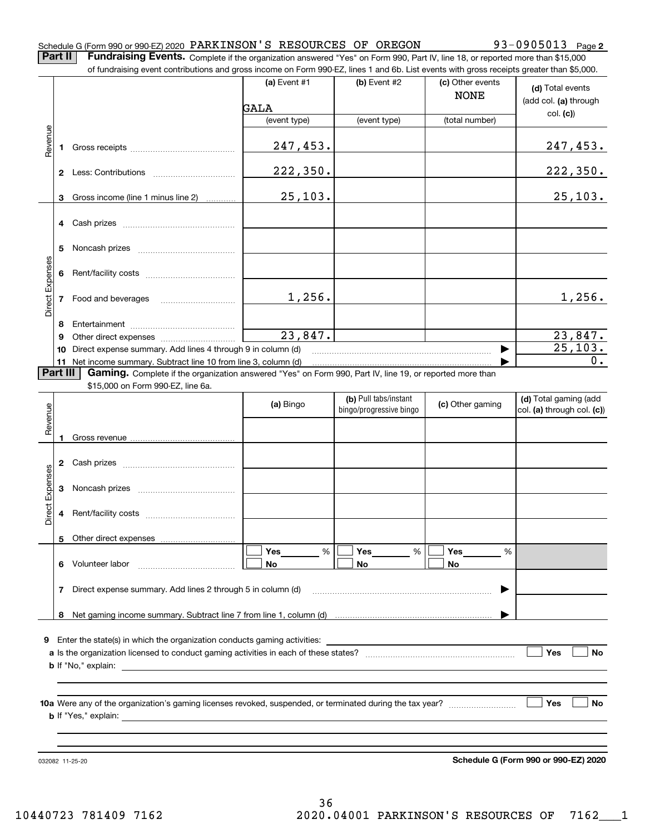#### Schedule G (Form 990 or 990-EZ) 2020 PARKINSON 'S RESOURCES OF OREGON 93-0905013 Page

**2**

**Part II** | Fundraising Events. Complete if the organization answered "Yes" on Form 990, Part IV, line 18, or reported more than \$15,000

|                 |          | of fundraising event contributions and gross income on Form 990-EZ, lines 1 and 6b. List events with gross receipts greater than \$5,000. |              |                         |                                 |                                           |
|-----------------|----------|-------------------------------------------------------------------------------------------------------------------------------------------|--------------|-------------------------|---------------------------------|-------------------------------------------|
|                 |          |                                                                                                                                           | (a) Event #1 | (b) Event #2            | (c) Other events<br><b>NONE</b> | (d) Total events<br>(add col. (a) through |
|                 |          |                                                                                                                                           | GALA         |                         |                                 | col. (c)                                  |
|                 |          |                                                                                                                                           | (event type) | (event type)            | (total number)                  |                                           |
| Revenue         | 1        |                                                                                                                                           | 247,453.     |                         |                                 | <u>247,453.</u>                           |
|                 |          |                                                                                                                                           | 222,350.     |                         |                                 | 222,350.                                  |
|                 | 3        | Gross income (line 1 minus line 2)                                                                                                        | 25,103.      |                         |                                 | 25,103.                                   |
|                 | 4        |                                                                                                                                           |              |                         |                                 |                                           |
|                 |          |                                                                                                                                           |              |                         |                                 |                                           |
|                 | 5        |                                                                                                                                           |              |                         |                                 |                                           |
|                 |          |                                                                                                                                           |              |                         |                                 |                                           |
|                 | 6        |                                                                                                                                           |              |                         |                                 |                                           |
| Direct Expenses |          |                                                                                                                                           | 1,256.       |                         |                                 | 1,256.                                    |
|                 | 7        | Food and beverages                                                                                                                        |              |                         |                                 |                                           |
|                 | 8        |                                                                                                                                           |              |                         |                                 |                                           |
|                 | 9        |                                                                                                                                           | 23,847.      |                         |                                 | 23,847.                                   |
|                 | 10       | Direct expense summary. Add lines 4 through 9 in column (d)                                                                               |              |                         |                                 | 25, 103.                                  |
|                 |          | 11 Net income summary. Subtract line 10 from line 3, column (d)                                                                           |              |                         |                                 | 0.                                        |
|                 | Part III | Gaming. Complete if the organization answered "Yes" on Form 990, Part IV, line 19, or reported more than                                  |              |                         |                                 |                                           |
|                 |          | \$15,000 on Form 990-EZ, line 6a.                                                                                                         |              |                         |                                 |                                           |
|                 |          |                                                                                                                                           | (a) Bingo    | (b) Pull tabs/instant   | (c) Other gaming                | (d) Total gaming (add                     |
| Revenue         |          |                                                                                                                                           |              | bingo/progressive bingo |                                 | col. (a) through col. (c))                |
|                 |          |                                                                                                                                           |              |                         |                                 |                                           |
|                 | 1        |                                                                                                                                           |              |                         |                                 |                                           |
|                 |          |                                                                                                                                           |              |                         |                                 |                                           |
|                 | 2        |                                                                                                                                           |              |                         |                                 |                                           |
| Expenses        | 3        |                                                                                                                                           |              |                         |                                 |                                           |
|                 |          |                                                                                                                                           |              |                         |                                 |                                           |
| Direct          | 4        |                                                                                                                                           |              |                         |                                 |                                           |
|                 |          |                                                                                                                                           |              |                         |                                 |                                           |
|                 |          | 5 Other direct expenses                                                                                                                   |              |                         |                                 |                                           |
|                 |          |                                                                                                                                           | %<br>Yes     | %<br>Yes                | Yes<br>%                        |                                           |
|                 | 6.       | Volunteer labor                                                                                                                           | No           | No                      | No                              |                                           |
|                 | 7        | Direct expense summary. Add lines 2 through 5 in column (d)                                                                               |              |                         |                                 |                                           |
|                 |          |                                                                                                                                           |              |                         |                                 |                                           |
|                 |          |                                                                                                                                           |              |                         |                                 |                                           |
|                 |          |                                                                                                                                           |              |                         |                                 |                                           |
| 9.              |          |                                                                                                                                           |              |                         |                                 |                                           |
|                 |          |                                                                                                                                           |              |                         |                                 | Yes<br>No                                 |
|                 |          |                                                                                                                                           |              |                         |                                 |                                           |
|                 |          |                                                                                                                                           |              |                         |                                 |                                           |
|                 |          |                                                                                                                                           |              |                         |                                 | Yes<br>No                                 |
|                 |          |                                                                                                                                           |              |                         |                                 |                                           |
|                 |          |                                                                                                                                           |              |                         |                                 |                                           |
|                 |          |                                                                                                                                           |              |                         |                                 |                                           |
|                 |          |                                                                                                                                           |              |                         |                                 | Schedule G (Form 990 or 990-EZ) 2020      |
|                 |          | 032082 11-25-20                                                                                                                           |              |                         |                                 |                                           |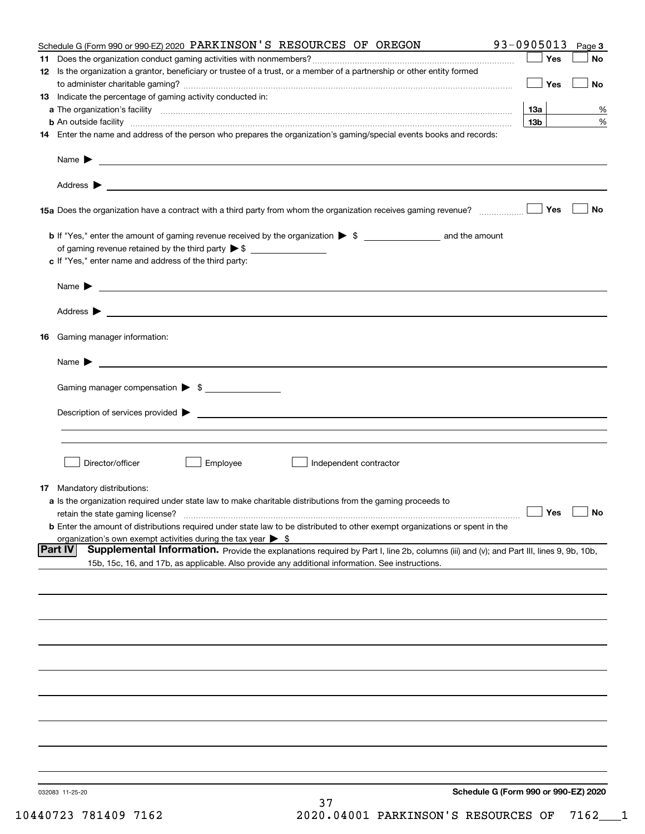| Schedule G (Form 990 or 990-EZ) 2020 PARKINSON'S RESOURCES OF OREGON                                                                                                                                                                                         | 93-0905013           | Page 3    |
|--------------------------------------------------------------------------------------------------------------------------------------------------------------------------------------------------------------------------------------------------------------|----------------------|-----------|
|                                                                                                                                                                                                                                                              | Yes                  | No        |
| 12 Is the organization a grantor, beneficiary or trustee of a trust, or a member of a partnership or other entity formed                                                                                                                                     |                      |           |
|                                                                                                                                                                                                                                                              | Yes                  | <b>No</b> |
| 13 Indicate the percentage of gaming activity conducted in:                                                                                                                                                                                                  |                      |           |
|                                                                                                                                                                                                                                                              | <u>13a</u>           | %         |
| <b>b</b> An outside facility <i>www.communicality www.communicality.communicality www.communicality www.communicality.communicality www.communicality.com</i>                                                                                                | 13 <sub>b</sub>      | %         |
| 14 Enter the name and address of the person who prepares the organization's gaming/special events books and records:                                                                                                                                         |                      |           |
|                                                                                                                                                                                                                                                              |                      |           |
|                                                                                                                                                                                                                                                              |                      |           |
| 15a Does the organization have a contract with a third party from whom the organization receives gaming revenue?                                                                                                                                             | Yes                  | No        |
| <b>b</b> If "Yes," enter the amount of gaming revenue received by the organization $\triangleright$ \$ ___________________ and the amount                                                                                                                    |                      |           |
|                                                                                                                                                                                                                                                              |                      |           |
| c If "Yes," enter name and address of the third party:                                                                                                                                                                                                       |                      |           |
|                                                                                                                                                                                                                                                              |                      |           |
| Name $\blacktriangleright$ $\frac{1}{\sqrt{1-\frac{1}{2}}\left(1-\frac{1}{2}\right)}$                                                                                                                                                                        |                      |           |
|                                                                                                                                                                                                                                                              |                      |           |
| 16 Gaming manager information:                                                                                                                                                                                                                               |                      |           |
|                                                                                                                                                                                                                                                              |                      |           |
| Name $\blacktriangleright$ $\frac{1}{\sqrt{1-\frac{1}{2}}\left(1-\frac{1}{2}\right)}$                                                                                                                                                                        |                      |           |
| Gaming manager compensation > \$                                                                                                                                                                                                                             |                      |           |
|                                                                                                                                                                                                                                                              |                      |           |
|                                                                                                                                                                                                                                                              |                      |           |
|                                                                                                                                                                                                                                                              |                      |           |
|                                                                                                                                                                                                                                                              |                      |           |
| Director/officer<br>Employee<br>∫ Independent contractor                                                                                                                                                                                                     |                      |           |
|                                                                                                                                                                                                                                                              |                      |           |
| 17 Mandatory distributions:                                                                                                                                                                                                                                  |                      |           |
| a Is the organization required under state law to make charitable distributions from the gaming proceeds to<br>retain the state gaming license?                                                                                                              | $\Box$ Yes $\Box$ No |           |
| <b>b</b> Enter the amount of distributions required under state law to be distributed to other exempt organizations or spent in the                                                                                                                          |                      |           |
| organization's own exempt activities during the tax year $\triangleright$ \$                                                                                                                                                                                 |                      |           |
| <b>Part IV</b><br>Supplemental Information. Provide the explanations required by Part I, line 2b, columns (iii) and (v); and Part III, lines 9, 9b, 10b,<br>15b, 15c, 16, and 17b, as applicable. Also provide any additional information. See instructions. |                      |           |
|                                                                                                                                                                                                                                                              |                      |           |
|                                                                                                                                                                                                                                                              |                      |           |
|                                                                                                                                                                                                                                                              |                      |           |
|                                                                                                                                                                                                                                                              |                      |           |
|                                                                                                                                                                                                                                                              |                      |           |
|                                                                                                                                                                                                                                                              |                      |           |
|                                                                                                                                                                                                                                                              |                      |           |
|                                                                                                                                                                                                                                                              |                      |           |
|                                                                                                                                                                                                                                                              |                      |           |
|                                                                                                                                                                                                                                                              |                      |           |
|                                                                                                                                                                                                                                                              |                      |           |
| Schedule G (Form 990 or 990-EZ) 2020<br>032083 11-25-20                                                                                                                                                                                                      |                      |           |
| 37                                                                                                                                                                                                                                                           |                      |           |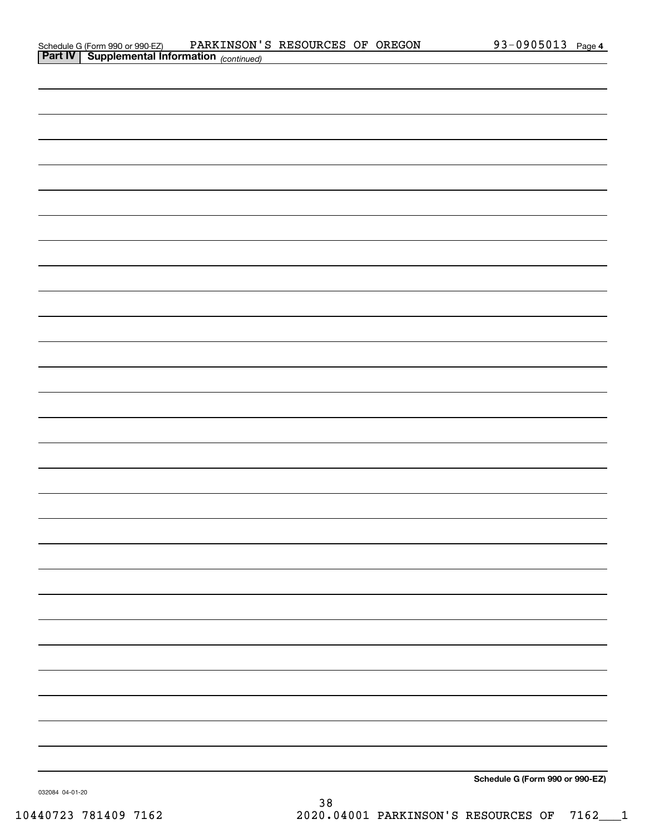| Schedule G (Form 990 or 990-EZ)                       | PARKINSON'S RESOURCES OF OREGON |  | 93-0905013 $_{Page 4}$ |  |
|-------------------------------------------------------|---------------------------------|--|------------------------|--|
| <b>Part IV   Supplemental Information</b> (continued) |                                 |  |                        |  |

| <b>Part IV   Supplemental Information</b> (continued) |  |  |
|-------------------------------------------------------|--|--|
|                                                       |  |  |
|                                                       |  |  |
|                                                       |  |  |
|                                                       |  |  |
|                                                       |  |  |
|                                                       |  |  |
|                                                       |  |  |
|                                                       |  |  |
|                                                       |  |  |
|                                                       |  |  |
|                                                       |  |  |
|                                                       |  |  |
|                                                       |  |  |
|                                                       |  |  |
|                                                       |  |  |
|                                                       |  |  |
|                                                       |  |  |
|                                                       |  |  |
|                                                       |  |  |
|                                                       |  |  |
|                                                       |  |  |
|                                                       |  |  |
|                                                       |  |  |
|                                                       |  |  |
|                                                       |  |  |
|                                                       |  |  |
|                                                       |  |  |
|                                                       |  |  |
| $2 + 1 + 2 = 200 - 200 = 7$                           |  |  |

**Schedule G (Form 990 or 990-EZ)**

032084 04-01-20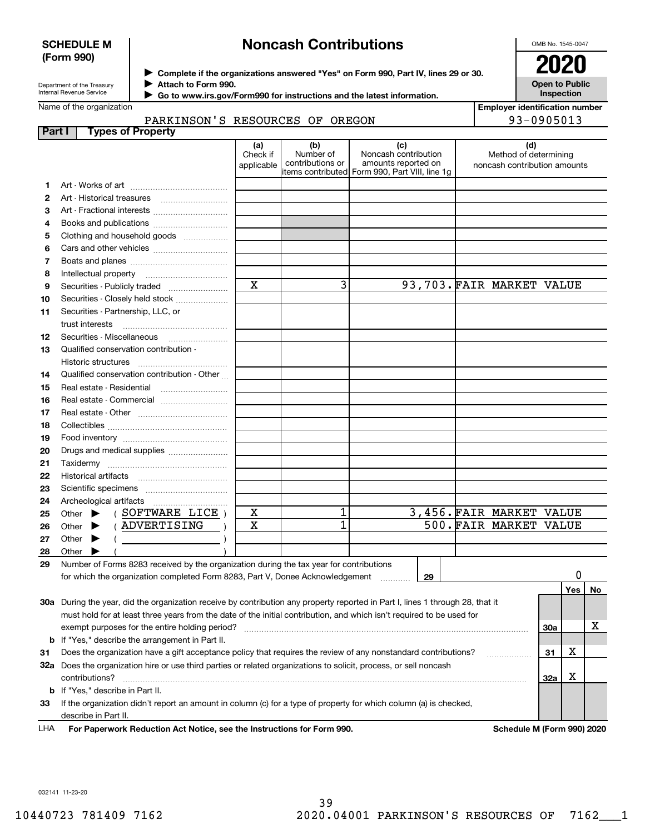#### **SCHEDULE M (Form 990)**

# **Noncash Contributions**

OMB No. 1545-0047

| Department of the Treasury |
|----------------------------|
| Internal Revenue Service   |

**Complete if the organizations answered "Yes" on Form 990, Part IV, lines 29 or 30.** <sup>J</sup>**2020**

**Attach to Form 990.** J

 **Go to www.irs.gov/Form990 for instructions and the latest information.** J

Name of the organization

# PARKINSON'S RESOURCES OF OREGON

| LULU                  |
|-----------------------|
| <b>Open to Public</b> |
| Inspection            |

| <b>Employer identification number</b> |
|---------------------------------------|
| 93-0905013                            |

| Part I   | <b>Types of Property</b>                                                                                                                                                                                                                                                                                                          |                               |                                      |                                                                                                      |                                                              |          |    |
|----------|-----------------------------------------------------------------------------------------------------------------------------------------------------------------------------------------------------------------------------------------------------------------------------------------------------------------------------------|-------------------------------|--------------------------------------|------------------------------------------------------------------------------------------------------|--------------------------------------------------------------|----------|----|
|          |                                                                                                                                                                                                                                                                                                                                   | (a)<br>Check if<br>applicable | (b)<br>Number of<br>contributions or | (c)<br>Noncash contribution<br>amounts reported on<br>items contributed Form 990, Part VIII, line 1g | (d)<br>Method of determining<br>noncash contribution amounts |          |    |
| 1        |                                                                                                                                                                                                                                                                                                                                   |                               |                                      |                                                                                                      |                                                              |          |    |
| 2        |                                                                                                                                                                                                                                                                                                                                   |                               |                                      |                                                                                                      |                                                              |          |    |
| З        | Art - Fractional interests                                                                                                                                                                                                                                                                                                        |                               |                                      |                                                                                                      |                                                              |          |    |
| 4        | Books and publications                                                                                                                                                                                                                                                                                                            |                               |                                      |                                                                                                      |                                                              |          |    |
| 5        | Clothing and household goods                                                                                                                                                                                                                                                                                                      |                               |                                      |                                                                                                      |                                                              |          |    |
| 6        |                                                                                                                                                                                                                                                                                                                                   |                               |                                      |                                                                                                      |                                                              |          |    |
| 7        |                                                                                                                                                                                                                                                                                                                                   |                               |                                      |                                                                                                      |                                                              |          |    |
| 8        |                                                                                                                                                                                                                                                                                                                                   |                               |                                      |                                                                                                      |                                                              |          |    |
| 9        | Securities - Publicly traded                                                                                                                                                                                                                                                                                                      | $\overline{\mathbf{x}}$       | 3                                    |                                                                                                      | 93,703. FAIR MARKET VALUE                                    |          |    |
| 10       | Securities - Closely held stock                                                                                                                                                                                                                                                                                                   |                               |                                      |                                                                                                      |                                                              |          |    |
| 11       | Securities - Partnership, LLC, or                                                                                                                                                                                                                                                                                                 |                               |                                      |                                                                                                      |                                                              |          |    |
|          | trust interests                                                                                                                                                                                                                                                                                                                   |                               |                                      |                                                                                                      |                                                              |          |    |
| 12       | Securities - Miscellaneous                                                                                                                                                                                                                                                                                                        |                               |                                      |                                                                                                      |                                                              |          |    |
| 13       | Qualified conservation contribution -                                                                                                                                                                                                                                                                                             |                               |                                      |                                                                                                      |                                                              |          |    |
|          | Historic structures                                                                                                                                                                                                                                                                                                               |                               |                                      |                                                                                                      |                                                              |          |    |
| 14       | Qualified conservation contribution - Other                                                                                                                                                                                                                                                                                       |                               |                                      |                                                                                                      |                                                              |          |    |
| 15       |                                                                                                                                                                                                                                                                                                                                   |                               |                                      |                                                                                                      |                                                              |          |    |
| 16       | Real estate - Commercial                                                                                                                                                                                                                                                                                                          |                               |                                      |                                                                                                      |                                                              |          |    |
| 17       |                                                                                                                                                                                                                                                                                                                                   |                               |                                      |                                                                                                      |                                                              |          |    |
| 18       |                                                                                                                                                                                                                                                                                                                                   |                               |                                      |                                                                                                      |                                                              |          |    |
| 19       |                                                                                                                                                                                                                                                                                                                                   |                               |                                      |                                                                                                      |                                                              |          |    |
| 20       | Drugs and medical supplies                                                                                                                                                                                                                                                                                                        |                               |                                      |                                                                                                      |                                                              |          |    |
| 21       |                                                                                                                                                                                                                                                                                                                                   |                               |                                      |                                                                                                      |                                                              |          |    |
| 22       |                                                                                                                                                                                                                                                                                                                                   |                               |                                      |                                                                                                      |                                                              |          |    |
| 23       |                                                                                                                                                                                                                                                                                                                                   |                               |                                      |                                                                                                      |                                                              |          |    |
| 24       | (SOFTWARE LICE)                                                                                                                                                                                                                                                                                                                   | X                             | 1                                    |                                                                                                      | 3,456. FAIR MARKET VALUE                                     |          |    |
| 25       | Other $\blacktriangleright$<br>( ADVERTISING                                                                                                                                                                                                                                                                                      | $\mathbf X$                   | 1                                    |                                                                                                      | 500. FAIR MARKET VALUE                                       |          |    |
| 26<br>27 | Other $\blacktriangleright$<br>Other $\blacktriangleright$                                                                                                                                                                                                                                                                        |                               |                                      |                                                                                                      |                                                              |          |    |
| 28       | $\left($ $\frac{1}{2}$ $\frac{1}{2}$ $\frac{1}{2}$ $\frac{1}{2}$ $\frac{1}{2}$ $\frac{1}{2}$ $\frac{1}{2}$ $\frac{1}{2}$ $\frac{1}{2}$ $\frac{1}{2}$ $\frac{1}{2}$ $\frac{1}{2}$ $\frac{1}{2}$ $\frac{1}{2}$ $\frac{1}{2}$ $\frac{1}{2}$ $\frac{1}{2}$ $\frac{1}{2}$ $\frac{1}{2}$ $\frac{1}{2}$ $\frac{1}{2}$ $\frac{1$<br>Other |                               |                                      |                                                                                                      |                                                              |          |    |
| 29       | Number of Forms 8283 received by the organization during the tax year for contributions                                                                                                                                                                                                                                           |                               |                                      |                                                                                                      |                                                              |          |    |
|          | for which the organization completed Form 8283, Part V, Donee Acknowledgement                                                                                                                                                                                                                                                     |                               |                                      | 29<br>.                                                                                              |                                                              | 0        |    |
|          |                                                                                                                                                                                                                                                                                                                                   |                               |                                      |                                                                                                      |                                                              | Yes      | No |
|          | 30a During the year, did the organization receive by contribution any property reported in Part I, lines 1 through 28, that it                                                                                                                                                                                                    |                               |                                      |                                                                                                      |                                                              |          |    |
|          | must hold for at least three years from the date of the initial contribution, and which isn't required to be used for                                                                                                                                                                                                             |                               |                                      |                                                                                                      |                                                              |          |    |
|          |                                                                                                                                                                                                                                                                                                                                   |                               |                                      |                                                                                                      |                                                              | 30a      | х  |
|          | <b>b</b> If "Yes," describe the arrangement in Part II.                                                                                                                                                                                                                                                                           |                               |                                      |                                                                                                      |                                                              |          |    |
| 31       | Does the organization have a gift acceptance policy that requires the review of any nonstandard contributions?                                                                                                                                                                                                                    |                               |                                      |                                                                                                      |                                                              | х<br>31  |    |
|          | 32a Does the organization hire or use third parties or related organizations to solicit, process, or sell noncash                                                                                                                                                                                                                 |                               |                                      |                                                                                                      |                                                              |          |    |
|          | contributions?                                                                                                                                                                                                                                                                                                                    |                               |                                      |                                                                                                      |                                                              | х<br>32a |    |
|          | b If "Yes," describe in Part II.                                                                                                                                                                                                                                                                                                  |                               |                                      |                                                                                                      |                                                              |          |    |
| 33       | If the organization didn't report an amount in column (c) for a type of property for which column (a) is checked,                                                                                                                                                                                                                 |                               |                                      |                                                                                                      |                                                              |          |    |
|          | describe in Part II.                                                                                                                                                                                                                                                                                                              |                               |                                      |                                                                                                      |                                                              |          |    |

**For Paperwork Reduction Act Notice, see the Instructions for Form 990. Schedule M (Form 990) 2020** LHA

032141 11-23-20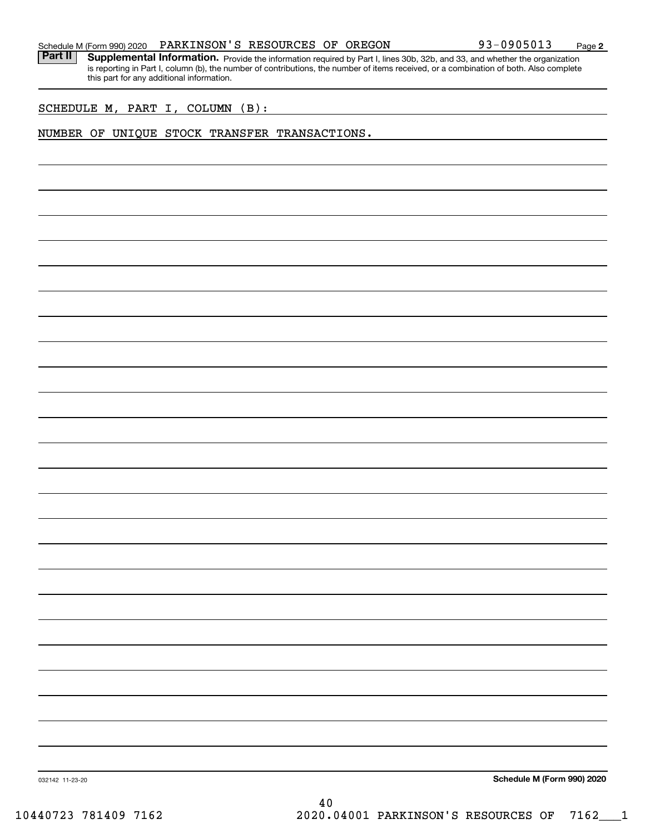Part II | Supplemental Information. Provide the information required by Part I, lines 30b, 32b, and 33, and whether the organization is reporting in Part I, column (b), the number of contributions, the number of items received, or a combination of both. Also complete this part for any additional information.

SCHEDULE M, PART I, COLUMN (B):

#### NUMBER OF UNIQUE STOCK TRANSFER TRANSACTIONS.

**Schedule M (Form 990) 2020**

032142 11-23-20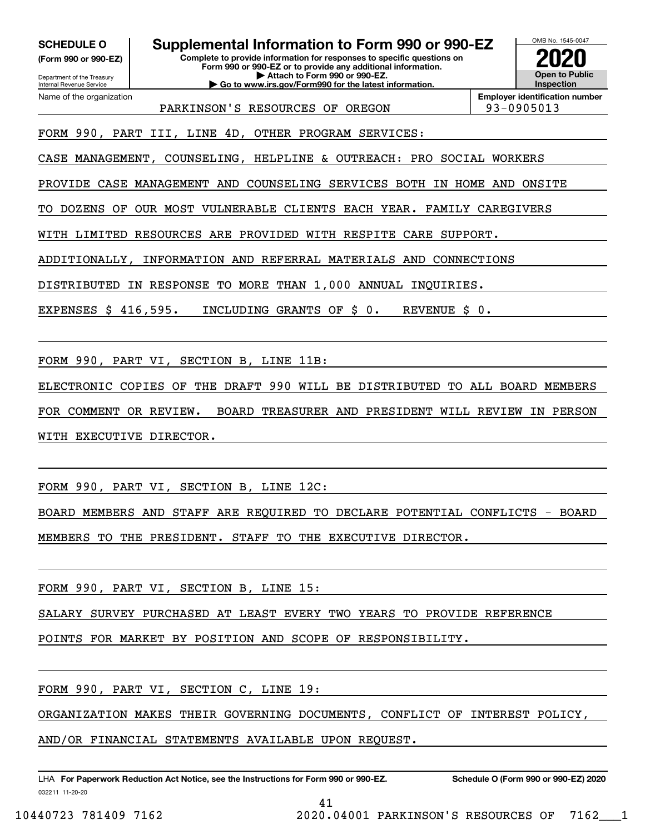**(Form 990 or 990-EZ)**

Department of the Treasury Internal Revenue Service Name of the organization

**SCHEDULE O Supplemental Information to Form 990 or 990-EZ**

**Complete to provide information for responses to specific questions on Form 990 or 990-EZ or to provide any additional information. | Attach to Form 990 or 990-EZ. | Go to www.irs.gov/Form990 for the latest information.**

**Open to Public InspectionEmployer identification number 2020**

OMB No. 1545-0047

PARKINSON'S RESOURCES OF OREGON 93-0905013

FORM 990, PART III, LINE 4D, OTHER PROGRAM SERVICES:

CASE MANAGEMENT, COUNSELING, HELPLINE & OUTREACH: PRO SOCIAL WORKERS

PROVIDE CASE MANAGEMENT AND COUNSELING SERVICES BOTH IN HOME AND ONSITE

TO DOZENS OF OUR MOST VULNERABLE CLIENTS EACH YEAR. FAMILY CAREGIVERS

WITH LIMITED RESOURCES ARE PROVIDED WITH RESPITE CARE SUPPORT.

ADDITIONALLY, INFORMATION AND REFERRAL MATERIALS AND CONNECTIONS

DISTRIBUTED IN RESPONSE TO MORE THAN 1,000 ANNUAL INQUIRIES.

EXPENSES \$ 416,595. INCLUDING GRANTS OF \$ 0. REVENUE \$ 0.

FORM 990, PART VI, SECTION B, LINE 11B:

ELECTRONIC COPIES OF THE DRAFT 990 WILL BE DISTRIBUTED TO ALL BOARD MEMBERS

FOR COMMENT OR REVIEW. BOARD TREASURER AND PRESIDENT WILL REVIEW IN PERSON WITH EXECUTIVE DIRECTOR.

FORM 990, PART VI, SECTION B, LINE 12C:

BOARD MEMBERS AND STAFF ARE REQUIRED TO DECLARE POTENTIAL CONFLICTS - BOARD MEMBERS TO THE PRESIDENT. STAFF TO THE EXECUTIVE DIRECTOR.

FORM 990, PART VI, SECTION B, LINE 15:

SALARY SURVEY PURCHASED AT LEAST EVERY TWO YEARS TO PROVIDE REFERENCE

POINTS FOR MARKET BY POSITION AND SCOPE OF RESPONSIBILITY.

FORM 990, PART VI, SECTION C, LINE 19:

ORGANIZATION MAKES THEIR GOVERNING DOCUMENTS, CONFLICT OF INTEREST POLICY,

41

AND/OR FINANCIAL STATEMENTS AVAILABLE UPON REQUEST.

032211 11-20-20 LHA For Paperwork Reduction Act Notice, see the Instructions for Form 990 or 990-EZ. Schedule O (Form 990 or 990-EZ) 2020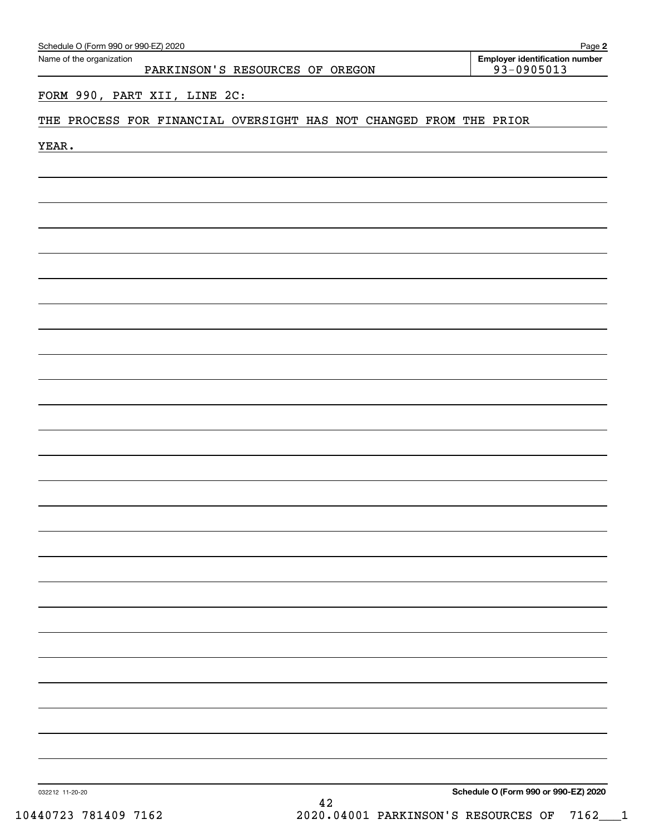| Schedule O (Form 990 or 990-EZ) 2020                               | Page 2                                                  |
|--------------------------------------------------------------------|---------------------------------------------------------|
| Name of the organization<br>PARKINSON'S RESOURCES OF OREGON        | <b>Employer identification number</b><br>$93 - 0905013$ |
| FORM 990, PART XII, LINE 2C:                                       |                                                         |
| THE PROCESS FOR FINANCIAL OVERSIGHT HAS NOT CHANGED FROM THE PRIOR |                                                         |
| YEAR.                                                              |                                                         |
|                                                                    |                                                         |
|                                                                    |                                                         |
|                                                                    |                                                         |
|                                                                    |                                                         |
|                                                                    |                                                         |
|                                                                    |                                                         |
|                                                                    |                                                         |
|                                                                    |                                                         |
|                                                                    |                                                         |
|                                                                    |                                                         |
|                                                                    |                                                         |
|                                                                    |                                                         |
|                                                                    |                                                         |
|                                                                    |                                                         |
|                                                                    |                                                         |
|                                                                    |                                                         |
|                                                                    |                                                         |
|                                                                    |                                                         |
|                                                                    |                                                         |
|                                                                    |                                                         |
|                                                                    |                                                         |
|                                                                    |                                                         |
|                                                                    |                                                         |
|                                                                    |                                                         |
|                                                                    |                                                         |
| 032212 11-20-20                                                    | Schedule O (Form 990 or 990-EZ) 2020                    |